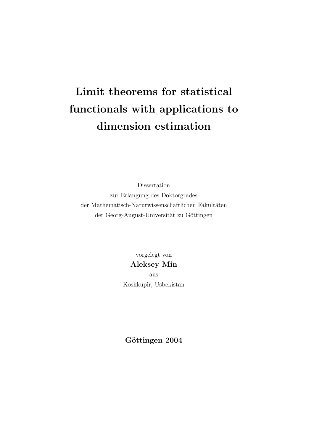# Limit theorems for statistical functionals with applications to dimension estimation

Dissertation zur Erlangung des Doktorgrades  $d$ er Mathematisch-Naturwissenschaftlichen Fakultäten der Georg-August-Universität zu Göttingen

> vorgelegt von Aleksey Min aus Koshkupir, Usbekistan

Göttingen 2004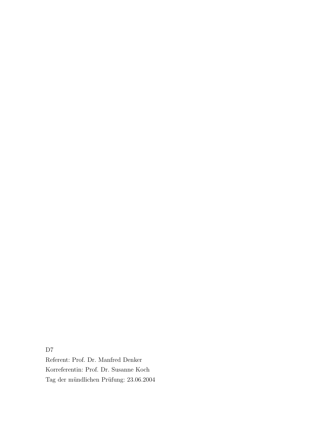D7

Referent: Prof. Dr. Manfred Denker Korreferentin: Prof. Dr. Susanne Koch Tag der mündlichen Prüfung:  $23.06.2004$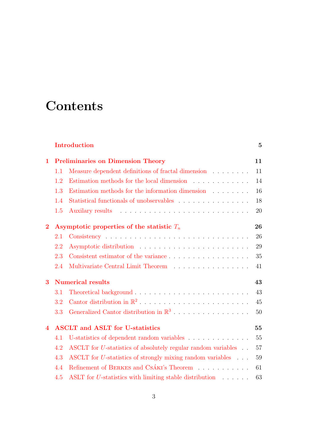## **Contents**

#### [Introduction](#page-4-0) 5

| 1                |     | <b>Preliminaries on Dimension Theory</b>                                | 11 |
|------------------|-----|-------------------------------------------------------------------------|----|
|                  | 1.1 | Measure dependent definitions of fractal dimension                      | 11 |
|                  | 1.2 | Estimation methods for the local dimension                              | 14 |
|                  | 1.3 | Estimation methods for the information dimension $\ldots \ldots$        | 16 |
|                  | 1.4 |                                                                         | 18 |
|                  | 1.5 |                                                                         | 20 |
| $\bf{2}$         |     | Asymptotic properties of the statistic $T_n$                            | 26 |
|                  | 2.1 |                                                                         | 26 |
|                  | 2.2 |                                                                         | 29 |
|                  | 2.3 |                                                                         | 35 |
|                  | 2.4 | Multivariate Central Limit Theorem                                      | 41 |
| 3                |     | <b>Numerical results</b>                                                | 43 |
|                  | 3.1 |                                                                         | 43 |
|                  | 3.2 |                                                                         | 45 |
|                  | 3.3 |                                                                         | 50 |
| $\boldsymbol{4}$ |     | <b>ASCLT</b> and <b>ASLT</b> for U-statistics                           | 55 |
|                  | 4.1 | U-statistics of dependent random variables                              | 55 |
|                  | 4.2 | ASCLT for <i>U</i> -statistics of absolutely regular random variables   | 57 |
|                  | 4.3 | ASCLT for <i>U</i> -statistics of strongly mixing random variables      | 59 |
|                  | 4.4 | Refinement of BERKES and CSÁKI's Theorem                                | 61 |
|                  | 4.5 | ASLT for U-statistics with limiting stable distribution $\ldots \ldots$ | 63 |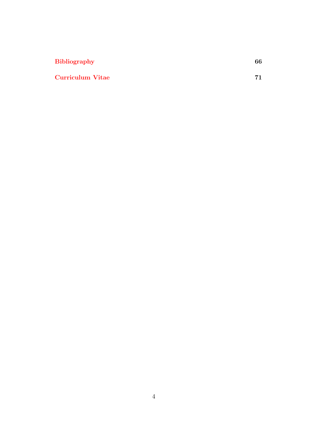| <b>Bibliography</b>     | 66 |
|-------------------------|----|
| <b>Curriculum Vitae</b> | 71 |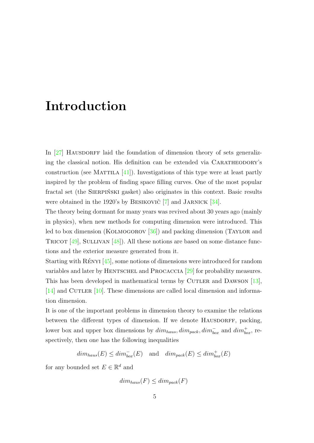## Introduction

<span id="page-4-0"></span>In  $[27]$  HAUSDORFF laid the foundation of dimension theory of sets generalizing the classical notion. His definition can be extended via CARATHEODORY's construction (see MATTILA  $[41]$ ). Investigations of this type were at least partly inspired by the problem of finding space filling curves. One of the most popular fractal set (the SIERPINSKI gasket) also originates in this context. Basic results were obtained in the 1920's by BESIKOVIC<sup>[\[7\]](#page-65-0)</sup> and JARNICK<sup>[\[34\]](#page-68-1)</sup>.

The theory being dormant for many years was revived about 30 years ago (mainly in physics), when new methods for computing dimension were introduced. This led to box dimension (KOLMOGOROV [\[36\]](#page-68-2)) and packing dimension (TAYLOR and TRICOT  $[49]$ , SULLIVAN  $[48]$ ). All these notions are based on some distance functions and the exterior measure generated from it.

Starting with  $R \in N$  [\[45\]](#page-68-3), some notions of dimensions were introduced for random variables and later by HENTSCHEL and PROCACCIA  $[29]$  for probability measures. This has been developed in mathematical terms by CUTLER and DAWSON [\[13\]](#page-66-0),  $[14]$  and CUTLER  $[10]$ . These dimensions are called local dimension and information dimension.

It is one of the important problems in dimension theory to examine the relations between the different types of dimension. If we denote HAUSDORFF, packing, lower box and upper box dimensions by  $dim_{haus}, dim_{pack}, dim_{box}^-$  and  $dim_{box}^+$ , respectively, then one has the following inequalities

 $dim_{haus}(E) \leq dim_{box}^{-}(E)$  and  $dim_{pack}(E) \leq dim_{box}^{+}(E)$ 

for any bounded set  $E \in \mathbb{R}^d$  and

$$
dim_{haus}(F) \leq dim_{pack}(F)
$$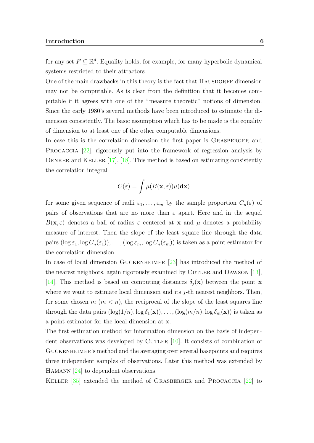for any set  $F \subseteq \mathbb{R}^d$ . Equality holds, for example, for many hyperbolic dynamical systems restricted to their attractors.

One of the main drawbacks in this theory is the fact that HAUSDORFF dimension may not be computable. As is clear from the definition that it becomes computable if it agrees with one of the "measure theoretic" notions of dimension. Since the early 1980's several methods have been introduced to estimate the dimension consistently. The basic assumption which has to be made is the equality of dimension to at least one of the other computable dimensions.

In case this is the correlation dimension the first paper is GRASBERGER and PROCACCIA [\[22\]](#page-67-2), rigorously put into the framework of regression analysis by DENKER and KELLER [\[17\]](#page-66-3), [\[18\]](#page-66-4). This method is based on estimating consistently the correlation integral

$$
C(\varepsilon) = \int \mu(B(\mathbf{x}, \varepsilon)) \mu(\mathbf{dx})
$$

for some given sequence of radii  $\varepsilon_1, \ldots, \varepsilon_m$  by the sample proportion  $C_n(\varepsilon)$  of pairs of observations that are no more than  $\varepsilon$  apart. Here and in the sequel  $B(\mathbf{x}, \varepsilon)$  denotes a ball of radius  $\varepsilon$  centered at **x** and  $\mu$  denotes a probability measure of interest. Then the slope of the least square line through the data pairs  $(\log \varepsilon_1, \log C_n(\varepsilon_1)), \ldots, (\log \varepsilon_m, \log C_n(\varepsilon_m))$  is taken as a point estimator for the correlation dimension.

In case of local dimension GUCKENHEIMER  $[23]$  has introduced the method of the nearest neighbors, again rigorously examined by CUTLER and DAWSON  $[13]$ , [\[14\]](#page-66-1). This method is based on computing distances  $\delta_i(\mathbf{x})$  between the point **x** where we want to estimate local dimension and its  $j$ -th nearest neighbors. Then, for some chosen  $m (m < n)$ , the reciprocal of the slope of the least squares line through the data pairs  $(\log(1/n), \log \delta_1(\mathbf{x})), \ldots, (\log(m/n), \log \delta_m(\mathbf{x}))$  is taken as a point estimator for the local dimension at x.

The first estimation method for information dimension on the basis of independent observations was developed by CUTLER  $[10]$ . It consists of combination of Guckenheimer's method and the averaging over several basepoints and requires three independent samples of observations. Later this method was extended by HAMANN [\[24\]](#page-67-4) to dependent observations.

Keller [\[35\]](#page-68-4) extended the method of Grasberger and Procaccia [\[22\]](#page-67-2) to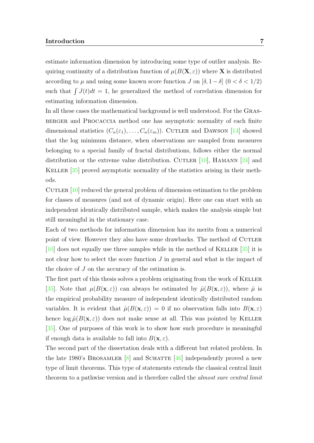estimate information dimension by introducing some type of outlier analysis. Requiring continuity of a distribution function of  $\mu(B(\mathbf{X}, \varepsilon))$  where **X** is distributed according to  $\mu$  and using some known score function J on  $[\delta, 1-\delta]$   $(0 < \delta < 1/2)$ such that  $\int J(t)dt = 1$ , he generalized the method of correlation dimension for estimating information dimension.

In all these cases the mathematical background is well understood. For the Grasberger and Procaccia method one has asymptotic normality of each finite dimensional statistics  $(C_n(\varepsilon_1), \ldots, C_n(\varepsilon_m))$ . CUTLER and DAWSON [\[14\]](#page-66-1) showed that the log minimum distance, when observations are sampled from measures belonging to a special family of fractal distributions, follows either the normal distribution or the extreme value distribution. CUTLER [\[10\]](#page-66-2), HAMANN [\[24\]](#page-67-4) and KELLER [\[35\]](#page-68-4) proved asymptotic normality of the statistics arising in their methods.

CUTLER [\[10\]](#page-66-2) reduced the general problem of dimension estimation to the problem for classes of measures (and not of dynamic origin). Here one can start with an independent identically distributed sample, which makes the analysis simple but still meaningful in the stationary case.

Each of two methods for information dimension has its merits from a numerical point of view. However they also have some drawbacks. The method of Cutler  $[10]$  does not equally use three samples while in the method of KELLER  $[35]$  it is not clear how to select the score function  $J$  in general and what is the impact of the choice of J on the accuracy of the estimation is.

The first part of this thesis solves a problem originating from the work of KELLER [\[35\]](#page-68-4). Note that  $\mu(B(\mathbf{x}, \varepsilon))$  can always be estimated by  $\hat{\mu}(B(\mathbf{x}, \varepsilon))$ , where  $\hat{\mu}$  is the empirical probability measure of independent identically distributed random variables. It is evident that  $\hat{\mu}(B(\mathbf{x},\varepsilon)) = 0$  if no observation falls into  $B(\mathbf{x},\varepsilon)$ hence  $\log \hat{\mu}(B(\mathbf{x}, \varepsilon))$  does not make sense at all. This was pointed by KELLER [\[35\]](#page-68-4). One of purposes of this work is to show how such procedure is meaningful if enough data is available to fall into  $B(\mathbf{x}, \varepsilon)$ .

The second part of the dissertation deals with a different but related problem. In the late 1980's BROSAMLER  $[8]$  and SCHATTE  $[46]$  independently proved a new type of limit theorems. This type of statements extends the classical central limit theorem to a pathwise version and is therefore called the almost sure central limit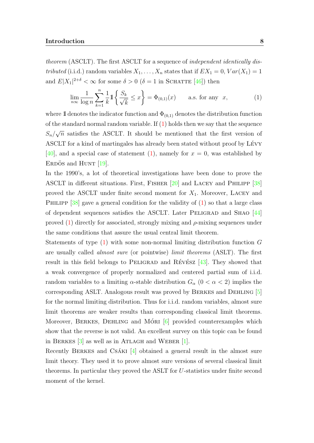theorem (ASCLT). The first ASCLT for a sequence of *independent identically dis*tributed (i.i.d.) random variables  $X_1, \ldots, X_n$  states that if  $EX_1 = 0, Var(X_1) = 1$ and  $E|X_1|^{2+\delta} < \infty$  for some  $\delta > 0$  ( $\delta = 1$  in SCHATTE [\[46\]](#page-69-2)) then

<span id="page-7-0"></span>
$$
\lim_{n \infty} \frac{1}{\log n} \sum_{k=1}^{n} \frac{1}{k} 1 \left\{ \frac{S_k}{\sqrt{k}} \le x \right\} = \Phi_{(0,1)}(x) \quad \text{a.s. for any } x,
$$
 (1)

where 1 denotes the indicator function and  $\Phi_{(0,1)}$  denotes the distribution function of the standard normal random variable. If  $(1)$  holds then we say that the sequence  $S_n/$ √  $\overline{n}$  satisfies the ASCLT. It should be mentioned that the first version of ASCLT for a kind of martingales has already been stated without proof by LÉVY [\[40\]](#page-68-5), and a special case of statement [\(1\)](#page-7-0), namely for  $x = 0$ , was established by ERDÖS and HUNT  $[19]$ .

In the 1990's, a lot of theoretical investigations have been done to prove the ASCLT in different situations. First, Fisher [\[20\]](#page-66-6) and Lacey and Philipp [\[38\]](#page-68-6) proved the ASCLT under finite second moment for  $X_1$ . Moreover, LACEY and PHILIPP  $[38]$  gave a general condition for the validity of  $(1)$  so that a large class of dependent sequences satisfies the ASCLT. Later PELIGRAD and SHAO  $[44]$ proved  $(1)$  directly for associated, strongly mixing and  $\rho$ -mixing sequences under the same conditions that assure the usual central limit theorem.

Statements of type [\(1\)](#page-7-0) with some non-normal limiting distribution function G are usually called almost sure (or pointwise) limit theorems (ASLT). The first result in this field belongs to PELIGRAD and RÉVÉSZ  $[43]$ . They showed that a weak convergence of properly normalized and centered partial sum of i.i.d. random variables to a limiting  $\alpha$ -stable distribution  $G_{\alpha}$  ( $0 < \alpha < 2$ ) implies the corresponding ASLT. Analogous result was proved by Berkes and Dehling [\[5\]](#page-65-2) for the normal limiting distribution. Thus for i.i.d. random variables, almost sure limit theorems are weaker results than corresponding classical limit theorems. Moreover, BERKES, DEHLING and MÓRI  $[6]$  provided counterexamples which show that the reverse is not valid. An excellent survey on this topic can be found in BERKES  $[3]$  as well as in ATLAGH and WEBER  $[1]$ .

Recently BERKES and CSÁKI  $[4]$  obtained a general result in the almost sure limit theory. They used it to prove almost sure versions of several classical limit theorems. In particular they proved the ASLT for U-statistics under finite second moment of the kernel.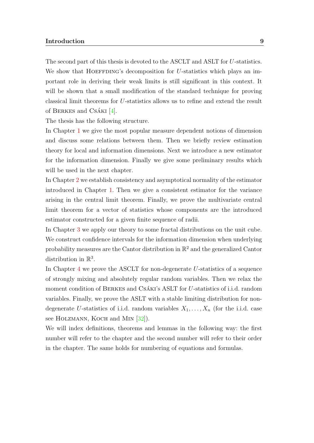#### Introduction 9

The second part of this thesis is devoted to the ASCLT and ASLT for U-statistics. We show that HOEFFDING's decomposition for U-statistics which plays an important role in deriving their weak limits is still significant in this context. It will be shown that a small modification of the standard technique for proving classical limit theorems for U-statistics allows us to refine and extend the result of BERKES and CSÁKI  $[4]$ .

The thesis has the following structure.

In Chapter [1](#page-10-0) we give the most popular measure dependent notions of dimension and discuss some relations between them. Then we briefly review estimation theory for local and information dimensions. Next we introduce a new estimator for the information dimension. Finally we give some preliminary results which will be used in the next chapter.

In Chapter [2](#page-25-0) we establish consistency and asymptotical normality of the estimator introduced in Chapter [1.](#page-10-0) Then we give a consistent estimator for the variance arising in the central limit theorem. Finally, we prove the multivariate central limit theorem for a vector of statistics whose components are the introduced estimator constructed for a given finite sequence of radii.

In Chapter [3](#page-42-0) we apply our theory to some fractal distributions on the unit cube. We construct confidence intervals for the information dimension when underlying probability measures are the Cantor distribution in  $\mathbb{R}^2$  and the generalized Cantor distribution in  $\mathbb{R}^3$ .

In Chapter [4](#page-54-0) we prove the ASCLT for non-degenerate U-statistics of a sequence of strongly mixing and absolutely regular random variables. Then we relax the moment condition of BERKES and CSÁKI's ASLT for U-statistics of i.i.d. random variables. Finally, we prove the ASLT with a stable limiting distribution for nondegenerate U-statistics of i.i.d. random variables  $X_1, \ldots, X_n$  (for the i.i.d. case see HOLZMANN, KOCH and MIN [\[32\]](#page-67-5)).

We will index definitions, theorems and lemmas in the following way: the first number will refer to the chapter and the second number will refer to their order in the chapter. The same holds for numbering of equations and formulas.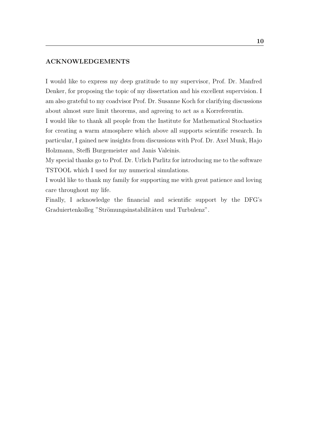#### ACKNOWLEDGEMENTS

I would like to express my deep gratitude to my supervisor, Prof. Dr. Manfred Denker, for proposing the topic of my dissertation and his excellent supervision. I am also grateful to my coadvisor Prof. Dr. Susanne Koch for clarifying discussions about almost sure limit theorems, and agreeing to act as a Korreferentin.

I would like to thank all people from the Institute for Mathematical Stochastics for creating a warm atmosphere which above all supports scientific research. In particular, I gained new insights from discussions with Prof. Dr. Axel Munk, Hajo Holzmann, Steffi Burgemeister and Janis Valeinis.

My special thanks go to Prof. Dr. Urlich Parlitz for introducing me to the software TSTOOL which I used for my numerical simulations.

I would like to thank my family for supporting me with great patience and loving care throughout my life.

Finally, I acknowledge the financial and scientific support by the DFG's Graduiertenkolleg "Strömungsinstabilitäten und Turbulenz".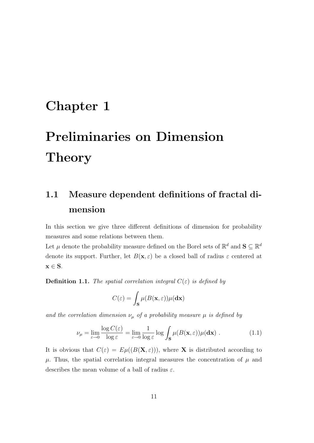## <span id="page-10-0"></span>Chapter 1

# Preliminaries on Dimension Theory

## <span id="page-10-1"></span>1.1 Measure dependent definitions of fractal dimension

In this section we give three different definitions of dimension for probability measures and some relations between them.

Let  $\mu$  denote the probability measure defined on the Borel sets of  $\mathbb{R}^d$  and  $\mathbf{S} \subseteq \mathbb{R}^d$ denote its support. Further, let  $B(\mathbf{x}, \varepsilon)$  be a closed ball of radius  $\varepsilon$  centered at  $x \in S$ .

<span id="page-10-3"></span>**Definition 1.1.** The spatial correlation integral  $C(\varepsilon)$  is defined by

$$
C(\varepsilon) = \int_{\mathbf{S}} \mu(B(\mathbf{x}, \varepsilon)) \mu(\mathbf{dx})
$$

and the correlation dimension  $\nu_{\mu}$  of a probability measure  $\mu$  is defined by

<span id="page-10-2"></span>
$$
\nu_{\mu} = \lim_{\varepsilon \to 0} \frac{\log C(\varepsilon)}{\log \varepsilon} = \lim_{\varepsilon \to 0} \frac{1}{\log \varepsilon} \log \int_{\mathbf{S}} \mu(B(\mathbf{x}, \varepsilon)) \mu(\mathbf{dx}) . \tag{1.1}
$$

It is obvious that  $C(\varepsilon) = E\mu((B(\mathbf{X}, \varepsilon)))$ , where **X** is distributed according to  $\mu$ . Thus, the spatial correlation integral measures the concentration of  $\mu$  and describes the mean volume of a ball of radius  $\varepsilon$ .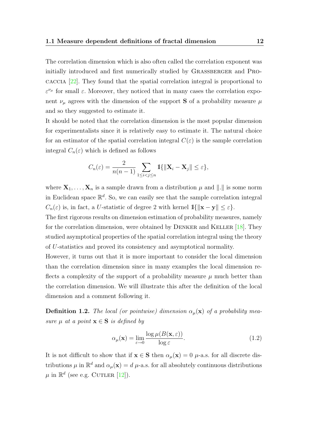The correlation dimension which is also often called the correlation exponent was initially introduced and first numerically studied by GRASSBERGER and PROcaccia [\[22\]](#page-67-2). They found that the spatial correlation integral is proportional to  $\varepsilon^{\nu_{\mu}}$  for small  $\varepsilon$ . Moreover, they noticed that in many cases the correlation exponent  $\nu_{\mu}$  agrees with the dimension of the support **S** of a probability measure  $\mu$ and so they suggested to estimate it.

It should be noted that the correlation dimension is the most popular dimension for experimentalists since it is relatively easy to estimate it. The natural choice for an estimator of the spatial correlation integral  $C(\varepsilon)$  is the sample correlation integral  $C_n(\varepsilon)$  which is defined as follows

$$
C_n(\varepsilon) = \frac{2}{n(n-1)} \sum_{1 \le i < j \le n} \mathbb{1}\{\|\mathbf{X}_i - \mathbf{X}_j\| \le \varepsilon\},
$$

where  $\mathbf{X}_1, \ldots, \mathbf{X}_n$  is a sample drawn from a distribution  $\mu$  and  $\|\cdot\|$  is some norm in Euclidean space  $\mathbb{R}^d$ . So, we can easily see that the sample correlation integral  $C_n(\varepsilon)$  is, in fact, a U-statistic of degree 2 with kernel  $\mathbb{1}\{\|\mathbf{x} - \mathbf{y}\| \leq \varepsilon\}.$ 

The first rigorous results on dimension estimation of probability measures, namely for the correlation dimension, were obtained by DENKER and KELLER  $[18]$ . They studied asymptotical properties of the spatial correlation integral using the theory of U-statistics and proved its consistency and asymptotical normality.

However, it turns out that it is more important to consider the local dimension than the correlation dimension since in many examples the local dimension reflects a complexity of the support of a probability measure  $\mu$  much better than the correlation dimension. We will illustrate this after the definition of the local dimension and a comment following it.

**Definition 1.2.** The local (or pointwise) dimension  $\alpha_{\mu}(\mathbf{x})$  of a probability measure  $\mu$  at a point  $\mathbf{x} \in \mathbf{S}$  is defined by

<span id="page-11-0"></span>
$$
\alpha_{\mu}(\mathbf{x}) = \lim_{\varepsilon \to 0} \frac{\log \mu(B(\mathbf{x}, \varepsilon))}{\log \varepsilon}.
$$
\n(1.2)

It is not difficult to show that if  $\mathbf{x} \in \mathbf{S}$  then  $\alpha_{\mu}(\mathbf{x}) = 0$   $\mu$ -a.s. for all discrete distributions  $\mu$  in  $\mathbb{R}^d$  and  $\alpha_{\mu}(\mathbf{x}) = d \mu$ -a.s. for all absolutely continuous distributions  $\mu$  in  $\mathbb{R}^d$  (see e.g. CUTLER [\[12\]](#page-66-7)).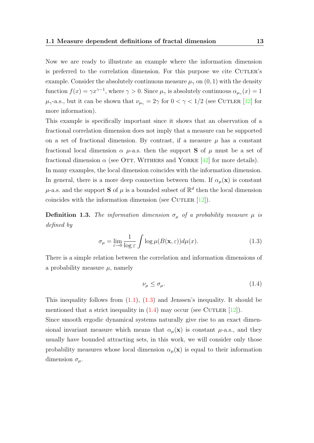Now we are ready to illustrate an example where the information dimension is preferred to the correlation dimension. For this purpose we cite CUTLER's example. Consider the absolutely continuous measure  $\mu_{\gamma}$  on  $(0, 1)$  with the density function  $f(x) = \gamma x^{\gamma - 1}$ , where  $\gamma > 0$ . Since  $\mu_{\gamma}$  is absolutely continuous  $\alpha_{\mu_{\gamma}}(x) = 1$  $\mu_{\gamma}$ -a.s., but it can be shown that  $\nu_{\mu_{\gamma}} = 2\gamma$  for  $0 < \gamma < 1/2$  (see CUTLER [\[12\]](#page-66-7) for more information).

This example is specifically important since it shows that an observation of a fractional correlation dimension does not imply that a measure can be supported on a set of fractional dimension. By contrast, if a measure  $\mu$  has a constant fractional local dimension  $\alpha$   $\mu$ -a.s. then the support **S** of  $\mu$  must be a set of fractional dimension  $\alpha$  (see OTT, WITHERS and YORKE [\[42\]](#page-68-9) for more details). In many examples, the local dimension coincides with the information dimension. In general, there is a more deep connection between them. If  $\alpha_{\mu}(\mathbf{x})$  is constant  $\mu$ -a.s. and the support **S** of  $\mu$  is a bounded subset of  $\mathbb{R}^d$  then the local dimension coincides with the information dimension (see CUTLER  $[12]$ ).

<span id="page-12-2"></span>**Definition 1.3.** The information dimension  $\sigma_{\mu}$  of a probability measure  $\mu$  is defined by

<span id="page-12-0"></span>
$$
\sigma_{\mu} = \lim_{\varepsilon \to 0} \frac{1}{\log \varepsilon} \int \log \mu(B(\mathbf{x}, \varepsilon)) d\mu(x). \tag{1.3}
$$

There is a simple relation between the correlation and information dimensions of a probability measure  $\mu$ , namely

<span id="page-12-1"></span>
$$
\nu_{\mu} \le \sigma_{\mu}.\tag{1.4}
$$

This inequality follows from  $(1.1)$ ,  $(1.3)$  and Jenssen's inequality. It should be mentioned that a strict inequality in  $(1.4)$  may occur (see CUTLER [\[12\]](#page-66-7)).

Since smooth ergodic dynamical systems naturally give rise to an exact dimensional invariant measure which means that  $\alpha_{\mu}(\mathbf{x})$  is constant  $\mu$ -a.s., and they usually have bounded attracting sets, in this work, we will consider only those probability measures whose local dimension  $\alpha_{\mu}(\mathbf{x})$  is equal to their information dimension  $\sigma_{\mu}$ .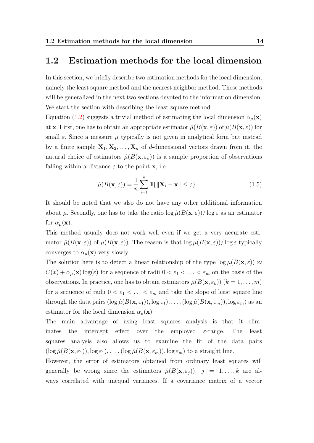#### <span id="page-13-0"></span>1.2 Estimation methods for the local dimension

In this section, we briefly describe two estimation methods for the local dimension, namely the least square method and the nearest neighbor method. These methods will be generalized in the next two sections devoted to the information dimension. We start the section with describing the least square method.

Equation [\(1.2\)](#page-11-0) suggests a trivial method of estimating the local dimension  $\alpha_{\mu}(\mathbf{x})$ at **x**. First, one has to obtain an appropriate estimator  $\hat{\mu}(B(\mathbf{x}, \varepsilon))$  of  $\mu(B(\mathbf{x}, \varepsilon))$  for small  $\varepsilon$ . Since a measure  $\mu$  typically is not given in analytical form but instead by a finite sample  $X_1, X_2, \ldots, X_n$  of d-dimensional vectors drawn from it, the natural choice of estimators  $\hat{\mu}(B(\mathbf{x}, \varepsilon_k))$  is a sample proportion of observations falling within a distance  $\varepsilon$  to the point **x**, i.e.

<span id="page-13-1"></span>
$$
\hat{\mu}(B(\mathbf{x}, \varepsilon)) = \frac{1}{n} \sum_{i=1}^{n} \mathbb{1}\{\|\mathbf{X}_i - \mathbf{x}\| \le \varepsilon\} .
$$
\n(1.5)

It should be noted that we also do not have any other additional information about  $\mu$ . Secondly, one has to take the ratio  $\log \hat{\mu}(B(\mathbf{x}, \varepsilon))/\log \varepsilon$  as an estimator for  $\alpha_{\mu}(\mathbf{x})$ .

This method usually does not work well even if we get a very accurate estimator  $\hat{\mu}(B(\mathbf{x},\varepsilon))$  of  $\mu(B(\mathbf{x},\varepsilon))$ . The reason is that  $\log \mu(B(\mathbf{x},\varepsilon)) / \log \varepsilon$  typically converges to  $\alpha_{\mu}(\mathbf{x})$  very slowly.

The solution here is to detect a linear relationship of the type  $\log \mu(B(\mathbf{x}, \varepsilon)) \approx$  $C(x) + \alpha_\mu(x) \log(\varepsilon)$  for a sequence of radii  $0 < \varepsilon_1 < \ldots < \varepsilon_m$  on the basis of the observations. In practice, one has to obtain estimators  $\hat{\mu}(B(\mathbf{x}, \varepsilon_k))$   $(k = 1, \ldots, m)$ for a sequence of radii  $0 < \varepsilon_1 < \ldots < \varepsilon_m$  and take the slope of least square line through the data pairs  $(\log \hat{\mu}(B(\mathbf{x}, \varepsilon_1)), \log \varepsilon_1), \ldots, (\log \hat{\mu}(B(\mathbf{x}, \varepsilon_m)), \log \varepsilon_m)$  as an estimator for the local dimension  $\alpha_{\mu}(\mathbf{x})$ .

The main advantage of using least squares analysis is that it eliminates the intercept effect over the employed  $\varepsilon$ -range. The least squares analysis also allows us to examine the fit of the data pairs  $(\log \hat{\mu}(B(\mathbf{x}, \varepsilon_1)), \log \varepsilon_1), \ldots, (\log \hat{\mu}(B(\mathbf{x}, \varepsilon_m)), \log \varepsilon_m)$  to a straight line.

However, the error of estimators obtained from ordinary least squares will generally be wrong since the estimators  $\hat{\mu}(B(\mathbf{x}, \varepsilon_i))$ ,  $j = 1, ..., k$  are always correlated with unequal variances. If a covariance matrix of a vector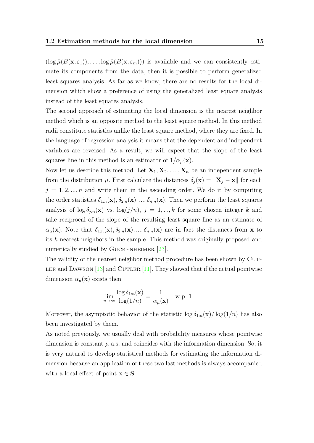$(\log \hat{\mu}(B(\mathbf{x}, \varepsilon_1)), \dots, \log \hat{\mu}(B(\mathbf{x}, \varepsilon_m)))$  is available and we can consistently estimate its components from the data, then it is possible to perform generalized least squares analysis. As far as we know, there are no results for the local dimension which show a preference of using the generalized least square analysis instead of the least squares analysis.

The second approach of estimating the local dimension is the nearest neighbor method which is an opposite method to the least square method. In this method radii constitute statistics unlike the least square method, where they are fixed. In the language of regression analysis it means that the dependent and independent variables are reversed. As a result, we will expect that the slope of the least squares line in this method is an estimator of  $1/\alpha_{\mu}(\mathbf{x})$ .

Now let us describe this method. Let  $X_1, X_2, \ldots, X_n$  be an independent sample from the distribution  $\mu$ . First calculate the distances  $\delta_j(\mathbf{x}) = ||\mathbf{X}_j - \mathbf{x}||$  for each  $j = 1, 2, ..., n$  and write them in the ascending order. We do it by computing the order statistics  $\delta_{1:n}(\mathbf{x}), \delta_{2:n}(\mathbf{x}), ..., \delta_{n:n}(\mathbf{x})$ . Then we perform the least squares analysis of  $\log \delta_{j:n}(\mathbf{x})$  vs.  $\log(j/n)$ ,  $j = 1, ..., k$  for some chosen integer k and take reciprocal of the slope of the resulting least square line as an estimate of  $\alpha_{\mu}(\mathbf{x})$ . Note that  $\delta_{1:n}(\mathbf{x}), \delta_{2:n}(\mathbf{x}), ..., \delta_{n:n}(\mathbf{x})$  are in fact the distances from **x** to its k nearest neighbors in the sample. This method was originally proposed and numerically studied by GUCKENHEIMER [\[23\]](#page-67-3).

The validity of the nearest neighbor method procedure has been shown by CUT-LER and DAWSON  $[13]$  and CUTLER  $[11]$ . They showed that if the actual pointwise dimension  $\alpha_{\mu}(\mathbf{x})$  exists then

$$
\lim_{n \to \infty} \frac{\log \delta_{1:n}(\mathbf{x})}{\log(1/n)} = \frac{1}{\alpha_{\mu}(\mathbf{x})} \quad \text{w.p. 1.}
$$

Moreover, the asymptotic behavior of the statistic  $\log \delta_{1:n}(\mathbf{x})/\log(1/n)$  has also been investigated by them.

As noted previously, we usually deal with probability measures whose pointwise dimension is constant  $\mu$ -a.s. and coincides with the information dimension. So, it is very natural to develop statistical methods for estimating the information dimension because an application of these two last methods is always accompanied with a local effect of point  $\mathbf{x} \in \mathbf{S}$ .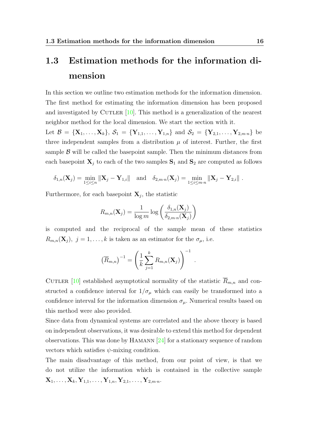## <span id="page-15-0"></span>1.3 Estimation methods for the information dimension

In this section we outline two estimation methods for the information dimension. The first method for estimating the information dimension has been proposed and investigated by CUTLER  $[10]$ . This method is a generalization of the nearest neighbor method for the local dimension. We start the section with it.

Let  $\mathcal{B} = {\mathbf{X}_1, ..., \mathbf{X}_k}$ ,  $\mathcal{S}_1 = {\mathbf{Y}_{1,1}, ..., \mathbf{Y}_{1,n}}$  and  $\mathcal{S}_2 = {\mathbf{Y}_{2,1}, ..., \mathbf{Y}_{2,m,n}}$  be three independent samples from a distribution  $\mu$  of interest. Further, the first sample  $\beta$  will be called the basepoint sample. Then the minimum distances from each basepoint  $X_j$  to each of the two samples  $S_1$  and  $S_2$  are computed as follows

$$
\delta_{1,n}(\mathbf{X}_j) = \min_{1 \leq i \leq n} \|\mathbf{X}_j - \mathbf{Y}_{1,i}\| \text{ and } \delta_{2,m \cdot n}(\mathbf{X}_j) = \min_{1 \leq i \leq m \cdot n} \|\mathbf{X}_j - \mathbf{Y}_{2,i}\|.
$$

Furthermore, for each basepoint  $X_j$ , the statistic

$$
R_{m,n}(\mathbf{X}_j) = \frac{1}{\log m} \log \left( \frac{\delta_{1,n}(\mathbf{X}_j)}{\delta_{2,m \cdot n}(\mathbf{X}_j)} \right)
$$

is computed and the reciprocal of the sample mean of these statistics  $R_{m,n}(\mathbf{X}_j), j = 1, \ldots, k$  is taken as an estimator for the  $\sigma_{\mu}$ , i.e.

.

$$
(\overline{R}_{m,n})^{-1} = \left(\frac{1}{k} \sum_{j=1}^{k} R_{m,n}(\mathbf{X}_j)\right)^{-1}
$$

CUTLER [\[10\]](#page-66-2) established asymptotical normality of the statistic  $R_{m,n}$  and constructed a confidence interval for  $1/\sigma_{\mu}$  which can easily be transformed into a confidence interval for the information dimension  $\sigma_{\mu}$ . Numerical results based on this method were also provided.

Since data from dynamical systems are correlated and the above theory is based on independent observations, it was desirable to extend this method for dependent observations. This was done by HAMANN  $[24]$  for a stationary sequence of random vectors which satisfies  $\psi$ -mixing condition.

The main disadvantage of this method, from our point of view, is that we do not utilize the information which is contained in the collective sample  ${\bf X}_1, \ldots, {\bf X}_k, {\bf Y}_{1,1}, \ldots, {\bf Y}_{1,n}, {\bf Y}_{2,1}, \ldots, {\bf Y}_{2,m \cdot n}.$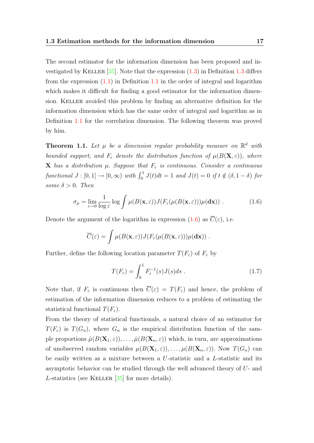The second estimator for the information dimension has been proposed and investigated by KELLER  $[35]$ . Note that the expression  $(1.3)$  in Definition [1.3](#page-12-2) differs from the expression  $(1.1)$  in Definition [1.1](#page-10-3) in the order of integral and logarithm which makes it difficult for finding a good estimator for the information dimension. KELLER avoided this problem by finding an alternative definition for the information dimension which has the same order of integral and logarithm as in Definition [1.1](#page-10-3) for the correlation dimension. The following theorem was proved by him.

**Theorem 1.1.** Let  $\mu$  be a dimension regular probability measure on  $\mathbb{R}^d$  with bounded support, and  $F_{\varepsilon}$  denote the distribution function of  $\mu(B(\mathbf{X},\varepsilon))$ , where **X** has a distribution  $\mu$ . Suppose that  $F_{\varepsilon}$  is continuous. Consider a continuous functional  $J : [0,1] \rightarrow [0,\infty)$  with  $\int_0^1 J(t)dt = 1$  and  $J(t) = 0$  if  $t \notin (\delta, 1-\delta)$  for some  $\delta > 0$ . Then

<span id="page-16-0"></span>
$$
\sigma_{\mu} = \lim_{\varepsilon \to 0} \frac{1}{\log \varepsilon} \log \int \mu(B(\mathbf{x}, \varepsilon)) J(F_{\varepsilon}(\mu(B(\mathbf{x}, \varepsilon))) \mu(\mathbf{dx})) . \tag{1.6}
$$

Denote the argument of the logarithm in expression [\(1.6\)](#page-16-0) as  $\overline{C}(\varepsilon)$ , i.e.

$$
\overline{C}(\varepsilon) = \int \mu(B(\mathbf{x}, \varepsilon)) J(F_{\varepsilon}(\mu(B(\mathbf{x}, \varepsilon))) \mu(\mathbf{dx})).
$$

Further, define the following location parameter  $T(F_{\varepsilon})$  of  $F_{\varepsilon}$  by

$$
T(F_{\varepsilon}) = \int_0^1 F_{\varepsilon}^{-1}(s)J(s)ds .
$$
 (1.7)

Note that, if  $F_{\varepsilon}$  is continuous then  $\overline{C}(\varepsilon) = T(F_{\varepsilon})$  and hence, the problem of estimation of the information dimension reduces to a problem of estimating the statistical functional  $T(F_{\varepsilon})$ .

From the theory of statistical functionals, a natural choice of an estimator for  $T(F_{\varepsilon})$  is  $T(G_n)$ , where  $G_n$  is the empirical distribution function of the sample proportions  $\hat{\mu}(B(\mathbf{X}_1,\varepsilon)), \ldots, \hat{\mu}(B(\mathbf{X}_n,\varepsilon))$  which, in turn, are approximations of unobserved random variables  $\mu(B(\mathbf{X}_1,\varepsilon)),\ldots,\mu(B(\mathbf{X}_n,\varepsilon)).$  Now  $T(G_n)$  can be easily written as a mixture between a U-statistic and a L-statistic and its asymptotic behavior can be studied through the well advanced theory of U- and L-statistics (see KELLER  $[35]$  for more details).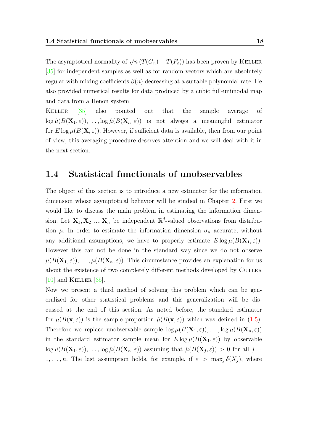The asymptotical normality of  $\sqrt{n} (T(G_n) - T(F_{\varepsilon}))$  has been proven by KELLER [\[35\]](#page-68-4) for independent samples as well as for random vectors which are absolutely regular with mixing coefficients  $\beta(n)$  decreasing at a suitable polynomial rate. He also provided numerical results for data produced by a cubic full-unimodal map and data from a Henon system.

Keller [\[35\]](#page-68-4) also pointed out that the sample average of  $\log \hat{\mu}(B(\mathbf{X}_1,\varepsilon)), \ldots, \log \hat{\mu}(B(\mathbf{X}_n,\varepsilon))$  is not always a meaningful estimator for  $E \log \mu(B(\mathbf{X}, \varepsilon))$ . However, if sufficient data is available, then from our point of view, this averaging procedure deserves attention and we will deal with it in the next section.

#### <span id="page-17-0"></span>1.4 Statistical functionals of unobservables

The object of this section is to introduce a new estimator for the information dimension whose asymptotical behavior will be studied in Chapter [2.](#page-25-0) First we would like to discuss the main problem in estimating the information dimension. Let  $X_1, X_2, ..., X_n$  be independent  $\mathbb{R}^d$ -valued observations from distribution  $\mu$ . In order to estimate the information dimension  $\sigma_{\mu}$  accurate, without any additional assumptions, we have to properly estimate  $E \log \mu(B(\mathbf{X}_1, \varepsilon)).$ However this can not be done in the standard way since we do not observe  $\mu(B(\mathbf{X}_1,\varepsilon)),\ldots,\mu(B(\mathbf{X}_n,\varepsilon)).$  This circumstance provides an explanation for us about the existence of two completely different methods developed by CUTLER  $[10]$  and KELLER  $[35]$ .

Now we present a third method of solving this problem which can be generalized for other statistical problems and this generalization will be discussed at the end of this section. As noted before, the standard estimator for  $\mu(B(\mathbf{x},\varepsilon))$  is the sample proportion  $\hat{\mu}(B(\mathbf{x},\varepsilon))$  which was defined in [\(1.5\)](#page-13-1). Therefore we replace unobservable sample  $\log \mu(B(\mathbf{X}_1, \varepsilon)), \dots, \log \mu(B(\mathbf{X}_n, \varepsilon))$ in the standard estimator sample mean for  $E \log \mu(B(\mathbf{X}_1, \varepsilon))$  by observable  $\log \hat{\mu}(B(\mathbf{X}_1, \varepsilon)), \dots, \log \hat{\mu}(B(\mathbf{X}_n, \varepsilon))$  assuming that  $\hat{\mu}(B(\mathbf{X}_j, \varepsilon)) > 0$  for all  $j =$ 1, ..., *n*. The last assumption holds, for example, if  $\varepsilon > \max_i \delta(X_i)$ , where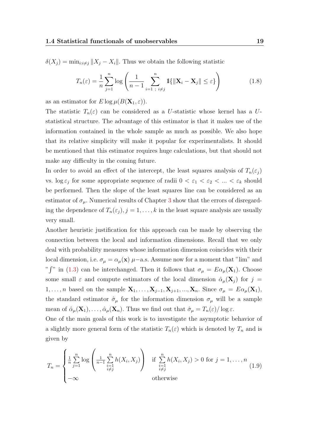$\delta(X_j) = \min_{i:i\neq j} ||X_j - X_i||$ . Thus we obtain the following statistic

<span id="page-18-0"></span>
$$
T_n(\varepsilon) = \frac{1}{n} \sum_{j=1}^n \log \left( \frac{1}{n-1} \sum_{i=1 \ i \neq j}^n 1\{\|\mathbf{X}_i - \mathbf{X}_j\| \leq \varepsilon\} \right) \tag{1.8}
$$

as an estimator for  $E \log \mu(B(\mathbf{X}_1, \varepsilon)).$ 

The statistic  $T_n(\varepsilon)$  can be considered as a U-statistic whose kernel has a Ustatistical structure. The advantage of this estimator is that it makes use of the information contained in the whole sample as much as possible. We also hope that its relative simplicity will make it popular for experimentalists. It should be mentioned that this estimator requires huge calculations, but that should not make any difficulty in the coming future.

In order to avoid an effect of the intercept, the least squares analysis of  $T_n(\varepsilon_j)$ vs.  $\log \varepsilon_j$  for some appropriate sequence of radii  $0 < \varepsilon_1 < \varepsilon_2 < ... < \varepsilon_k$  should be performed. Then the slope of the least squares line can be considered as an estimator of  $\sigma_{\mu}$ . Numerical results of Chapter [3](#page-42-0) show that the errors of disregarding the dependence of  $T_n(\varepsilon_i)$ ,  $j=1,\ldots,k$  in the least square analysis are usually very small.

Another heuristic justification for this approach can be made by observing the connection between the local and information dimensions. Recall that we only deal with probability measures whose information dimension coincides with their local dimension, i.e.  $\sigma_{\mu} = \alpha_{\mu}(\mathbf{x}) \mu$  – a.s. Assume now for a moment that "lim" and " j" in [\(1.3\)](#page-12-0) can be interchanged. Then it follows that  $\sigma_{\mu} = E \alpha_{\mu}(\mathbf{X}_1)$ . Choose some small  $\varepsilon$  and compute estimators of the local dimension  $\hat{\alpha}_{\mu}(\mathbf{X}_i)$  for  $j =$  $1, \ldots, n$  based on the sample  $\mathbf{X}_1, \ldots, \mathbf{X}_{j-1}, \mathbf{X}_{j+1}, \ldots, \mathbf{X}_n$ . Since  $\sigma_{\mu} = E \alpha_{\mu}(\mathbf{X}_1)$ , the standard estimator  $\hat{\sigma}_{\mu}$  for the information dimension  $\sigma_{\mu}$  will be a sample mean of  $\hat{\alpha}_{\mu}(\mathbf{X}_1), \ldots, \hat{\alpha}_{\mu}(\mathbf{X}_n)$ . Thus we find out that  $\hat{\sigma}_{\mu} = T_n(\varepsilon)/\log \varepsilon$ .

One of the main goals of this work is to investigate the asymptotic behavior of a slightly more general form of the statistic  $T_n(\varepsilon)$  which is denoted by  $T_n$  and is given by

<span id="page-18-1"></span>
$$
T_n = \begin{cases} \frac{1}{n} \sum_{j=1}^n \log \left( \frac{1}{n-1} \sum_{\substack{i=1 \\ i \neq j}}^n h(X_i, X_j) \right) & \text{if } \sum_{\substack{i=1 \\ i \neq j}}^n h(X_i, X_j) > 0 \text{ for } j = 1, \dots, n \\ -\infty & \text{otherwise} \end{cases} (1.9)
$$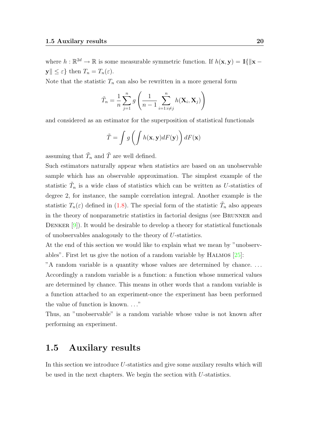where  $h: \mathbb{R}^{2d} \to \mathbb{R}$  is some measurable symmetric function. If  $h(\mathbf{x}, \mathbf{y}) = \mathbb{1}\{\|\mathbf{x} - \mathbf{y}\|_2\}$  $\mathbf{y} \leq \varepsilon$  then  $T_n = T_n(\varepsilon)$ .

Note that the statistic  $T_n$  can also be rewritten in a more general form

$$
\tilde{T}_n = \frac{1}{n} \sum_{j=1}^n g\left(\frac{1}{n-1} \sum_{i=1:i \neq j}^n h(\mathbf{X}_i, \mathbf{X}_j)\right)
$$

and considered as an estimator for the superposition of statistical functionals

$$
\tilde{T} = \int g\left(\int h(\mathbf{x}, \mathbf{y}) dF(\mathbf{y})\right) dF(\mathbf{x})
$$

assuming that  $\tilde{T}_n$  and  $\tilde{T}$  are well defined.

Such estimators naturally appear when statistics are based on an unobservable sample which has an observable approximation. The simplest example of the statistic  $\tilde{T}_n$  is a wide class of statistics which can be written as U-statistics of degree 2, for instance, the sample correlation integral. Another example is the statistic  $T_n(\varepsilon)$  defined in [\(1.8\)](#page-18-0). The special form of the statistic  $\tilde{T}_n$  also appears in the theory of nonparametric statistics in factorial designs (see Brunner and DENKER  $[9]$ ). It would be desirable to develop a theory for statistical functionals of unobservables analogously to the theory of U-statistics.

At the end of this section we would like to explain what we mean by "unobservables". First let us give the notion of a random variable by HALMOS  $[25]$ :

"A random variable is a quantity whose values are determined by chance. . . . Accordingly a random variable is a function: a function whose numerical values are determined by chance. This means in other words that a random variable is a function attached to an experiment-once the experiment has been performed the value of function is known. . . ."

Thus, an "unobservable" is a random variable whose value is not known after performing an experiment.

#### <span id="page-19-0"></span>1.5 Auxilary results

In this section we introduce  $U$ -statistics and give some auxilary results which will be used in the next chapters. We begin the section with U-statistics.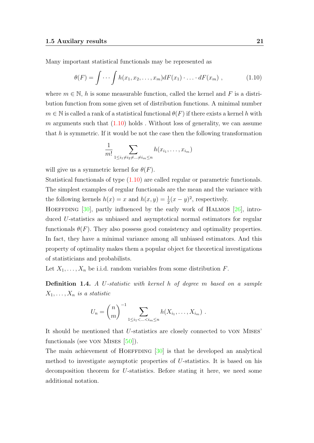Many important statistical functionals may be represented as

<span id="page-20-0"></span>
$$
\theta(F) = \int \cdots \int h(x_1, x_2, \ldots, x_m) dF(x_1) \cdot \ldots \cdot dF(x_m) , \qquad (1.10)
$$

where  $m \in \mathbb{N}$ , h is some measurable function, called the kernel and F is a distribution function from some given set of distribution functions. A minimal number  $m \in \mathbb{N}$  is called a rank of a statistical functional  $\theta(F)$  if there exists a kernel h with  $m$  arguments such that  $(1.10)$  holds. Without loss of generality, we can assume that  $h$  is symmetric. If it would be not the case then the following transformation

$$
\frac{1}{m!} \sum_{1 \leq i_1 \neq i_2 \neq \dots \neq i_m \leq n} h(x_{i_1}, \dots, x_{i_m})
$$

will give us a symmetric kernel for  $\theta(F)$ .

Statistical functionals of type [\(1.10\)](#page-20-0) are called regular or parametric functionals. The simplest examples of regular functionals are the mean and the variance with the following kernels  $h(x) = x$  and  $h(x, y) = \frac{1}{2}(x - y)^2$ , respectively.

HOEFFDING  $[30]$ , partly influenced by the early work of HALMOS  $[26]$ , introduced U-statistics as unbiased and asymptotical normal estimators for regular functionals  $\theta(F)$ . They also possess good consistency and optimality properties. In fact, they have a minimal variance among all unbiased estimators. And this property of optimality makes them a popular object for theoretical investigations of statisticians and probabilists.

Let  $X_1, \ldots, X_n$  be i.i.d. random variables from some distribution F.

Definition 1.4. A U-statistic with kernel h of degree m based on a sample  $X_1, \ldots, X_n$  is a statistic

$$
U_n = {n \choose m}^{-1} \sum_{1 \leq i_1 < ... < i_m \leq n} h(X_{i_1}, ..., X_{i_m}).
$$

It should be mentioned that U-statistics are closely connected to von Mises' functionals (see von Mises  $[50]$ ).

The main achievement of HOEFFDING  $[30]$  is that he developed an analytical method to investigate asymptotic properties of U-statistics. It is based on his decomposition theorem for U-statistics. Before stating it here, we need some additional notation.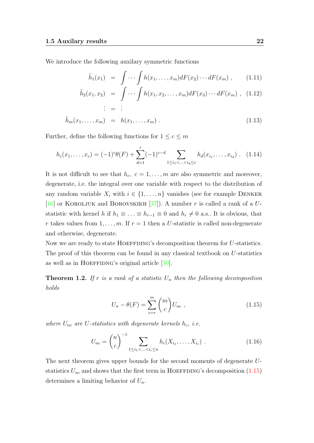We introduce the following auxilary symmetric functions

<span id="page-21-1"></span>
$$
\tilde{h}_1(x_1) = \int \cdots \int h(x_1,\ldots,x_m) dF(x_2)\cdots dF(x_m) , \qquad (1.11)
$$

$$
\tilde{h}_2(x_1, x_2) = \int \cdots \int h(x_1, x_2, \dots, x_m) dF(x_3) \cdots dF(x_m) , \quad (1.12)
$$
\n
$$
\vdots = \vdots
$$

$$
\tilde{h}_m(x_1,\ldots,x_m) = h(x_1,\ldots,x_m). \qquad (1.13)
$$

Further, define the following functions for  $1 \leq c \leq m$ 

<span id="page-21-2"></span>
$$
h_c(x_1,\ldots,x_c) = (-1)^c \theta(F) + \sum_{d=1}^c (-1)^{c-d} \sum_{1 \le i_1 < \ldots < i_d \le c} h_d(x_{i_1},\ldots,x_{i_d}) \ . \tag{1.14}
$$

It is not difficult to see that  $h_c$ ,  $c = 1, \ldots, m$  are also symmetric and moreover, degenerate, i.e. the integral over one variable with respect to the distribution of any random variable  $X_i$  with  $i \in \{1, \ldots, n\}$  vanishes (see for example DENKER [\[16\]](#page-66-9) or KOROLJUK and BOROVSKIKH [\[37\]](#page-68-10)). A number r is called a rank of a  $U$ statistic with kernel h if  $h_1 \equiv \ldots \equiv h_{r-1} \equiv 0$  and  $h_r \neq 0$  a.s.. It is obvious, that r takes values from  $1, \ldots, m$ . If  $r = 1$  then a U-statistic is called non-degenerate and otherwise, degenerate.

Now we are ready to state  $H$ OEFFDING's decomposition theorem for U-statistics. The proof of this theorem can be found in any classical textbook on U-statistics as well as in HOEFFIDNG's original article  $[30]$ .

<span id="page-21-3"></span>**Theorem 1.2.** If r is a rank of a statistic  $U_n$  then the following decomposition holds

<span id="page-21-0"></span>
$$
U_n - \theta(F) = \sum_{c=r}^{m} \binom{m}{c} U_{nc} , \qquad (1.15)
$$

where  $U_{nc}$  are U-statistics with degenerate kernels  $h_c$ , i.e.

<span id="page-21-4"></span>
$$
U_{nc} = {n \choose c}^{-1} \sum_{1 \le i_1 < \ldots < i_c \le n} h_c(X_{i_1}, \ldots, X_{i_c}) . \qquad (1.16)
$$

The next theorem gives upper bounds for the second moments of degenerate Ustatistics  $U_{nc}$  and shows that the first term in HOEFFDING's decomposition [\(1.15\)](#page-21-0) determines a limiting behavior of  $U_n$ .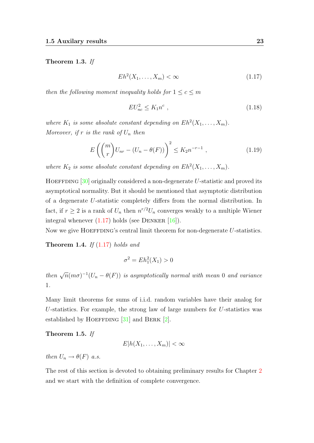#### Theorem 1.3. If

<span id="page-22-0"></span>
$$
Eh^2(X_1, \ldots, X_m) < \infty \tag{1.17}
$$

then the following moment inequality holds for  $1 \leq c \leq m$ 

<span id="page-22-3"></span>
$$
EU_{nc}^2 \le K_1 n^c \tag{1.18}
$$

where  $K_1$  is some absolute constant depending on  $Eh^2(X_1,\ldots,X_m)$ . Moreover, if r is the rank of  $U_n$  then

<span id="page-22-2"></span>
$$
E\left(\binom{m}{r}U_{nr} - (U_n - \theta(F))\right)^2 \le K_2 n^{-r-1},\tag{1.19}
$$

where  $K_2$  is some absolute constant depending on  $Eh^2(X_1,\ldots,X_m)$ .

HOEFFDING  $[30]$  originally considered a non-degenerate U-statistic and proved its asymptotical normality. But it should be mentioned that asymptotic distribution of a degenerate U-statistic completely differs from the normal distribution. In fact, if  $r \geq 2$  is a rank of  $U_n$  then  $n^{r/2}U_n$  converges weakly to a multiple Wiener integral whenever  $(1.17)$  holds (see DENKER [\[16\]](#page-66-9)).

Now we give HOEFFDING's central limit theorem for non-degenerate  $U$ -statistics.

**Theorem 1.4.** If  $(1.17)$  holds and

$$
\sigma^2 = Eh_1^2(X_1) > 0
$$

then  $\sqrt{n}(m\sigma)^{-1}(U_n - \theta(F))$  is asymptotically normal with mean 0 and variance 1.

Many limit theorems for sums of i.i.d. random variables have their analog for U-statistics. For example, the strong law of large numbers for U-statistics was established by HOEFFDING  $[31]$  and BERK  $[2]$ .

Theorem 1.5. If

$$
E|h(X_1,\ldots,X_m)| < \infty
$$

then  $U_n \to \theta(F)$  a.s.

<span id="page-22-1"></span>The rest of this section is devoted to obtaining preliminary results for Chapter [2](#page-25-0) and we start with the definition of complete convergence.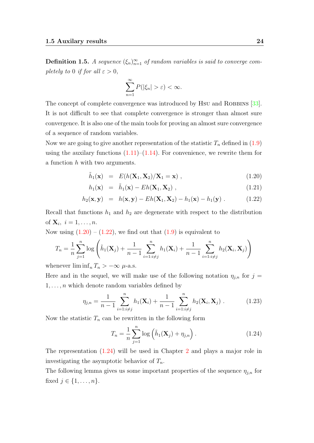**Definition 1.5.** A sequence  $(\xi_n)_{n=1}^{\infty}$  of random variables is said to converge completely to 0 if for all  $\varepsilon > 0$ ,

$$
\sum_{n=1}^{\infty} P(|\xi_n| > \varepsilon) < \infty.
$$

The concept of complete convergence was introduced by Hsu and ROBBINS [\[33\]](#page-67-10). It is not difficult to see that complete convergence is stronger than almost sure convergence. It is also one of the main tools for proving an almost sure convergence of a sequence of random variables.

Now we are going to give another representation of the statistic  $T_n$  defined in [\(1.9\)](#page-18-1) using the auxilary functions  $(1.11)$ – $(1.14)$ . For convenience, we rewrite them for a function h with two arguments.

$$
\tilde{h}_1(\mathbf{x}) = E(h(\mathbf{X}_1, \mathbf{X}_2)/\mathbf{X}_1 = \mathbf{x}), \qquad (1.20)
$$

<span id="page-23-0"></span>
$$
h_1(\mathbf{x}) = \tilde{h}_1(\mathbf{x}) - Eh(\mathbf{X}_1, \mathbf{X}_2), \qquad (1.21)
$$

$$
h_2(\mathbf{x}, \mathbf{y}) = h(\mathbf{x}, \mathbf{y}) - Eh(\mathbf{X}_1, \mathbf{X}_2) - h_1(\mathbf{x}) - h_1(\mathbf{y}). \qquad (1.22)
$$

Recall that functions  $h_1$  and  $h_2$  are degenerate with respect to the distribution of  $\mathbf{X}_i$ ,  $i = 1, \ldots, n$ .

Now using  $(1.20) - (1.22)$  $(1.20) - (1.22)$  $(1.20) - (1.22)$ , we find out that  $(1.9)$  is equivalent to

$$
T_n = \frac{1}{n} \sum_{j=1}^n \log \left( \tilde{h}_1(\mathbf{X}_j) + \frac{1}{n-1} \sum_{i=1:i \neq j}^n h_1(\mathbf{X}_i) + \frac{1}{n-1} \sum_{i=1:i \neq j}^n h_2(\mathbf{X}_i, \mathbf{X}_j) \right)
$$

whenever  $\liminf_n T_n > -\infty$   $\mu$ -a.s.

Here and in the sequel, we will make use of the following notation  $\eta_{i,n}$  for  $j =$  $1, \ldots, n$  which denote random variables defined by

$$
\eta_{j,n} = \frac{1}{n-1} \sum_{i=1:i\neq j}^{n} h_1(\mathbf{X}_i) + \frac{1}{n-1} \sum_{i=1:i\neq j}^{n} h_2(\mathbf{X}_i, \mathbf{X}_j) . \tag{1.23}
$$

Now the statistic  $T_n$  can be rewritten in the following form

<span id="page-23-2"></span><span id="page-23-1"></span>
$$
T_n = \frac{1}{n} \sum_{j=1}^n \log \left( \tilde{h}_1(\mathbf{X}_j) + \eta_{j,n} \right).
$$
 (1.24)

The representation [\(1.24\)](#page-23-1) will be used in Chapter [2](#page-25-0) and plays a major role in investigating the asymptotic behavior of  $T_n$ .

<span id="page-23-3"></span>The following lemma gives us some important properties of the sequence  $\eta_{i,n}$  for fixed  $j \in \{1, \ldots, n\}$ .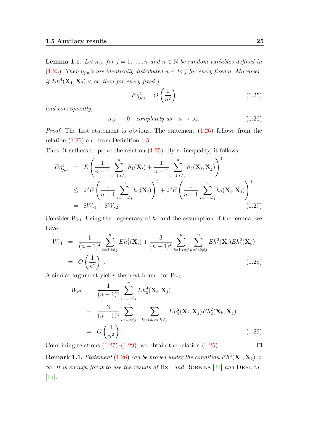**Lemma 1.1.** Let  $\eta_{j,n}$  for  $j = 1, \ldots, n$  and  $n \in \mathbb{N}$  be random variables defined in [\(1.23\)](#page-23-2). Then  $\eta_{j,n}$ 's are identically distributed w.r. to j for every fixed n. Moreover, if  $Eh^4(\mathbf{X}_1, \mathbf{X}_2) < \infty$  then for every fixed j

<span id="page-24-1"></span>
$$
E\eta_{j,n}^4 = O\left(\frac{1}{n^2}\right) \tag{1.25}
$$

and consequently,

<span id="page-24-0"></span>
$$
\eta_{j,n} \to 0 \quad completely \quad as \quad n \to \infty. \tag{1.26}
$$

Proof. The first statement is obvious. The statement [\(1.26\)](#page-24-0) follows from the relation [\(1.25\)](#page-24-1) and from Definition [1.5.](#page-22-1)

Thus, it suffices to prove the relation  $(1.25)$ . By  $c_r$ -inequality, it follows

<span id="page-24-2"></span>
$$
E\eta_{j,n}^4 = E\left(\frac{1}{n-1}\sum_{i=1:i\neq j}^n h_1(\mathbf{X}_i) + \frac{1}{n-1}\sum_{i=1:i\neq j}^n h_2(\mathbf{X}_i, \mathbf{X}_j)\right)^4
$$
  
\n
$$
\leq 2^3 E\left(\frac{1}{n-1}\sum_{i=1:i\neq j}^n h_1(\mathbf{X}_i)\right)^4 + 2^3 E\left(\frac{1}{n-1}\sum_{i=1:i\neq j}^n h_2(\mathbf{X}_i, \mathbf{X}_j)\right)^4
$$
  
\n
$$
= 8W_{r1} + 8W_{r2} .
$$
\n(1.27)

Consider  $W_{r1}$ . Using the degeneracy of  $h_1$  and the assumption of the lemma, we have

$$
W_{r1} = \frac{1}{(n-1)^4} \sum_{i=1:i\neq j}^n Eh_1^4(\mathbf{X}_i) + \frac{3}{(n-1)^4} \sum_{i=1:i\neq j}^n \sum_{k=1:k\neq j}^n Eh_1^2(\mathbf{X}_i) Eh_1^2(\mathbf{X}_k)
$$
  
=  $O\left(\frac{1}{n^2}\right)$  (1.28)

A similar argument yields the next bound for  $W_{r2}$ 

<span id="page-24-3"></span>
$$
W_{r2} = \frac{1}{(n-1)^4} \sum_{i=1:i\neq j}^{n} Eh_2^4(\mathbf{X}_i, \mathbf{X}_j)
$$
  
+ 
$$
\frac{3}{(n-1)^4} \sum_{i=1:i\neq j}^{n} \sum_{k=1:k\neq i:k\neq j}^{n} Eh_2^2(\mathbf{X}_i, \mathbf{X}_j) Eh_2^2(\mathbf{X}_k, \mathbf{X}_j)
$$
  
= 
$$
O\left(\frac{1}{n^2}\right).
$$
 (1.29)

Combining relations  $(1.27)$ – $(1.29)$ , we obtain the relation  $(1.25)$ .  $\Box$ 

**Remark 1.1.** Statement [\(1.26\)](#page-24-0) can be proved under the condition  $Eh^2(\mathbf{X}_1, \mathbf{X}_2)$  <  $\infty$ . It is enough for it to use the results of Hsu and ROBBINS [\[33\]](#page-67-10) and DEHLING [\[15\]](#page-66-10).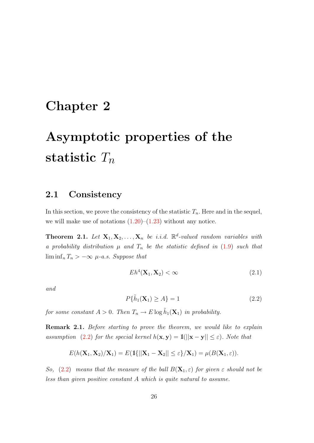## <span id="page-25-0"></span>Chapter 2

# Asymptotic properties of the statistic  $T_n$

### <span id="page-25-1"></span>2.1 Consistency

In this section, we prove the consistency of the statistic  $T_n$ . Here and in the sequel, we will make use of notations  $(1.20)$ – $(1.23)$  without any notice.

<span id="page-25-4"></span>**Theorem 2.1.** Let  $X_1, X_2, \ldots, X_n$  be i.i.d.  $\mathbb{R}^d$ -valued random variables with a probability distribution  $\mu$  and  $T_n$  be the statistic defined in [\(1.9\)](#page-18-1) such that  $\liminf_n T_n > -\infty$   $\mu$ -a.s. Suppose that

<span id="page-25-3"></span>
$$
Eh^4(\mathbf{X}_1, \mathbf{X}_2) < \infty \tag{2.1}
$$

<span id="page-25-2"></span>and

$$
P\{\tilde{h}_1(\mathbf{X}_1) \ge A\} = 1\tag{2.2}
$$

for some constant  $A > 0$ . Then  $T_n \to E \log \tilde{h}_1(\mathbf{X}_1)$  in probability.

Remark 2.1. Before starting to prove the theorem, we would like to explain assumption [\(2.2\)](#page-25-2) for the special kernel  $h(\mathbf{x}, \mathbf{y}) = \mathbb{1}(||\mathbf{x} - \mathbf{y}|| \le \varepsilon)$ . Note that

$$
E(h(\mathbf{X}_1,\mathbf{X}_2)/\mathbf{X}_1)=E(\mathbb{1}\{||\mathbf{X}_1-\mathbf{X}_2||\leq \varepsilon\}/\mathbf{X}_1)=\mu(B(\mathbf{X}_1,\varepsilon)).
$$

So, [\(2.2\)](#page-25-2) means that the measure of the ball  $B(\mathbf{X}_1, \varepsilon)$  for given  $\varepsilon$  should not be less than given positive constant A which is quite natural to assume.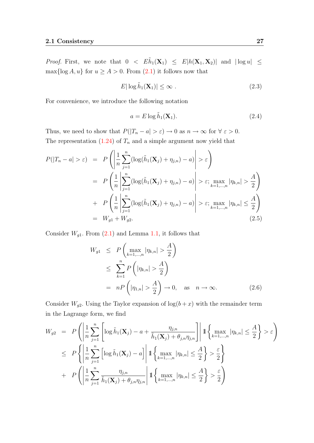*Proof.* First, we note that  $0 < E\tilde{h}_1(\mathbf{X}_1) \leq E|h(\mathbf{X}_1, \mathbf{X}_2)|$  and  $|\log u| \leq$  $\max\{\log A, u\}$  for  $u \geq A > 0$ . From  $(2.1)$  it follows now that

<span id="page-26-0"></span>
$$
E|\log \tilde{h}_1(\mathbf{X}_1)| \le \infty \tag{2.3}
$$

For convenience, we introduce the following notation

<span id="page-26-4"></span>
$$
a = E \log \tilde{h}_1(\mathbf{X}_1). \tag{2.4}
$$

Thus, we need to show that  $P(|T_n - a| > \varepsilon) \to 0$  as  $n \to \infty$  for  $\forall \varepsilon > 0$ . The representation  $(1.24)$  of  $T_n$  and a simple argument now yield that

<span id="page-26-1"></span>
$$
P(|T_n - a| > \varepsilon) = P\left(\left|\frac{1}{n}\sum_{j=1}^n (\log(\tilde{h}_1(\mathbf{X}_j) + \eta_{j,n}) - a)\right| > \varepsilon\right)
$$
  

$$
= P\left(\frac{1}{n}\left|\sum_{j=1}^n (\log(\tilde{h}_1(\mathbf{X}_j) + \eta_{j,n}) - a)\right| > \varepsilon; \max_{k=1,\dots,n} |\eta_{k,n}| > \frac{A}{2}\right)
$$
  

$$
+ P\left(\frac{1}{n}\left|\sum_{j=1}^n (\log(\tilde{h}_1(\mathbf{X}_j) + \eta_{j,n}) - a)\right| > \varepsilon; \max_{k=1,\dots,n} |\eta_{k,n}| \le \frac{A}{2}\right)
$$
  

$$
= W_{g1} + W_{g2}.
$$
 (2.5)

Consider  $W_{g1}$ . From  $(2.1)$  and Lemma [1.1,](#page-23-3) it follows that

<span id="page-26-2"></span>
$$
W_{g1} \le P\left(\max_{k=1,\dots,n} |\eta_{k,n}| > \frac{A}{2}\right)
$$
  
\n
$$
\le \sum_{k=1}^{n} P\left(|\eta_{k,n}| > \frac{A}{2}\right)
$$
  
\n
$$
= nP\left(|\eta_{1,n}| > \frac{A}{2}\right) \to 0, \text{ as } n \to \infty.
$$
 (2.6)

Consider  $W_{g2}$ . Using the Taylor expansion of  $\log(b+x)$  with the remainder term in the Lagrange form, we find

<span id="page-26-3"></span>
$$
W_{g2} = P\left(\left|\frac{1}{n}\sum_{j=1}^{n}\left[\log \tilde{h}_{1}(\mathbf{X}_{j}) - a + \frac{\eta_{j,n}}{\tilde{h}_{1}(\mathbf{X}_{j}) + \theta_{j,n}\eta_{j,n}}\right]\right| \mathbb{1}\left\{\max_{k=1,\dots,n}|\eta_{k,n}| \leq \frac{A}{2}\right\} > \varepsilon\right)
$$
  

$$
\leq P\left\{\left|\frac{1}{n}\sum_{j=1}^{n}\left[\log \tilde{h}_{1}(\mathbf{X}_{j}) - a\right]\right| \mathbb{1}\left\{\max_{k=1,\dots,n}|\eta_{k,n}| \leq \frac{A}{2}\right\} > \frac{\varepsilon}{2}\right\}
$$
  

$$
+ P\left(\left|\frac{1}{n}\sum_{j=1}^{n}\frac{\eta_{j,n}}{\tilde{h}_{1}(\mathbf{X}_{j}) + \theta_{j,n}\eta_{j,n}}\right| \mathbb{1}\left\{\max_{k=1,\dots,n}|\eta_{k,n}| \leq \frac{A}{2}\right\} > \frac{\varepsilon}{2}\right)
$$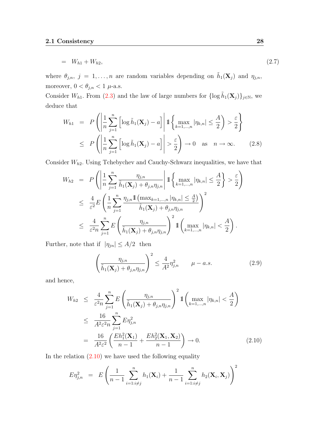$$
= W_{h1} + W_{h2}, \tag{2.7}
$$

where  $\theta_{j,n}, j = 1, \ldots, n$  are random variables depending on  $\tilde{h}_1(\mathbf{X}_j)$  and  $\eta_{j,n}$ , moreover,  $0 < \theta_{j,n} < 1$ <br> $\mu\textrm{-a.s.}$ 

Consider W<sub>h1</sub>. From [\(2.3\)](#page-26-0) and the law of large numbers for  $\{\log \tilde{h}_1(\mathbf{X}_j)\}_{j\in\mathbb{N}}$ , we deduce that

<span id="page-27-1"></span>
$$
W_{h1} = P\left(\left|\frac{1}{n}\sum_{j=1}^{n} \left[\log \tilde{h}_1(\mathbf{X}_j) - a\right] \middle| 1 \left\{\max_{k=1,\dots,n} |\eta_{k,n}| \leq \frac{A}{2}\right\}\right\}
$$
  

$$
\leq P\left(\left|\frac{1}{n}\sum_{j=1}^{n} \left[\log \tilde{h}_1(\mathbf{X}_j) - a\right] \middle| > \frac{\varepsilon}{2}\right) \to 0 \quad \text{as} \quad n \to \infty. \tag{2.8}
$$

Consider  $W_{h2}$ . Using Tchebychev and Cauchy-Schwarz inequalities, we have that

<span id="page-27-2"></span>
$$
W_{h2} = P\left(\left|\frac{1}{n}\sum_{j=1}^{n} \frac{\eta_{j,n}}{\tilde{h}_1(\mathbf{X}_j) + \theta_{j,n}\eta_{j,n}}\right| \mathbb{1}\left\{\max_{k=1,\dots,n} |\eta_{k,n}| \leq \frac{A}{2}\right\} > \frac{\varepsilon}{2}\right)
$$
  

$$
\leq \frac{4}{\varepsilon^2} E\left(\frac{1}{n}\sum_{j=1}^{n} \frac{\eta_{j,n} \mathbb{1}\left(\max_{k=1,\dots,n} |\eta_{k,n}| \leq \frac{A}{2}\right)}{\tilde{h}_1(\mathbf{X}_j) + \theta_{j,n}\eta_{j,n}}\right)^2
$$
  

$$
\leq \frac{4}{\varepsilon^2 n} \sum_{j=1}^{n} E\left(\frac{\eta_{j,n}}{\tilde{h}_1(\mathbf{X}_j) + \theta_{j,n}\eta_{j,n}}\right)^2 \mathbb{1}\left(\max_{k=1,\dots,n} |\eta_{k,n}| < \frac{A}{2}\right).
$$

Further, note that if  $|\eta_{jn}| \leq A/2$  then

$$
\left(\frac{\eta_{j,n}}{\tilde{h}_1(\mathbf{X}_j) + \theta_{j,n}\eta_{j,n}}\right)^2 \le \frac{4}{A^2} \eta_{j,n}^2 \qquad \mu - a.s.
$$
\n(2.9)

and hence,

<span id="page-27-0"></span>
$$
W_{h2} \leq \frac{4}{\varepsilon^2 n} \sum_{j=1}^n E\left(\frac{\eta_{j,n}}{\tilde{h}_1(\mathbf{X}_j) + \theta_{j,n} \eta_{j,n}}\right)^2 \mathbb{1}\left(\max_{k=1,\dots,n} |\eta_{k,n}| < \frac{A}{2}\right)
$$
  

$$
\leq \frac{16}{A^2 \varepsilon^2 n} \sum_{j=1}^n E\eta_{j,n}^2
$$
  

$$
= \frac{16}{A^2 \varepsilon^2} \left(\frac{Eh_1^2(\mathbf{X}_1)}{n-1} + \frac{Eh_2^2(\mathbf{X}_1, \mathbf{X}_2)}{n-1}\right) \to 0.
$$
 (2.10)

In the relation  $(2.10)$  we have used the following equality

<span id="page-27-3"></span>
$$
E\eta_{j,n}^2 = E\left(\frac{1}{n-1}\sum_{i=1:i\neq j}^n h_1(\mathbf{X}_i) + \frac{1}{n-1}\sum_{i=1:i\neq j}^n h_2(\mathbf{X}_i, \mathbf{X}_j)\right)^2
$$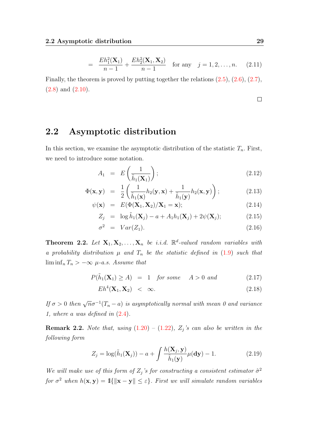$$
= \frac{Eh_1^2(\mathbf{X}_1)}{n-1} + \frac{Eh_2^2(\mathbf{X}_1, \mathbf{X}_2)}{n-1} \quad \text{for any} \quad j = 1, 2, ..., n. \tag{2.11}
$$

Finally, the theorem is proved by putting together the relations [\(2.5\)](#page-26-1), [\(2.6\)](#page-26-2), [\(2.7\)](#page-26-3),  $(2.8)$  and  $(2.10)$ .

 $\Box$ 

#### <span id="page-28-0"></span>2.2 Asymptotic distribution

In this section, we examine the asymptotic distribution of the statistic  $T_n$ . First, we need to introduce some notation.

<span id="page-28-3"></span>
$$
A_1 = E\left(\frac{1}{\tilde{h}_1(\mathbf{X}_1)}\right); \tag{2.12}
$$

$$
\Phi(\mathbf{x}, \mathbf{y}) = \frac{1}{2} \left( \frac{1}{\tilde{h}_1(\mathbf{x})} h_2(\mathbf{y}, \mathbf{x}) + \frac{1}{\tilde{h}_1(\mathbf{y})} h_2(\mathbf{x}, \mathbf{y}) \right); \tag{2.13}
$$

$$
\psi(\mathbf{x}) = E(\Phi(\mathbf{X}_1, \mathbf{X}_2)/\mathbf{X}_1 = \mathbf{x});
$$
\n(2.14)

$$
Z_j = \log \tilde{h}_1(\mathbf{X}_j) - a + A_1 h_1(\mathbf{X}_j) + 2\psi(\mathbf{X}_j); \tag{2.15}
$$

$$
\sigma^2 = Var(Z_1). \tag{2.16}
$$

**Theorem 2.2.** Let  $X_1, X_2, \ldots, X_n$  be i.i.d.  $\mathbb{R}^d$ -valued random variables with a probability distribution  $\mu$  and  $T_n$  be the statistic defined in [\(1.9\)](#page-18-1) such that  $\liminf_n T_n > -\infty$   $\mu$ -a.s. Assume that

<span id="page-28-2"></span>
$$
P(\tilde{h}_1(\mathbf{X}_1) \ge A) = 1 \quad \text{for some} \quad A > 0 \text{ and} \tag{2.17}
$$

$$
Eh^4(\mathbf{X}_1, \mathbf{X}_2) < \infty. \tag{2.18}
$$

If  $\sigma > 0$  then  $\sqrt{n}\sigma^{-1}(T_n - a)$  is asymptotically normal with mean 0 and variance 1, where a was defined in [\(2.4\)](#page-26-4).

<span id="page-28-4"></span>**Remark 2.2.** Note that, using  $(1.20) - (1.22)$  $(1.20) - (1.22)$  $(1.20) - (1.22)$ ,  $Z_j$ 's can also be written in the following form

<span id="page-28-1"></span>
$$
Z_j = \log(\tilde{h}_1(\mathbf{X}_j)) - a + \int \frac{h(\mathbf{X}_j, \mathbf{y})}{\tilde{h}_1(\mathbf{y})} \mu(\mathbf{dy}) - 1.
$$
 (2.19)

We will make use of this form of  $Z_j$ 's for constructing a consistent estimator  $\hat{\sigma}^2$ for  $\sigma^2$  when  $h(\mathbf{x}, \mathbf{y}) = \mathbb{1}\{\|\mathbf{x} - \mathbf{y}\| \leq \varepsilon\}$ . First we will simulate random variables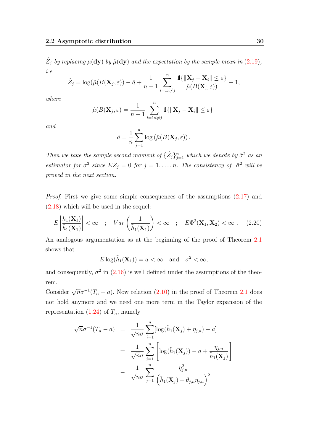$\hat{Z}_j$  by replacing  $\mu(\mathbf{dy})$  by  $\hat{\mu}(\mathbf{dy})$  and the expectation by the sample mean in [\(2.19\)](#page-28-1), i.e.

$$
\hat{Z}_j = \log(\hat{\mu}(B(\mathbf{X}_j, \varepsilon)) - \hat{a} + \frac{1}{n-1} \sum_{i=1:i \neq j}^n \frac{\mathbb{1}\{\|\mathbf{X}_j - \mathbf{X}_i\| \leq \varepsilon\}}{\hat{\mu}(B(\mathbf{X}_i, \varepsilon))} - 1,
$$

where

$$
\hat{\mu}(B(\mathbf{X}_j, \varepsilon) = \frac{1}{n-1} \sum_{i=1:i \neq j}^n \mathbb{1}\{\|\mathbf{X}_j - \mathbf{X}_i\| \le \varepsilon\}
$$

and

$$
\hat{a} = \frac{1}{n} \sum_{j=1}^{n} \log \left( \hat{\mu}(B(\mathbf{X}_{j}, \varepsilon)) \right).
$$

Then we take the sample second moment of  $\{\hat{Z}_j\}_{j=1}^n$  which we denote by  $\hat{\sigma}^2$  as an estimator for  $\sigma^2$  since  $EZ_j = 0$  for  $j = 1, \ldots, n$ . The consistency of  $\hat{\sigma}^2$  will be proved in the next section.

Proof. First we give some simple consequences of the assumptions  $(2.17)$  and [\(2.18\)](#page-28-2) which will be used in the sequel:

$$
E\left|\frac{h_1(\mathbf{X}_1)}{\tilde{h}_1(\mathbf{X}_1)}\right| < \infty \quad ; \quad Var\left(\frac{1}{\tilde{h}_1(\mathbf{X}_1)}\right) < \infty \quad ; \quad E\Phi^2(\mathbf{X}_1, \mathbf{X}_2) < \infty \quad . \quad (2.20)
$$

An analogous argumentation as at the beginning of the proof of Theorem [2.1](#page-25-4) shows that

<span id="page-29-0"></span>
$$
E \log(\tilde{h}_1(\mathbf{X}_1)) = a < \infty \quad \text{and} \quad \sigma^2 < \infty,
$$

and consequently,  $\sigma^2$  in [\(2.16\)](#page-28-3) is well defined under the assumptions of the theorem.

Consider  $\sqrt{n}\sigma^{-1}(T_n - a)$ . Now relation [\(2.10\)](#page-27-0) in the proof of Theorem [2.1](#page-25-4) does not hold anymore and we need one more term in the Taylor expansion of the representation  $(1.24)$  of  $T_n$ , namely

<span id="page-29-1"></span>
$$
\sqrt{n}\sigma^{-1}(T_n - a) = \frac{1}{\sqrt{n}\sigma} \sum_{j=1}^n [\log(\tilde{h}_1(\mathbf{X}_j) + \eta_{j,n}) - a]
$$
  

$$
= \frac{1}{\sqrt{n}\sigma} \sum_{j=1}^n \left[ \log(\tilde{h}_1(\mathbf{X}_j)) - a + \frac{\eta_{j,n}}{\tilde{h}_1(\mathbf{X}_j)} \right]
$$
  

$$
- \frac{1}{\sqrt{n}\sigma} \sum_{j=1}^n \frac{\eta_{j,n}^2}{\left(\tilde{h}_1(\mathbf{X}_j) + \theta_{j,n}\eta_{j,n}\right)^2}
$$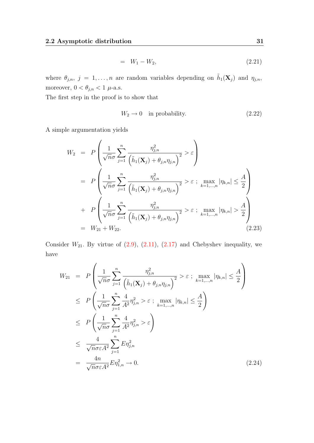$$
= W_1 - W_2, \tag{2.21}
$$

where  $\theta_{j,n}, j = 1, \ldots, n$  are random variables depending on  $\tilde{h}_1(\mathbf{X}_j)$  and  $\eta_{j,n}$ , moreover,  $0<\theta_{j,n}<1$   $\mu\text{-a.s.}$ 

The first step in the proof is to show that

<span id="page-30-2"></span>
$$
W_2 \to 0 \quad \text{in probability.} \tag{2.22}
$$

A simple argumentation yields

<span id="page-30-0"></span>
$$
W_2 = P\left(\frac{1}{\sqrt{n}\sigma} \sum_{j=1}^n \frac{\eta_{j,n}^2}{(\tilde{h}_1(\mathbf{X}_j) + \theta_{j,n}\eta_{j,n})^2} > \varepsilon\right)
$$
  
=  $P\left(\frac{1}{\sqrt{n}\sigma} \sum_{j=1}^n \frac{\eta_{j,n}^2}{(\tilde{h}_1(\mathbf{X}_j) + \theta_{j,n}\eta_{j,n})^2} > \varepsilon ; \max_{k=1,...,n} |\eta_{k,n}| \leq \frac{A}{2}\right)$   
+  $P\left(\frac{1}{\sqrt{n}\sigma} \sum_{j=1}^n \frac{\eta_{j,n}^2}{(\tilde{h}_1(\mathbf{X}_j) + \theta_{j,n}\eta_{j,n})^2} > \varepsilon ; \max_{k=1,...,n} |\eta_{k,n}| > \frac{A}{2}\right)$   
=  $W_{21} + W_{22}.$  (2.23)

Consider  $W_{21}$ . By virtue of  $(2.9)$ ,  $(2.11)$ ,  $(2.17)$  and Chebyshev inequality, we have

<span id="page-30-1"></span>
$$
W_{21} = P\left(\frac{1}{\sqrt{n}\sigma} \sum_{j=1}^{n} \frac{\eta_{j,n}^{2}}{\left(\tilde{h}_{1}(\mathbf{X}_{j}) + \theta_{j,n} \eta_{j,n}\right)^{2}} > \varepsilon ; \max_{k=1,...,n} |\eta_{k,n}| \leq \frac{A}{2}\right)
$$
  
\n
$$
\leq P\left(\frac{1}{\sqrt{n}\sigma} \sum_{j=1}^{n} \frac{4}{A^{2}} \eta_{j,n}^{2} > \varepsilon ; \max_{k=1,...,n} |\eta_{k,n}| \leq \frac{A}{2}\right)
$$
  
\n
$$
\leq P\left(\frac{1}{\sqrt{n}\sigma} \sum_{j=1}^{n} \frac{4}{A^{2}} \eta_{j,n}^{2} > \varepsilon\right)
$$
  
\n
$$
\leq \frac{4}{\sqrt{n}\sigma \varepsilon A^{2}} \sum_{j=1}^{n} E \eta_{j,n}^{2}
$$
  
\n
$$
= \frac{4n}{\sqrt{n}\sigma \varepsilon A^{2}} E \eta_{1,n}^{2} \to 0.
$$
 (2.24)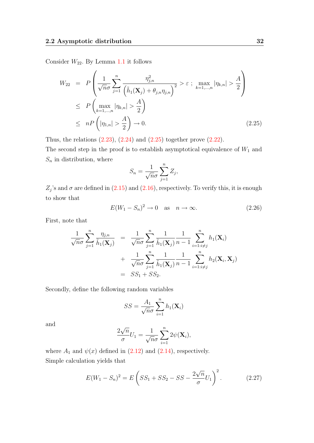Consider  $W_{22}$ . By Lemma [1.1](#page-23-3) it follows

<span id="page-31-0"></span>
$$
W_{22} = P\left(\frac{1}{\sqrt{n}\sigma} \sum_{j=1}^{n} \frac{\eta_{j,n}^2}{\left(\tilde{h}_1(\mathbf{X}_j) + \theta_{j,n} \eta_{j,n}\right)^2} > \varepsilon \; ; \; \max_{k=1,\dots,n} |\eta_{k,n}| > \frac{A}{2}\right)
$$
  
\$\leq P\left(\max\_{k=1,\dots,n} |\eta\_{k,n}| > \frac{A}{2}\right)\$  
\$\leq nP\left(|\eta\_{1,n}| > \frac{A}{2}\right) \to 0\$. (2.25)

Thus, the relations  $(2.23)$ ,  $(2.24)$  and  $(2.25)$  together prove  $(2.22)$ .

The second step in the proof is to establish asymptotical equivalence of  $W_1$  and  $S_n$  in distribution, where

$$
S_n = \frac{1}{\sqrt{n}\sigma} \sum_{j=1}^n Z_j,
$$

 $Z_j$ 's and  $\sigma$  are defined in [\(2.15\)](#page-28-3) and [\(2.16\)](#page-28-3), respectively. To verify this, it is enough to show that

<span id="page-31-2"></span>
$$
E(W_1 - S_n)^2 \to 0 \quad \text{as} \quad n \to \infty. \tag{2.26}
$$

First, note that

$$
\frac{1}{\sqrt{n}\sigma}\sum_{j=1}^{n}\frac{\eta_{j,n}}{\tilde{h}_1(\mathbf{X}_j)} = \frac{1}{\sqrt{n}\sigma}\sum_{j=1}^{n}\frac{1}{\tilde{h}_1(\mathbf{X}_j)}\frac{1}{n-1}\sum_{i=1:i\neq j}^{n}h_1(\mathbf{X}_i) + \frac{1}{\sqrt{n}\sigma}\sum_{j=1}^{n}\frac{1}{\tilde{h}_1(\mathbf{X}_j)}\frac{1}{n-1}\sum_{i=1:i\neq j}^{n}h_2(\mathbf{X}_i,\mathbf{X}_j) = SS_1 + SS_2.
$$

Secondly, define the following random variables

$$
SS = \frac{A_1}{\sqrt{n}\sigma} \sum_{i=1}^{n} h_1(\mathbf{X}_i)
$$

and

<span id="page-31-1"></span>
$$
\frac{2\sqrt{n}}{\sigma}U_1 = \frac{1}{\sqrt{n}\sigma}\sum_{i=1}^n 2\psi(\mathbf{X}_i),
$$

where  $A_1$  and  $\psi(x)$  defined in [\(2.12\)](#page-28-3) and [\(2.14\)](#page-28-3), respectively. Simple calculation yields that

$$
E(W_1 - S_n)^2 = E\left(SS_1 + SS_2 - SS - \frac{2\sqrt{n}}{\sigma}U_1\right)^2.
$$
 (2.27)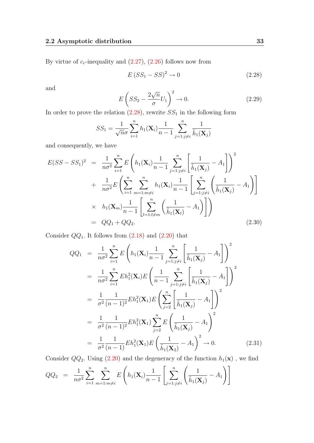By virtue of  $c_r$ -inequality and  $(2.27)$ ,  $(2.26)$  follows now from

<span id="page-32-0"></span>
$$
E\left(SS_1 - SS\right)^2 \to 0\tag{2.28}
$$

<span id="page-32-4"></span>and

$$
E\left(SS_2 - \frac{2\sqrt{n}}{\sigma}U_1\right)^2 \to 0.
$$
\n(2.29)

In order to prove the relation  $(2.28)$ , rewrite  $SS<sub>1</sub>$  in the following form

$$
SS_1 = \frac{1}{\sqrt{n}\sigma} \sum_{i=1}^{n} h_1(\mathbf{X}_i) \frac{1}{n-1} \sum_{j=1:j\neq i}^{n} \frac{1}{\tilde{h}_1(\mathbf{X}_j)}
$$

and consequently, we have

<span id="page-32-1"></span>
$$
E(SS - SS_1)^2 = \frac{1}{n\sigma^2} \sum_{i=1}^n E\left(h_1(\mathbf{X}_i) \frac{1}{n-1} \sum_{j=1:j\neq i}^n \left[\frac{1}{\tilde{h}_1(\mathbf{X}_j)} - A_1\right]\right)^2 + \frac{1}{n\sigma^2} E\left(\sum_{i=1}^n \sum_{m=1:m\neq i}^n h_1(\mathbf{X}_i) \frac{1}{n-1} \left[\sum_{j=1:j\neq i}^n \left(\frac{1}{\tilde{h}_1(\mathbf{X}_j)} - A_1\right)\right]\right)
$$
  
 
$$
\times h_1(\mathbf{X}_m) \frac{1}{n-1} \left[\sum_{l=1:l\neq m}^n \left(\frac{1}{\tilde{h}_1(\mathbf{X}_l)} - A_1\right)\right]
$$
  
 
$$
= QQ_1 + QQ_2.
$$
 (2.30)

Consider  $QQ_1$ . It follows from  $(2.18)$  and  $(2.20)$  that

<span id="page-32-2"></span>
$$
QQ_{1} = \frac{1}{n\sigma^{2}} \sum_{i=1}^{n} E\left(h_{1}(\mathbf{X}_{i}) \frac{1}{n-1} \sum_{j=1:j\neq i}^{n} \left[\frac{1}{\tilde{h}_{1}(\mathbf{X}_{j})} - A_{1}\right]\right)^{2}
$$
  
\n
$$
= \frac{1}{n\sigma^{2}} \sum_{i=1}^{n} Eh_{1}^{2}(\mathbf{X}_{i}) E\left(\frac{1}{n-1} \sum_{j=1:j\neq i}^{n} \left[\frac{1}{\tilde{h}_{1}(\mathbf{X}_{j})} - A_{1}\right]\right)^{2}
$$
  
\n
$$
= \frac{1}{\sigma^{2}} \frac{1}{(n-1)^{2}} Eh_{1}^{2}(\mathbf{X}_{1}) E\left(\sum_{j=2}^{n} \left[\frac{1}{\tilde{h}_{1}(\mathbf{X}_{j})} - A_{1}\right]\right)^{2}
$$
  
\n
$$
= \frac{1}{\sigma^{2}} \frac{1}{(n-1)^{2}} Eh_{1}^{2}(\mathbf{X}_{1}) \sum_{j=2}^{n} E\left(\frac{1}{\tilde{h}_{1}(\mathbf{X}_{j})} - A_{1}\right)^{2}
$$
  
\n
$$
= \frac{1}{\sigma^{2}} \frac{1}{(n-1)} Eh_{1}^{2}(\mathbf{X}_{1}) E\left(\frac{1}{\tilde{h}_{1}(\mathbf{X}_{2})} - A_{1}\right)^{2} \to 0.
$$
 (2.31)

Consider  $QQ_2$ . Using  $(2.20)$  and the degeneracy of the function  $h_1(\mathbf{x})$ , we find

<span id="page-32-3"></span>
$$
QQ_2 = \frac{1}{n\sigma^2} \sum_{i=1}^n \sum_{m=1:m \neq i}^n E\left(h_1(\mathbf{X}_i) \frac{1}{n-1} \left[ \sum_{j=1:j \neq i}^n \left( \frac{1}{\tilde{h}_1(\mathbf{X}_j)} - A_1 \right) \right] \right)
$$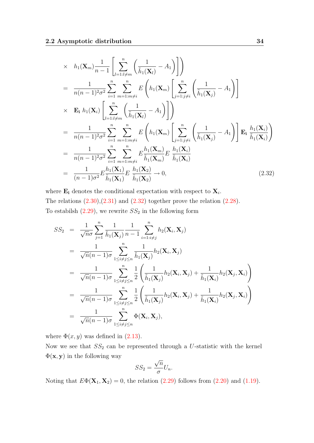$$
\times h_1(\mathbf{X}_m) \frac{1}{n-1} \left[ \sum_{l=1:l \neq m}^n \left( \frac{1}{\tilde{h}_1(\mathbf{X}_l)} - A_1 \right) \right] \right)
$$
\n
$$
= \frac{1}{n(n-1)^2 \sigma^2} \sum_{i=1}^n \sum_{m=1:m \neq i}^n E\left(h_1(\mathbf{X}_m) \left[ \sum_{j=1:j \neq i}^n \left( \frac{1}{\tilde{h}_1(\mathbf{X}_j)} - A_1 \right) \right] \times \mathbf{E}_i h_1(\mathbf{X}_i) \left[ \sum_{l=1:l \neq m}^n \left( \frac{1}{\tilde{h}_1(\mathbf{X}_l)} - A_1 \right) \right] \right)
$$
\n
$$
= \frac{1}{n(n-1)^2 \sigma^2} \sum_{i=1}^n \sum_{m=1:m \neq i}^n E\left(h_1(\mathbf{X}_m) \left[ \sum_{j=1:j \neq i}^n \left( \frac{1}{\tilde{h}_1(\mathbf{X}_j)} - A_1 \right) \right] \mathbf{E}_i \frac{h_1(\mathbf{X}_i)}{\tilde{h}_1(\mathbf{X}_i)} \right)
$$
\n
$$
= \frac{1}{n(n-1)^2 \sigma^2} \sum_{i=1}^n \sum_{m=1:m \neq i}^n E\frac{h_1(\mathbf{X}_m)}{\tilde{h}_1(\mathbf{X}_m)} E\frac{h_1(\mathbf{X}_i)}{\tilde{h}_1(\mathbf{X}_i)}
$$
\n
$$
= \frac{1}{(n-1)\sigma^2} E\frac{h_1(\mathbf{X}_1)}{\tilde{h}_1(\mathbf{X}_1)} E\frac{h_1(\mathbf{X}_2)}{\tilde{h}_1(\mathbf{X}_2)} \to 0,
$$
\n(2.32)

where  $\mathbf{E}_{i}$  denotes the conditional expectation with respect to  $\mathbf{X}_{i}$ . The relations  $(2.30),(2.31)$  $(2.30),(2.31)$  $(2.30),(2.31)$  and  $(2.32)$  together prove the relation  $(2.28)$ . To estabilsh  $(2.29)$ , we rewrite  $SS_2$  in the following form

<span id="page-33-0"></span>
$$
SS_2 = \frac{1}{\sqrt{n}\sigma} \sum_{j=1}^n \frac{1}{\tilde{h}_1(\mathbf{X}_j)} \frac{1}{n-1} \sum_{i=1:i\neq j}^n h_2(\mathbf{X}_i, \mathbf{X}_j)
$$
  
\n
$$
= \frac{1}{\sqrt{n}(n-1)\sigma} \sum_{1 \leq i \neq j \leq n}^n \frac{1}{\tilde{h}_1(\mathbf{X}_j)} h_2(\mathbf{X}_i, \mathbf{X}_j)
$$
  
\n
$$
= \frac{1}{\sqrt{n}(n-1)\sigma} \sum_{1 \leq i \neq j \leq n}^n \frac{1}{2} \left( \frac{1}{\tilde{h}_1(\mathbf{X}_j)} h_2(\mathbf{X}_i, \mathbf{X}_j) + \frac{1}{\tilde{h}_1(\mathbf{X}_i)} h_2(\mathbf{X}_j, \mathbf{X}_i) \right)
$$
  
\n
$$
= \frac{1}{\sqrt{n}(n-1)\sigma} \sum_{1 \leq i \neq j \leq n}^n \frac{1}{2} \left( \frac{1}{\tilde{h}_1(\mathbf{X}_j)} h_2(\mathbf{X}_i, \mathbf{X}_j) + \frac{1}{\tilde{h}_1(\mathbf{X}_i)} h_2(\mathbf{X}_j, \mathbf{X}_i) \right)
$$
  
\n
$$
= \frac{1}{\sqrt{n}(n-1)\sigma} \sum_{1 \leq i \neq j \leq n}^n \Phi(\mathbf{X}_i, \mathbf{X}_j),
$$

where  $\Phi(x, y)$  was defined in [\(2.13\)](#page-28-3).

Now we see that  $SS_2$  can be represented through a U-statistic with the kernel  $\Phi(\mathbf{x}, \mathbf{y})$  in the following way √

$$
SS_2 = \frac{\sqrt{n}}{\sigma}U_n.
$$

Noting that  $E\Phi(\mathbf{X}_1, \mathbf{X}_2) = 0$ , the relation [\(2.29\)](#page-32-4) follows from [\(2.20\)](#page-29-0) and [\(1.19\)](#page-22-2).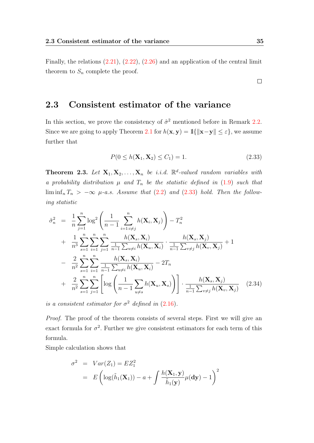### <span id="page-34-0"></span>2.3 Consistent estimator of the variance

In this section, we prove the consistency of  $\hat{\sigma}^2$  mentioned before in Remark [2.2.](#page-28-4) Since we are going to apply Theorem [2.1](#page-25-4) for  $h(\mathbf{x}, \mathbf{y}) = \mathbb{1}\{\|\mathbf{x}-\mathbf{y}\| \leq \varepsilon\}$ , we assume further that

$$
P(0 \le h(\mathbf{X}_1, \mathbf{X}_2) \le C_1) = 1. \tag{2.33}
$$

<span id="page-34-3"></span>**Theorem 2.3.** Let  $X_1, X_2, ..., X_n$  be i.i.d.  $\mathbb{R}^d$ -valued random variables with a probability distribution  $\mu$  and  $T_n$  be the statistic defined in [\(1.9\)](#page-18-1) such that  $\liminf_n T_n > -\infty$   $\mu$ -a.s. Assume that [\(2.2\)](#page-25-2) and [\(2.33\)](#page-33-0) hold. Then the following statistic

<span id="page-34-2"></span>
$$
\hat{\sigma}_n^2 = \frac{1}{n} \sum_{j=1}^n \log^2 \left( \frac{1}{n-1} \sum_{i=1:i \neq j}^n h(\mathbf{X}_i, \mathbf{X}_j) \right) - T_n^2 + \frac{1}{n^3} \sum_{s=1}^n \sum_{i=1}^n \sum_{j=1}^n \frac{h(\mathbf{X}_s, \mathbf{X}_i)}{\frac{1}{n-1} \sum_{u \neq i} h(\mathbf{X}_u, \mathbf{X}_i)} \cdot \frac{h(\mathbf{X}_s, \mathbf{X}_j)}{\frac{1}{n-1} \sum_{v \neq j} h(\mathbf{X}_v, \mathbf{X}_j)} + 1 - \frac{2}{n^2} \sum_{s=1}^n \sum_{i=1}^n \frac{h(\mathbf{X}_s, \mathbf{X}_i)}{\frac{1}{n-1} \sum_{u \neq i} h(\mathbf{X}_u, \mathbf{X}_i)} - 2T_n + \frac{2}{n^2} \sum_{s=1}^n \sum_{j=1}^n \left[ \log \left( \frac{1}{n-1} \sum_{u \neq s} h(\mathbf{X}_u, \mathbf{X}_s) \right) \right] \cdot \frac{h(\mathbf{X}_s, \mathbf{X}_j)}{\frac{1}{n-1} \sum_{v \neq j} h(\mathbf{X}_v, \mathbf{X}_j)} \tag{2.34}
$$

is a consistent estimator for  $\sigma^2$  defined in [\(2.16\)](#page-28-3).

Proof. The proof of the theorem consists of several steps. First we will give an exact formula for  $\sigma^2$ . Further we give consistent estimators for each term of this formula.

Simple calculation shows that

<span id="page-34-1"></span>
$$
\sigma^2 = Var(Z_1) = EZ_1^2
$$
  
=  $E\left(\log(\tilde{h}_1(\mathbf{X}_1)) - a + \int \frac{h(\mathbf{X}_1, \mathbf{y})}{\tilde{h}_1(\mathbf{y})} \mu(\mathbf{dy}) - 1\right)^2$ 

 $\Box$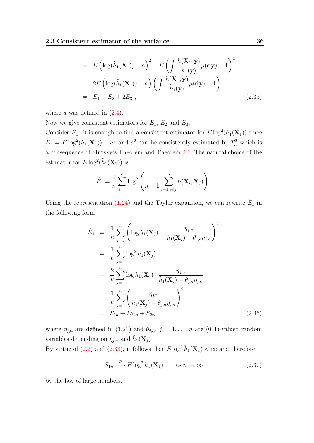$$
= E\left(\log(\tilde{h}_1(\mathbf{X}_1)) - a\right)^2 + E\left(\int \frac{h(\mathbf{X}_1, \mathbf{y})}{\tilde{h}_1(\mathbf{y})}\mu(\mathbf{dy}) - 1\right)^2
$$
  
+ 
$$
2E\left(\log(\tilde{h}_1(\mathbf{X}_1)) - a\right)\left(\int \frac{h(\mathbf{X}_1, \mathbf{y})}{\tilde{h}_1(\mathbf{y})}\mu(\mathbf{dy}) - 1\right)
$$
  
= 
$$
E_1 + E_2 + 2E_3 , \qquad (2.35)
$$

where  $a$  was defined in  $(2.4)$ .

Now we give consistent estimators for  $E_1$ ,  $E_2$  and  $E_3$ .

Consider  $E_1$ . It is enough to find a consistent estimator for  $E \log^2(\tilde{h}_1(\mathbf{X}_1))$  since  $E_1 = E \log^2(\tilde{h}_1(\mathbf{X}_1)) - a^2$  and  $a^2$  can be consistently estimated by  $T_n^2$  which is a consequence of Slutzky's Theorem and Theorem [2.1.](#page-25-4) The natural choice of the estimator for  $E \log^2(\tilde{h}_1(\mathbf{X}_1))$  is

$$
\hat{E}_1 = \frac{1}{n} \sum_{j=1}^n \log^2 \left( \frac{1}{n-1} \sum_{i=1:i \neq j}^n h(\mathbf{X}_i, \mathbf{X}_j) \right).
$$

Using the representation [\(1.24\)](#page-23-1) and the Taylor expansion, we can rewrite  $\hat{E}_1$  in the following form

<span id="page-35-0"></span>
$$
\hat{E}_1 = \frac{1}{n} \sum_{j=1}^n \left( \log \tilde{h}_1(\mathbf{X}_j) + \frac{\eta_{j,n}}{\tilde{h}_1(\mathbf{X}_j) + \theta_{j,n} \eta_{j,n}} \right)^2 \n= \frac{1}{n} \sum_{j=1}^n \log^2 \tilde{h}_1(\mathbf{X}_j) \n+ \frac{2}{n} \sum_{j=1}^n \log \tilde{h}_1(\mathbf{X}_j) \cdot \frac{\eta_{j,n}}{\tilde{h}_1(\mathbf{X}_j) + \theta_{j,n} \eta_{j,n}} \n+ \frac{1}{n} \sum_{j=1}^n \left( \frac{\eta_{j,n}}{\tilde{h}_1(\mathbf{X}_j) + \theta_{j,n} \eta_{j,n}} \right)^2 \n= S_{1n} + 2S_{2n} + S_{3n} ,
$$
\n(2.36)

where  $\eta_{j,n}$  are defined in [\(1.23\)](#page-23-2) and  $\theta_{j,n}$ ,  $j = 1, \ldots, n$  are (0, 1)-valued random variables depending on  $\eta_{j,n}$  and  $\tilde{h}_1(\mathbf{X}_j)$ .

By virtue of [\(2.2\)](#page-25-2) and [\(2.33\)](#page-33-0), it follows that  $E \log^2 \tilde{h}_1(\mathbf{X}_1) < \infty$  and therefore

<span id="page-35-1"></span>
$$
S_{1n} \xrightarrow{P} E \log^2 \tilde{h}_1(\mathbf{X}_1) \qquad \text{as } n \to \infty \tag{2.37}
$$

by the law of large numbers.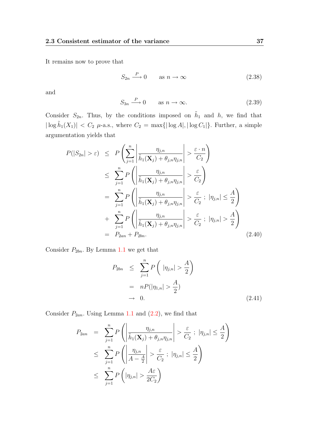It remains now to prove that

<span id="page-36-0"></span>
$$
S_{2n} \xrightarrow{P} 0 \qquad \text{as } n \to \infty \tag{2.38}
$$

<span id="page-36-4"></span>and

$$
S_{3n} \xrightarrow{P} 0 \qquad \text{as } n \to \infty. \tag{2.39}
$$

Consider  $S_{2n}$ . Thus, by the conditions imposed on  $\tilde{h}_1$  and h, we find that  $|\log \tilde{h}_1(X_1)| < C_2$   $\mu$ -a.s., where  $C_2 = \max{\{|log A|, |log C_1|\}}$ . Further, a simple argumentation yields that

<span id="page-36-1"></span>
$$
P(|S_{2n}| > \varepsilon) \le P\left(\sum_{j=1}^{n} \left| \frac{\eta_{j,n}}{\tilde{h}_1(\mathbf{X}_j) + \theta_{j,n}\eta_{j,n}} \right| > \frac{\varepsilon \cdot n}{C_2}\right)
$$
  
\n
$$
\le \sum_{j=1}^{n} P\left(\left|\frac{\eta_{j,n}}{\tilde{h}_1(\mathbf{X}_j) + \theta_{j,n}\eta_{j,n}}\right| > \frac{\varepsilon}{C_2}\right)
$$
  
\n
$$
= \sum_{j=1}^{n} P\left(\left|\frac{\eta_{j,n}}{\tilde{h}_1(\mathbf{X}_j) + \theta_{j,n}\eta_{j,n}}\right| > \frac{\varepsilon}{C_2} ; |\eta_{j,n}| \le \frac{A}{2}\right)
$$
  
\n
$$
+ \sum_{j=1}^{n} P\left(\left|\frac{\eta_{j,n}}{\tilde{h}_1(\mathbf{X}_j) + \theta_{j,n}\eta_{j,n}}\right| > \frac{\varepsilon}{C_2} ; |\eta_{j,n}| > \frac{A}{2}\right)
$$
  
\n
$$
= P_{2an} + P_{2bn}.
$$
 (2.40)

Consider  $P_{2bn}$ . By Lemma [1.1](#page-23-3) we get that

<span id="page-36-2"></span>
$$
P_{2bn} \leq \sum_{j=1}^{n} P\left(|\eta_{j,n}| > \frac{A}{2}\right)
$$
  
= 
$$
nP(|\eta_{1,n}| > \frac{A}{2})
$$
  

$$
\to 0.
$$
 (2.41)

Consider  $P_{2an}$ . Using Lemma [1.1](#page-23-3) and  $(2.2)$ , we find that

<span id="page-36-3"></span>
$$
P_{2an} = \sum_{j=1}^{n} P\left(\left|\frac{\eta_{j,n}}{\tilde{h}_1(\mathbf{X}_j) + \theta_{j,n}\eta_{j,n}}\right| > \frac{\varepsilon}{C_2} ; |\eta_{j,n}| \leq \frac{A}{2}\right)
$$
  

$$
\leq \sum_{j=1}^{n} P\left(\left|\frac{\eta_{j,n}}{A - \frac{A}{2}}\right| > \frac{\varepsilon}{C_2} ; |\eta_{j,n}| \leq \frac{A}{2}\right)
$$
  

$$
\leq \sum_{j=1}^{n} P\left(|\eta_{j,n}| > \frac{A\varepsilon}{2C_2}\right)
$$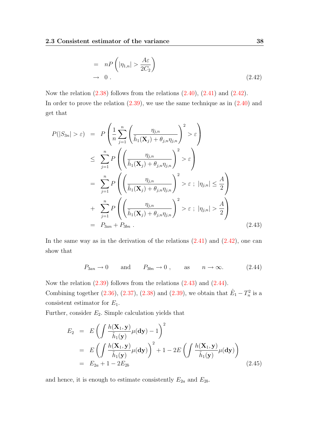$$
= nP\left(|\eta_{1,n}| > \frac{A\varepsilon}{2C_2}\right) \quad \text{(2.42)}
$$

Now the relation  $(2.38)$  follows from the relations  $(2.40)$ ,  $(2.41)$  and  $(2.42)$ . In order to prove the relation  $(2.39)$ , we use the same technique as in  $(2.40)$  and get that

<span id="page-37-0"></span>
$$
P(|S_{3n}| > \varepsilon) = P\left(\frac{1}{n}\sum_{j=1}^{n}\left(\frac{\eta_{j,n}}{\tilde{h}_1(\mathbf{X}_j) + \theta_{j,n}\eta_{j,n}}\right)^2 > \varepsilon\right)
$$
  
\n
$$
\leq \sum_{j=1}^{n} P\left(\left(\frac{\eta_{j,n}}{\tilde{h}_1(\mathbf{X}_j) + \theta_{j,n}\eta_{j,n}}\right)^2 > \varepsilon\right)
$$
  
\n
$$
= \sum_{j=1}^{n} P\left(\left(\frac{\eta_{j,n}}{\tilde{h}_1(\mathbf{X}_j) + \theta_{j,n}\eta_{j,n}}\right)^2 > \varepsilon ; |\eta_{j,n}| \leq \frac{A}{2}\right)
$$
  
\n
$$
+ \sum_{j=1}^{n} P\left(\left(\frac{\eta_{j,n}}{\tilde{h}_1(\mathbf{X}_j) + \theta_{j,n}\eta_{j,n}}\right)^2 > \varepsilon ; |\eta_{j,n}| > \frac{A}{2}\right)
$$
  
\n
$$
= P_{3an} + P_{3bn} .
$$
 (2.43)

In the same way as in the derivation of the relations  $(2.41)$  and  $(2.42)$ , one can show that

<span id="page-37-1"></span>
$$
P_{3an} \to 0
$$
 and  $P_{3bn} \to 0$ , as  $n \to \infty$ . (2.44)

Now the relation [\(2.39\)](#page-36-4) follows from the relations [\(2.43\)](#page-37-0) and [\(2.44\)](#page-37-1). Combining together [\(2.36\)](#page-35-0), [\(2.37\)](#page-35-1), [\(2.38\)](#page-36-0) and [\(2.39\)](#page-36-4), we obtain that  $\hat{E}_1 - T_n^2$  is a consistent estimator for  $E_1$ .

Further, consider  $E_2$ . Simple calculation yields that

<span id="page-37-2"></span>
$$
E_2 = E\left(\int \frac{h(\mathbf{X}_1, \mathbf{y})}{\tilde{h}_1(\mathbf{y})} \mu(\mathbf{dy}) - 1\right)^2
$$
  
= 
$$
E\left(\int \frac{h(\mathbf{X}_1, \mathbf{y})}{\tilde{h}_1(\mathbf{y})} \mu(\mathbf{dy})\right)^2 + 1 - 2E\left(\int \frac{h(\mathbf{X}_1, \mathbf{y})}{\tilde{h}_1(\mathbf{y})} \mu(\mathbf{dy})\right)
$$
  
= 
$$
E_{2a} + 1 - 2E_{2b}
$$
 (2.45)

and hence, it is enough to estimate consistently  $E_{2a}$  and  $E_{2b}$ .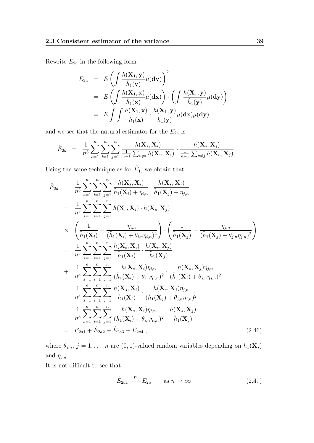Rewrite  $\mathcal{E}_{2a}$  in the following form

$$
E_{2a} = E\left(\int \frac{h(\mathbf{X}_1, \mathbf{y})}{\tilde{h}_1(\mathbf{y})} \mu(\mathbf{dy})\right)^2
$$
  
= 
$$
E\left(\int \frac{h(\mathbf{X}_1, \mathbf{x})}{\tilde{h}_1(\mathbf{x})} \mu(\mathbf{dx})\right) \cdot \left(\int \frac{h(\mathbf{X}_1, \mathbf{y})}{\tilde{h}_1(\mathbf{y})} \mu(\mathbf{dy})\right)
$$
  
= 
$$
E\int \int \frac{h(\mathbf{X}_1, \mathbf{x})}{\tilde{h}_1(\mathbf{x})} \cdot \frac{h(\mathbf{X}_1, \mathbf{y})}{\tilde{h}_1(\mathbf{y})} \mu(\mathbf{dx}) \mu(\mathbf{dy})
$$

and we see that the natural estimator for the  $E_{2a}$  is

$$
\hat{E}_{2a} = \frac{1}{n^3} \sum_{s=1}^n \sum_{i=1}^n \sum_{j=1}^n \frac{h(\mathbf{X}_s, \mathbf{X}_i)}{\frac{1}{n-1} \sum_{u \neq i} h(\mathbf{X}_u, \mathbf{X}_i)} \cdot \frac{h(\mathbf{X}_s, \mathbf{X}_j)}{\frac{1}{n-1} \sum_{v \neq j} h(\mathbf{X}_v, \mathbf{X}_j)}.
$$

Using the same technique as for  $\hat{E}_1$ , we obtain that

<span id="page-38-0"></span>
$$
\hat{E}_{2a} = \frac{1}{n^3} \sum_{s=1}^{n} \sum_{i=1}^{n} \sum_{j=1}^{n} \frac{h(\mathbf{X}_s, \mathbf{X}_i)}{\tilde{h}_1(\mathbf{X}_i) + \eta_{i,n}} \cdot \frac{h(\mathbf{X}_s, \mathbf{X}_j)}{\tilde{h}_1(\mathbf{X}_j) + \eta_{j,n}} \n= \frac{1}{n^3} \sum_{s=1}^{n} \sum_{i=1}^{n} \sum_{j=1}^{n} h(\mathbf{X}_s, \mathbf{X}_i) \cdot h(\mathbf{X}_s, \mathbf{X}_j) \n\times \left( \frac{1}{\tilde{h}_1(\mathbf{X}_i)} - \frac{\eta_{i,n}}{(\tilde{h}_1(\mathbf{X}_i) + \theta_{i,n}\eta_{i,n})^2} \right) \cdot \left( \frac{1}{\tilde{h}_1(\mathbf{X}_j)} - \frac{\eta_{j,n}}{(\tilde{h}_1(\mathbf{X}_j) + \theta_{j,n}\eta_{j,n})^2} \right) \n= \frac{1}{n^3} \sum_{s=1}^{n} \sum_{i=1}^{n} \sum_{j=1}^{n} \frac{h(\mathbf{X}_s, \mathbf{X}_i)}{\tilde{h}_1(\mathbf{X}_i)} \cdot \frac{h(\mathbf{X}_s, \mathbf{X}_j)}{\tilde{h}_1(\mathbf{X}_j)} \n+ \frac{1}{n^3} \sum_{s=1}^{n} \sum_{i=1}^{n} \sum_{j=1}^{n} \frac{h(\mathbf{X}_s, \mathbf{X}_i)\eta_{i,n}}{(\tilde{h}_1(\mathbf{X}_i) + \theta_{i,n}\eta_{i,n})^2} \cdot \frac{h(\mathbf{X}_s, \mathbf{X}_j)\eta_{j,n}}{(\tilde{h}_1(\mathbf{X}_j) + \theta_{j,n}\eta_{j,n})^2} \n- \frac{1}{n^3} \sum_{s=1}^{n} \sum_{i=1}^{n} \sum_{j=1}^{n} \frac{h(\mathbf{X}_s, \mathbf{X}_i)}{\tilde{h}_1(\mathbf{X}_i)} \cdot \frac{h(\mathbf{X}_s, \mathbf{X}_j)\eta_{j,n}}{(\tilde{h}_1(\mathbf{X}_j) + \theta_{j,n}\eta_{j
$$

where  $\theta_{j,n}, j = 1, \ldots, n$  are  $(0, 1)$ -valued random variables depending on  $\tilde{h}_1(\mathbf{X}_j)$ and  $\eta_{j,n}$ .

It is not difficult to see that

<span id="page-38-1"></span>
$$
\hat{E}_{2a1} \xrightarrow{P} E_{2a} \qquad \text{as } n \to \infty \tag{2.47}
$$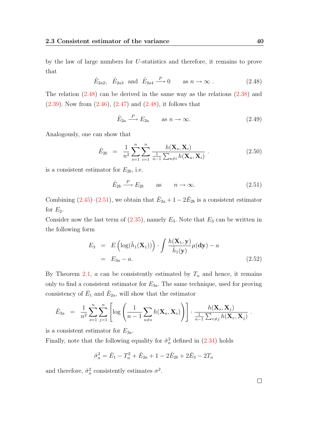<span id="page-39-0"></span>by the law of large numbers for U-statistics and therefore, it remains to prove that

$$
\hat{E}_{2a2}
$$
,  $\hat{E}_{2a3}$  and  $\hat{E}_{2a4} \xrightarrow{P} 0$  as  $n \to \infty$ . (2.48)

The relation  $(2.48)$  can be derived in the same way as the relations  $(2.38)$  and  $(2.39)$ . Now from  $(2.46)$ ,  $(2.47)$  and  $(2.48)$ , it follows that

$$
\hat{E}_{2a} \xrightarrow{P} E_{2a} \qquad \text{as } n \to \infty. \tag{2.49}
$$

Analogously, one can show that

$$
\hat{E}_{2b} = \frac{1}{n^2} \sum_{s=1}^{n} \sum_{i=1}^{n} \frac{h(\mathbf{X}_s, \mathbf{X}_i)}{\frac{1}{n-1} \sum_{u \neq i} h(\mathbf{X}_u, \mathbf{X}_i)} .
$$
\n(2.50)

is a consistent estimator for  $E_{2b}$ , i.e.

<span id="page-39-1"></span>
$$
\hat{E}_{2b} \stackrel{P}{\longrightarrow} E_{2b} \quad \text{as} \quad n \to \infty. \tag{2.51}
$$

Combining  $(2.45)-(2.51)$  $(2.45)-(2.51)$  $(2.45)-(2.51)$ , we obtain that  $\hat{E}_{2a}+1-2\hat{E}_{2b}$  is a consistent estimator for  $E_2$ .

Consider now the last term of  $(2.35)$ , namely  $E_3$ . Note that  $E_3$  can be written in the following form

$$
E_3 = E\left(\log(\tilde{h}_1(\mathbf{X}_1))\right) \cdot \int \frac{h(\mathbf{X}_1, \mathbf{y})}{\tilde{h}_1(\mathbf{y})} \mu(\mathbf{dy}) - a
$$
  
=  $E_{3a} - a.$  (2.52)

By Theorem [2.1,](#page-25-4)  $a$  can be consistently estimated by  $T_n$  and hence, it remains only to find a consistent estimator for  $E_{3a}$ . The same technique, used for proving consistency of  $\hat{E}_1$  and  $\hat{E}_{2a}$ , will show that the estimator

$$
\hat{E}_{3a} = \frac{1}{n^2} \sum_{s=1}^n \sum_{j=1}^n \left[ \log \left( \frac{1}{n-1} \sum_{u \neq s} h(\mathbf{X}_u, \mathbf{X}_s) \right) \right] \cdot \frac{h(\mathbf{X}_s, \mathbf{X}_j)}{\frac{1}{n-1} \sum_{v \neq j} h(\mathbf{X}_v, \mathbf{X}_j)}.
$$

is a consistent estimator for  $E_{3a}$ .

Finally, note that the following equality for  $\hat{\sigma}_n^2$  defined in [\(2.34\)](#page-34-2) holds

$$
\hat{\sigma}_n^2 = \hat{E}_1 - T_n^2 + \hat{E}_{2a} + 1 - 2\hat{E}_{2b} + 2\hat{E}_3 - 2T_n
$$

and therefore,  $\hat{\sigma}_n^2$  consistently estimates  $\sigma^2$ .

 $\Box$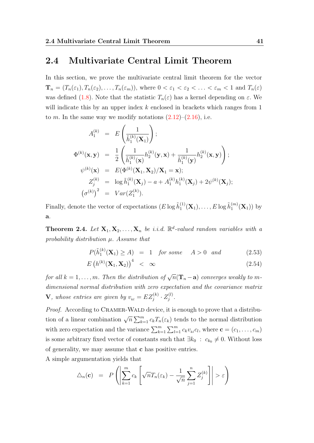#### <span id="page-40-0"></span>2.4 Multivariate Central Limit Theorem

In this section, we prove the multivariate central limit theorem for the vector  $\mathbf{T}_n = (T_n(\varepsilon_1), T_n(\varepsilon_2), \ldots, T_n(\varepsilon_m))$ , where  $0 < \varepsilon_1 < \varepsilon_2 < \ldots < \varepsilon_m < 1$  and  $T_n(\varepsilon)$ was defined [\(1.8\)](#page-18-0). Note that the statistic  $T_n(\varepsilon)$  has a kernel depending on  $\varepsilon$ . We will indicate this by an upper index k enclosed in brackets which ranges from 1 to m. In the same way we modify notations  $(2.12)$ – $(2.16)$ , i.e.

$$
A_1^{(k)} = E\left(\frac{1}{\tilde{h}_1^{(k)}(\mathbf{X}_1)}\right);
$$
  
\n
$$
\Phi^{(k)}(\mathbf{x}, \mathbf{y}) = \frac{1}{2} \left(\frac{1}{\tilde{h}_1^{(k)}(\mathbf{x})} h_2^{(k)}(\mathbf{y}, \mathbf{x}) + \frac{1}{\tilde{h}_1^{(k)}(\mathbf{y})} h_2^{(k)}(\mathbf{x}, \mathbf{y})\right);
$$
  
\n
$$
\psi^{(k)}(\mathbf{x}) = E(\Phi^{(k)}(\mathbf{X}_1, \mathbf{X}_2)/\mathbf{X}_1 = \mathbf{x});
$$
  
\n
$$
Z_j^{(k)} = \log \tilde{h}_1^{(k)}(\mathbf{X}_j) - a + A_1^{(k)} h_1^{(k)}(\mathbf{X}_j) + 2\psi^{(k)}(\mathbf{X}_j);
$$
  
\n
$$
(\sigma^{(k)})^2 = Var(Z_1^{(k)}).
$$

Finally, denote the vector of expectations  $(E \log \tilde{h}_1^{(1)})$  $\tilde{h}^{(1)}_1(\mathbf{X}_1),\ldots,E\log\tilde{h}^{(m)}_1$  $j_1^{(m)}(X_1)$  by a.

<span id="page-40-3"></span>**Theorem 2.4.** Let  $X_1, X_2, \ldots, X_n$  be i.i.d.  $\mathbb{R}^d$ -valued random variables with a probability distribution  $\mu$ . Assume that

$$
P(\tilde{h}_1^{(k)}(\mathbf{X}_1) \ge A) = 1 \quad \text{for some} \quad A > 0 \quad \text{and} \tag{2.53}
$$

<span id="page-40-1"></span>
$$
E\left(h^{(k)}(\mathbf{X}_1, \mathbf{X}_2)\right)^4 \quad < \quad \infty \tag{2.54}
$$

for all  $k = 1, \ldots, m$ . Then the distribution of  $\sqrt{n}(\mathbf{T}_n - \mathbf{a})$  converges weakly to mdimensional normal distribution with zero expectation and the covariance matrix  $\mathbf {V},$  whose entries are given by  $v_{_{kl}}=EZ_{j}^{(k)}\cdot Z_{j}^{(l)}$  $\frac{j^{(l)}}{j}$  .

Proof. According to CRAMER-WALD device, it is enough to prove that a distribution of a linear combination  $\sqrt{n} \sum_{k=1}^{m} c_k T_n(\varepsilon_k)$  tends to the normal distribution with zero expectation and the variance  $\sum_{k=1}^{m} \sum_{l=1}^{m} c_k v_{kl} c_l$ , where  $\mathbf{c} = (c_1, \ldots, c_m)$ is some arbitrary fixed vector of constants such that  $\exists k_0 : c_{k_0} \neq 0$ . Without loss of generality, we may assume that c has positive entries.

A simple argumentation yields that

<span id="page-40-2"></span>
$$
\Delta_n(\mathbf{c}) = P\left(\left|\sum_{k=1}^m c_k \left[\sqrt{n}T_n(\varepsilon_k) - \frac{1}{\sqrt{n}} \sum_{j=1}^n Z_j^{(k)}\right]\right| > \varepsilon\right)
$$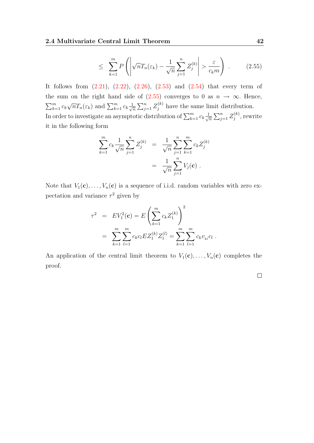$$
\leq \sum_{k=1}^{m} P\left( \left| \sqrt{n} T_n(\varepsilon_k) - \frac{1}{\sqrt{n}} \sum_{j=1}^{n} Z_j^{(k)} \right| > \frac{\varepsilon}{c_k m} \right) . \tag{2.55}
$$

It follows from  $(2.21)$ ,  $(2.22)$ ,  $(2.26)$ ,  $(2.53)$  and  $(2.54)$  that every term of the sum on the right hand side of  $(2.55)$  converges to 0 as  $n \to \infty$ . Hence,  $\sum_{k=1}^m c_k$  $\sqrt{n}T_n(\varepsilon_k)$  and  $\sum_{k=1}^m c_k \frac{1}{\sqrt{n}}$  $\frac{1}{\sqrt{n}}\sum_{j=1}^n Z_j^{(k)}$  have the same limit distribution. In order to investigate an asymptotic distribution of  $\sum_{k=1}^{m} c_k \frac{1}{\sqrt{k}}$  $\frac{1}{\overline{n}}\sum_{j=1}^n Z_j^{(k)}$  $j^{(\kappa)}$ , rewrite it in the following form

$$
\sum_{k=1}^{m} c_k \frac{1}{\sqrt{n}} \sum_{j=1}^{n} Z_j^{(k)} = \frac{1}{\sqrt{n}} \sum_{j=1}^{n} \sum_{k=1}^{m} c_k Z_j^{(k)}
$$

$$
= \frac{1}{\sqrt{n}} \sum_{j=1}^{n} V_j(\mathbf{c}) .
$$

Note that  $V_1(c), \ldots, V_n(c)$  is a sequence of i.i.d. random variables with zero expectation and variance  $\tau^2$  given by

$$
\tau^2 = EV_1^2(\mathbf{c}) = E\left(\sum_{k=1}^m c_k Z_1^{(k)}\right)^2
$$
  
= 
$$
\sum_{k=1}^m \sum_{l=1}^m c_k c_l E Z_1^{(k)} Z_1^{(l)} = \sum_{k=1}^m \sum_{l=1}^m c_k v_{kl} c_l.
$$

An application of the central limit theorem to  $V_1(\mathbf{c}), \ldots, V_n(\mathbf{c})$  completes the proof.

 $\Box$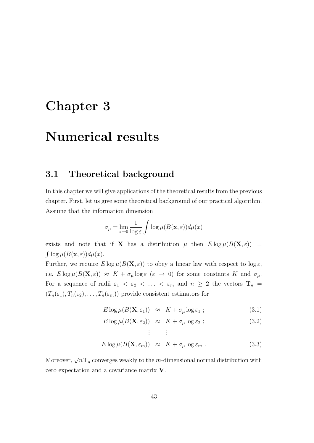## <span id="page-42-0"></span>Chapter 3

## Numerical results

#### <span id="page-42-1"></span>3.1 Theoretical background

In this chapter we will give applications of the theoretical results from the previous chapter. First, let us give some theoretical background of our practical algorithm. Assume that the information dimension

$$
\sigma_{\mu} = \lim_{\varepsilon \to 0} \frac{1}{\log \varepsilon} \int \log \mu(B(\mathbf{x}, \varepsilon)) d\mu(x)
$$

exists and note that if **X** has a distribution  $\mu$  then  $E \log \mu(B(\mathbf{X}, \varepsilon)) =$  $\int \log \mu(B(\mathbf{x}, \varepsilon)) d\mu(x)$ .

Further, we require  $E \log \mu(B(\mathbf{X}, \varepsilon))$  to obey a linear law with respect to  $\log \varepsilon$ , i.e.  $E \log \mu(B(\mathbf{X}, \varepsilon)) \approx K + \sigma_{\mu} \log \varepsilon \ (\varepsilon \to 0)$  for some constants K and  $\sigma_{\mu}$ . For a sequence of radii  $\varepsilon_1$  <  $\varepsilon_2$  < ... <  $\varepsilon_m$  and  $n \geq 2$  the vectors  $\mathbf{T}_n$  =  $(T_n(\varepsilon_1), T_n(\varepsilon_2), \ldots, T_n(\varepsilon_m))$  provide consistent estimators for

<span id="page-42-2"></span>
$$
E \log \mu(B(\mathbf{X}, \varepsilon_1)) \approx K + \sigma_\mu \log \varepsilon_1 ; \qquad (3.1)
$$

$$
E \log \mu(B(\mathbf{X}, \varepsilon_2)) \approx K + \sigma_\mu \log \varepsilon_2 ; \qquad (3.2)
$$

$$
\mathcal{L}^{\mathcal{L}}(\mathcal{L}^{\mathcal{L}}(\mathcal{L}^{\mathcal{L}}(\mathcal{L}^{\mathcal{L}}(\mathcal{L}^{\mathcal{L}}(\mathcal{L}^{\mathcal{L}}(\mathcal{L}^{\mathcal{L}}(\mathcal{L}^{\mathcal{L}}(\mathcal{L}^{\mathcal{L}}(\mathcal{L}^{\mathcal{L}}(\mathcal{L}^{\mathcal{L}}(\mathcal{L}^{\mathcal{L}}(\mathcal{L}^{\mathcal{L}}(\mathcal{L}^{\mathcal{L}}(\mathcal{L}^{\mathcal{L}}(\mathcal{L}^{\mathcal{L}}(\mathcal{L}^{\mathcal{L}}(\mathcal{L}^{\mathcal{L}}(\mathcal{L}^{\mathcal{L}}(\mathcal{L}^{\mathcal{L}}(\mathcal{L}^{\mathcal{L}}(\mathcal{L}^{\mathcal{L}}(\mathcal{L}^{\mathcal{L}}(\mathcal{L}^{\mathcal{L}}(\mathcal{L}^{\mathcal{L}}(\mathcal{L}^{\mathcal{L}}(\mathcal{L}^{\mathcal{L}}(\mathcal{L}^{\mathcal{L}}(\mathcal{L}^{\mathcal{L}}(\mathcal{L}^{\mathcal{L}}(\mathcal{L}^{\mathcal{L}}(\mathcal{L}^{\mathcal{L}}(\mathcal{L}^{\mathcal{L}}(\mathcal{L}^{\mathcal{L}}(\mathcal{L}^{\mathcal{L}}(\mathcal{L}^{\mathcal{L}}(\mathcal{L}^{\mathcal{L}}(\mathcal{L}^{\mathcal{L}}(\mathcal{L}^{\mathcal{L}}(\mathcal{L}^{\mathcal{L}}(\mathcal{L}^{\mathcal{L}}(\mathcal{L}^{\mathcal{L}}(\mathcal{L}^{\mathcal{L}}(\mathcal{L}^{\mathcal{L}}(\mathcal{L}^{\mathcal{L}}(\mathcal{L}^{\mathcal{L}}(\mathcal{L}^{\mathcal{L}}(\mathcal{L}^{\mathcal{L}}(\mathcal{L}^{\mathcal{L}}(\mathcal{L}^{\mathcal{L}}(\mathcal{L}^{\mathcal{L}}(\mathcal{L}^{\mathcal{L}}(\mathcal{L}^{\mathcal{L}}(\mathcal{L}^{\mathcal{L}}(\mathcal{L}^{\mathcal{L}}(\mathcal{L}^{\mathcal{L}}(\mathcal{L}^{\mathcal{L}}(\mathcal{L}^{\mathcal{L}}(\mathcal{L}
$$

$$
E \log \mu(B(\mathbf{X}, \varepsilon_m)) \approx K + \sigma_\mu \log \varepsilon_m \,. \tag{3.3}
$$

Moreover,  $\sqrt{n}\mathbf{T}_n$  converges weakly to the *m*-dimensional normal distribution with zero expectation and a covariance matrix V.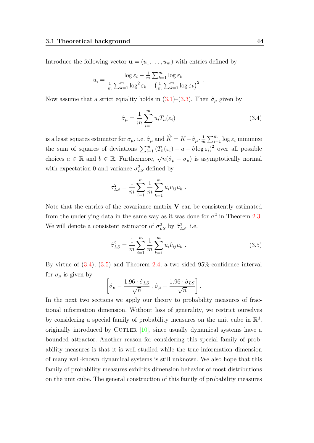Introduce the following vector  $\mathbf{u} = (u_1, \dots, u_m)$  with entries defined by

<span id="page-43-0"></span>
$$
u_i = \frac{\log \varepsilon_i - \frac{1}{m} \sum_{k=1}^m \log \varepsilon_k}{\frac{1}{m} \sum_{k=1}^m \log^2 \varepsilon_k - \left(\frac{1}{m} \sum_{k=1}^m \log \varepsilon_k\right)^2}
$$

Now assume that a strict equality holds in [\(3.1\)](#page-42-2)–[\(3.3\)](#page-42-2). Then  $\hat{\sigma}_{\mu}$  given by

$$
\hat{\sigma}_{\mu} = \frac{1}{m} \sum_{i=1}^{m} u_i T_n(\varepsilon_i)
$$
\n(3.4)

.

is a least squares estimator for  $\sigma_{\mu}$ , i.e.  $\hat{\sigma}_{\mu}$  and  $\hat{K} = K - \hat{\sigma}_{\mu} \cdot \frac{1}{n}$  $\frac{1}{m} \sum_{i=1}^{m} \log \varepsilon_i$  minimize the sum of squares of deviations  $\sum_{i=1}^{m} (T_n(\varepsilon_i) - a - b \log \varepsilon_i)^2$  over all possible choices  $a \in \mathbb{R}$  and  $b \in \mathbb{R}$ . Furthermore,  $\sqrt{n}(\hat{\sigma}_{\mu} - \sigma_{\mu})$  is asymptotically normal with expectation 0 and variance  $\sigma_{LS}^2$  defined by

$$
\sigma_{LS}^2 = \frac{1}{m} \sum_{i=1}^m \frac{1}{m} \sum_{k=1}^m u_i v_{ij} u_k.
$$

Note that the entries of the covariance matrix  $V$  can be consistently estimated from the underlying data in the same way as it was done for  $\sigma^2$  in Theorem [2.3.](#page-34-3) We will denote a consistent estimator of  $\sigma_{LS}^2$  by  $\hat{\sigma}_{LS}^2$ , i.e.

<span id="page-43-1"></span>
$$
\hat{\sigma}_{LS}^2 = \frac{1}{m} \sum_{i=1}^m \frac{1}{m} \sum_{k=1}^m u_i \hat{v}_{ij} u_k . \qquad (3.5)
$$

By virtue of [\(3.4\)](#page-43-0), [\(3.5\)](#page-43-1) and Theorem [2.4,](#page-40-3) a two sided 95%-confidence interval for  $\sigma_{\mu}$  is given by

$$
\left[\hat{\sigma}_{\mu} - \frac{1.96 \cdot \hat{\sigma}_{LS}}{\sqrt{n}} \right], \hat{\sigma}_{\mu} + \frac{1.96 \cdot \hat{\sigma}_{LS}}{\sqrt{n}}\right].
$$

In the next two sections we apply our theory to probability measures of fractional information dimension. Without loss of generality, we restrict ourselves by considering a special family of probability measures on the unit cube in  $\mathbb{R}^d$ , originally introduced by CUTLER  $[10]$ , since usually dynamical systems have a bounded attractor. Another reason for considering this special family of probability measures is that it is well studied while the true information dimension of many well-known dynamical systems is still unknown. We also hope that this family of probability measures exhibits dimension behavior of most distributions on the unit cube. The general construction of this family of probability measures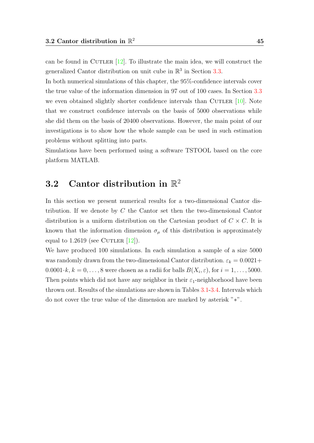can be found in CUTLER  $[12]$ . To illustrate the main idea, we will construct the generalized Cantor distribution on unit cube in  $\mathbb{R}^3$  in Section [3.3.](#page-49-0)

In both numerical simulations of this chapter, the 95%-confidence intervals cover the true value of the information dimension in 97 out of 100 cases. In Section [3.3](#page-49-0) we even obtained slightly shorter confidence intervals than CUTLER  $[10]$ . Note that we construct confidence intervals on the basis of 5000 observations while she did them on the basis of 20400 observations. However, the main point of our investigations is to show how the whole sample can be used in such estimation problems without splitting into parts.

Simulations have been performed using a software TSTOOL based on the core platform MATLAB.

## <span id="page-44-0"></span>3.2 Cantor distribution in  $\mathbb{R}^2$

In this section we present numerical results for a two-dimensional Cantor distribution. If we denote by C the Cantor set then the two-dimensional Cantor distribution is a uniform distribution on the Cartesian product of  $C \times C$ . It is known that the information dimension  $\sigma_{\mu}$  of this distribution is approximately equal to 1.2619 (see CUTLER  $[12]$ ).

We have produced 100 simulations. In each simulation a sample of a size 5000 was randomly drawn from the two-dimensional Cantor distribution.  $\varepsilon_k = 0.0021 +$  $0.0001 \cdot k, k = 0, \ldots, 8$  were chosen as a radii for balls  $B(X_i, \varepsilon)$ , for  $i = 1, \ldots, 5000$ . Then points which did not have any neighbor in their  $\varepsilon_1$ -neighborhood have been thrown out. Results of the simulations are shown in Tables [3.1-](#page-45-0)[3.4.](#page-48-0) Intervals which do not cover the true value of the dimension are marked by asterisk "∗".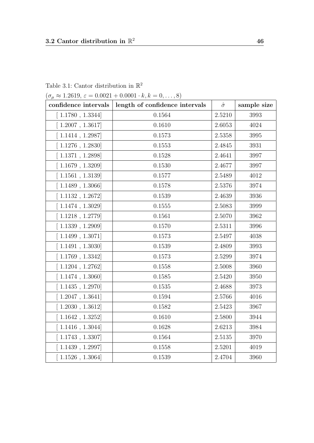| $(\sigma_{\mu} \approx 1.2619, \varepsilon = 0.0021 + 0.0001 \cdot k, k = 0, \dots, 8)$ |                                |                |             |  |
|-----------------------------------------------------------------------------------------|--------------------------------|----------------|-------------|--|
| confidence intervals                                                                    | length of confidence intervals | $\hat{\sigma}$ | sample size |  |
| 1.1780, 1.3344                                                                          | 0.1564                         | 2.5210         | 3993        |  |
| $1.2007$ , $1.3617$                                                                     | 0.1610                         | 2.6053         | 4024        |  |
| $1.1414$ , 1.2987                                                                       | 0.1573                         | 2.5358         | 3995        |  |
| $1.1276$ , $1.2830$                                                                     | 0.1553                         | 2.4845         | 3931        |  |
| 1.1371, 1.2898                                                                          | 0.1528                         | 2.4641         | 3997        |  |
| 1.1679, 1.3209                                                                          | 0.1530                         | 2.4677         | 3997        |  |
| 1.1561, 1.3139                                                                          | 0.1577                         | 2.5489         | 4012        |  |
| 1.1489, 1.3066                                                                          | 0.1578                         | 2.5376         | 3974        |  |
| $1.1132$ , $1.2672$                                                                     | 0.1539                         | 2.4639         | 3936        |  |
| 1.1474, 1.3029                                                                          | 0.1555                         | 2.5083         | 3999        |  |
| $1.1218$ , $1.2779$                                                                     | 0.1561                         | 2.5070         | 3962        |  |
| 1.1339, 1.2909                                                                          | 0.1570                         | 2.5311         | 3996        |  |
| 1.1499, 1.3071                                                                          | 0.1573                         | 2.5497         | 4038        |  |
| 1.1491, 1.3030                                                                          | 0.1539                         | 2.4809         | 3993        |  |
| $1.1769$ , $1.3342$                                                                     | 0.1573                         | 2.5299         | 3974        |  |
| $1.1204$ , $1.2762$                                                                     | 0.1558                         | 2.5008         | 3960        |  |
| 1.1474, 1.3060                                                                          | 0.1585                         | 2.5420         | 3950        |  |
| 1.1435, 1.2970                                                                          | 0.1535                         | 2.4688         | 3973        |  |
| $1.2047$ , $1.3641$                                                                     | 0.1594                         | 2.5766         | 4016        |  |
| 1.2030, 1.3612                                                                          | 0.1582                         | 2.5423         | 3967        |  |
| $1.1642$ , $1.3252$ ]                                                                   | 0.1610                         | 2.5800         | 3944        |  |
| $1.1416$ , $1.3044$ ]                                                                   | 0.1628                         | 2.6213         | 3984        |  |
| $1.1743$ , $1.3307$                                                                     | 0.1564                         | 2.5135         | 3970        |  |
| 1.1439, 1.2997                                                                          | 0.1558                         | 2.5201         | 4019        |  |
| 1.1526, 1.3064                                                                          | 0.1539                         | 2.4704         | 3960        |  |

<span id="page-45-0"></span>Table 3.1: Cantor distribution in  $\mathbb{R}^2$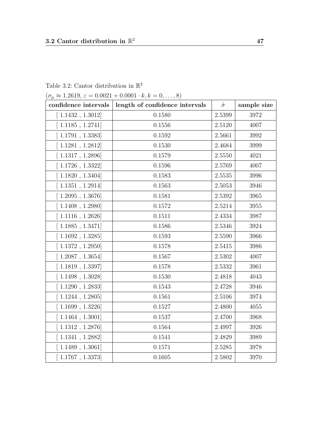| $(0_{\mu} \approx 1.2019, \epsilon = 0.0021 + 0.0001 \cdot \kappa, \kappa = 0, \ldots, \delta)$ |                                |                |             |  |
|-------------------------------------------------------------------------------------------------|--------------------------------|----------------|-------------|--|
| confidence intervals                                                                            | length of confidence intervals | $\hat{\sigma}$ | sample size |  |
| [1.1432, 1.3012]                                                                                | 0.1580                         | 2.5399         | 3972        |  |
| [1.1185, 1.2741]                                                                                | 0.1556                         | 2.5120         | 4007        |  |
| [1.1791, 1.3383]                                                                                | 0.1592                         | 2.5661         | 3992        |  |
| [1.1281, 1.2812]                                                                                | 0.1530                         | 2.4684         | 3999        |  |
| 1.1317, 1.2896                                                                                  | 0.1579                         | 2.5550         | 4021        |  |
| [1.1726, 1.3322]                                                                                | 0.1596                         | 2.5769         | 4007        |  |
| 1.1820, 1.3404                                                                                  | 0.1583                         | 2.5535         | 3996        |  |
| [1.1351, 1.2914]                                                                                | 0.1563                         | 2.5053         | 3946        |  |
| [1.2095, 1.3676]                                                                                | 0.1581                         | 2.5392         | 3965        |  |
| $1.1408$ , $1.2980$                                                                             | 0.1572                         | 2.5214         | 3955        |  |
| [1.1116, 1.2626]                                                                                | 0.1511                         | 2.4334         | 3987        |  |
| 1.1885, 1.3471                                                                                  | 0.1586                         | 2.5346         | 3924        |  |
| $\left[ 1.1692, 1.3285 \right]$                                                                 | 0.1593                         | 2.5590         | 3966        |  |
| [1.1372, 1.2950]                                                                                | 0.1578                         | 2.5415         | 3986        |  |
| [1.2087, 1.3654]                                                                                | 0.1567                         | 2.5302         | 4007        |  |
| [1.1819, 1.3397]                                                                                | 0.1578                         | 2.5332         | 3961        |  |
| $1.1498$ , $1.3028$ ]                                                                           | 0.1530                         | 2.4818         | 4043        |  |
| [1.1290, 1.2833]                                                                                | 0.1543                         | 2.4728         | 3946        |  |
| $1.1244$ , $1.2805$                                                                             | 0.1561                         | 2.5106         | 3974        |  |
| [1.1699, 1.3226]                                                                                | 0.1527                         | 2.4800         | 4055        |  |
| [1.1464, 1.3001]                                                                                | 0.1537                         | 2.4700         | 3968        |  |
| [1.1312, 1.2876]                                                                                | 0.1564                         | 2.4997         | 3926        |  |
| 1.1341, 1.2882                                                                                  | 0.1541                         | 2.4829         | 3989        |  |
| $1.1489$ , $1.3061$                                                                             | 0.1571                         | 2.5285         | 3978        |  |
| 1.1767, 1.3373                                                                                  | 0.1605                         | 2.5802         | 3970        |  |

Table 3.2: Cantor distribution in  $\mathbb{R}^2$ 

 $(\sigma \approx 1.2619, \varepsilon = 0.0021 + 0.0001 \cdot k, k = 0, \ldots, 8)$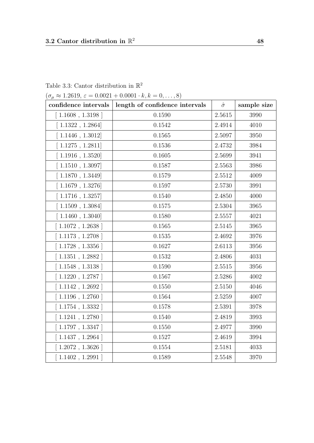|  | Table 3.3: Cantor distribution in $\mathbb{R}^2$ |  |  |
|--|--------------------------------------------------|--|--|
|  |                                                  |  |  |

 $(\sigma_{\mu} \approx 1.2619, \varepsilon = 0.0021 + 0.0001 \cdot k, k = 0, \dots, 8)$ 

| confidence intervals | length of confidence intervals | $\hat{\sigma}$ | sample size |
|----------------------|--------------------------------|----------------|-------------|
| [1.1608, 1.3198]     | 0.1590                         | 2.5615         | 3990        |
| [1.1322, 1.2864]     | 0.1542                         | 2.4914         | 4010        |
| [1.1446, 1.3012]     | 0.1565                         | 2.5097         | 3950        |
| [1.1275, 1.2811]     | 0.1536                         | 2.4732         | 3984        |
| $1.1916$ , $1.3520$  | 0.1605                         | 2.5699         | 3941        |
| 1.1510, 1.3097       | 0.1587                         | 2.5563         | 3986        |
| [1.1870, 1.3449]     | 0.1579                         | 2.5512         | 4009        |
| $1.1679$ , $1.3276$  | 0.1597                         | 2.5730         | 3991        |
| [1.1716, 1.3257]     | 0.1540                         | 2.4850         | 4000        |
| 1.1509, 1.3084       | 0.1575                         | 2.5304         | 3965        |
| [1.1460, 1.3040]     | 0.1580                         | 2.5557         | 4021        |
| $1.1072$ , 1.2638    | 0.1565                         | 2.5145         | 3965        |
| $1.1173$ , $1.2708$  | 0.1535                         | 2.4692         | 3976        |
| $1.1728$ , 1.3356    | 0.1627                         | 2.6113         | 3956        |
| 1.1351, 1.2882       | 0.1532                         | 2.4806         | 4031        |
| $1.1548$ , $1.3138$  | 0.1590                         | 2.5515         | 3956        |
| $1.1220$ , 1.2787 ]  | 0.1567                         | 2.5286         | 4002        |
| $1.1142$ , 1.2692    | 0.1550                         | 2.5150         | 4046        |
| $1.1196$ , $1.2760$  | 0.1564                         | 2.5259         | 4007        |
| $1.1754$ , $1.3332$  | 0.1578                         | 2.5391         | 3978        |
| [1.1241, 1.2780]     | 0.1540                         | 2.4819         | 3993        |
| 1.1797, 1.3347       | 0.1550                         | 2.4977         | 3990        |
| [1.1437, 1.2964]     | 0.1527                         | 2.4619         | 3994        |
| $1.2072$ , $1.3626$  | 0.1554                         | 2.5181         | 4033        |
| [1.1402, 1.2991]     | 0.1589                         | 2.5548         | 3970        |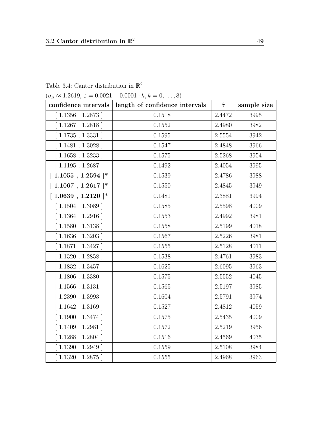<span id="page-48-0"></span>Table 3.4: Cantor distribution in  $\mathbb{R}^2$ 

 $(\sigma_{\mu} \approx 1.2619, \varepsilon = 0.0021 + 0.0001 \cdot k, k = 0, \dots, 8)$ 

| confidence intervals                                                | length of confidence intervals | $\hat{\sigma}$ | sample size |
|---------------------------------------------------------------------|--------------------------------|----------------|-------------|
| [1.1356, 1.2873]                                                    | 0.1518                         | 2.4472         | 3995        |
| [1.1267, 1.2818]                                                    | 0.1552                         | 2.4980         | 3982        |
| [1.1735, 1.3331]                                                    | 0.1595                         | 2.5554         | 3942        |
| 1.1481, 1.3028                                                      | 0.1547                         | 2.4848         | 3966        |
| [1.1658, 1.3233]                                                    | 0.1575                         | 2.5268         | 3954        |
| $[1.1195, 1.2687]$                                                  | 0.1492                         | 2.4054         | 3995        |
| $[1.1055, 1.2594]$ *                                                | 0.1539                         | 2.4786         | 3988        |
| $[1.1067, 1.2617]^*$                                                | 0.1550                         | 2.4845         | 3949        |
| $\left[ \begin{array}{c} 1.0639 \end{array} \right], 1.2120 \mid^*$ | 0.1481                         | 2.3881         | 3994        |
| [1.1504, 1.3089]                                                    | 0.1585                         | 2.5598         | 4009        |
| [1.1364, 1.2916]                                                    | 0.1553                         | 2.4992         | 3981        |
| 1.1580, 1.3138                                                      | 0.1558                         | 2.5199         | 4018        |
| $1.1636$ , $1.3203$                                                 | 0.1567                         | 2.5226         | 3981        |
| [1.1871, 1.3427]                                                    | 0.1555                         | 2.5128         | 4011        |
| 1.1320, 1.2858                                                      | 0.1538                         | 2.4761         | 3983        |
| $1.1832$ , 1.3457                                                   | 0.1625                         | 2.6095         | 3963        |
| $1.1806$ , $1.3380$                                                 | 0.1575                         | 2.5552         | 4045        |
| $1.1566$ , $1.3131$                                                 | 0.1565                         | 2.5197         | 3985        |
| 1.2390, 1.3993                                                      | 0.1604                         | 2.5791         | 3974        |
| $1.1642$ , $1.3169$                                                 | 0.1527                         | 2.4812         | 4059        |
| [1.1900, 1.3474]                                                    | 0.1575                         | 2.5435         | 4009        |
| $1.1409$ , 1.2981 ]                                                 | 0.1572                         | 2.5219         | 3956        |
| [1.1288, 1.2804]                                                    | $0.1516\,$                     | 2.4569         | 4035        |
| 1.1390, 1.2949                                                      | 0.1559                         | 2.5108         | 3984        |
| [1.1320, 1.2875]                                                    | 0.1555                         | 2.4968         | 3963        |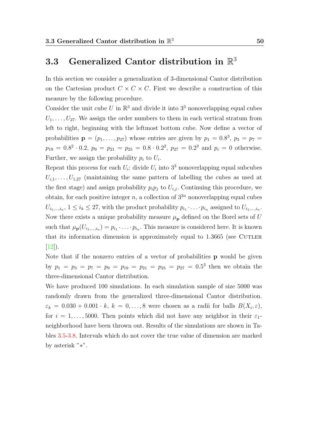## <span id="page-49-0"></span>3.3 Generalized Cantor distribution in  $\mathbb{R}^3$

In this section we consider a generalization of 3-dimensional Cantor distribution on the Cartesian product  $C \times C \times C$ . First we describe a construction of this measure by the following procedure.

Consider the unit cube U in  $\mathbb{R}^3$  and divide it into  $3^3$  nonoverlapping equal cubes  $U_1, \ldots, U_{27}$ . We assign the order numbers to them in each vertical stratum from left to right, beginning with the leftmost bottom cube. Now define a vector of probabilities  $\mathbf{p} = (p_1, \ldots, p_{27})$  whose entries are given by  $p_1 = 0.8^3$ ,  $p_3 = p_7 =$  $p_{19} = 0.8^2 \cdot 0.2$ ,  $p_9 = p_{21} = p_{25} = 0.8 \cdot 0.2^2$ ,  $p_{27} = 0.2^3$  and  $p_i = 0$  otherwise. Further, we assign the probability  $p_i$  to  $U_i$ .

Repeat this process for each  $U_i$ : divide  $U_i$  into  $3^3$  nonoverlapping equal subcubes  $U_{i,1}, \ldots, U_{1,27}$  (maintaining the same pattern of labelling the cubes as used at the first stage) and assign probability  $p_i p_j$  to  $U_{i,j}$ . Continuing this procedure, we obtain, for each positive integer n, a collection of  $3^{3n}$  nonoverlapping equal cubes  $U_{i_1,\dots,i_n}$ ,  $1 \leq i_k \leq 27$ , with the product probability  $p_{i_1} \cdot \ldots \cdot p_{i_n}$  assigned to  $U_{i_1,\dots,i_n}$ . Now there exists a unique probability measure  $\mu_{\bf p}$  defined on the Borel sets of U such that  $\mu_{\mathbf{p}}(U_{i_1,\dots,i_n}) = p_{i_1} \cdot \ldots \cdot p_{i_n}$ . This measure is considered here. It is known that its information dimension is approximately equal to  $1.3665$  (see CUTLER [\[12\]](#page-66-7)).

Note that if the nonzero entries of a vector of probabilities **p** would be given by  $p_1 = p_3 = p_7 = p_9 = p_{19} = p_{21} = p_{25} = p_{27} = 0.5^3$  then we obtain the three-dimensional Cantor distribution.

We have produced 100 simulations. In each simulation sample of size 5000 was randomly drawn from the generalized three-dimensional Cantor distribution.  $\varepsilon_k = 0.030 + 0.001 \cdot k, k = 0, \ldots, 8$  were chosen as a radii for balls  $B(X_i, \varepsilon)$ , for  $i = 1, \ldots, 5000$ . Then points which did not have any neighbor in their  $\varepsilon_1$ neighborhood have been thrown out. Results of the simulations are shown in Tables [3.5-](#page-50-0)[3.8.](#page-53-0) Intervals which do not cover the true value of dimension are marked by asterisk "∗".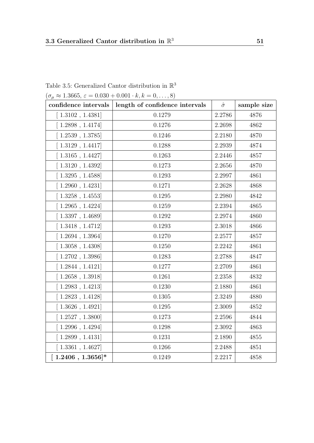| $(\sigma_{\mu} \approx 1.3665, \varepsilon = 0.030 + 0.001 \cdot k, k = 0, \dots, 8)$ |                                                       |                |             |  |  |
|---------------------------------------------------------------------------------------|-------------------------------------------------------|----------------|-------------|--|--|
|                                                                                       | confidence intervals   length of confidence intervals | $\hat{\sigma}$ | sample size |  |  |
| [1.3102, 1.4381]                                                                      | 0.1279                                                | 2.2786         | 4876        |  |  |
| [1.2898, 1.4174]                                                                      | $0.1276\,$                                            | 2.2698         | 4862        |  |  |
| $\left[ 1.2539, 1.3785 \right]$                                                       | 0.1246                                                | 2.2180         | 4870        |  |  |
| [1.3129, 1.4417]                                                                      | 0.1288                                                | 2.2939         | 4874        |  |  |
| [1.3165, 1.4427]                                                                      | 0.1263                                                | 2.2446         | 4857        |  |  |
| [1.3120, 1.4392]                                                                      | 0.1273                                                | 2.2656         | 4870        |  |  |
| [1.3295, 1.4588]                                                                      | 0.1293                                                | 2.2997         | 4861        |  |  |
| [1.2960, 1.4231]                                                                      | 0.1271                                                | 2.2628         | 4868        |  |  |
| [1.3258, 1.4553]                                                                      | 0.1295                                                | 2.2980         | 4842        |  |  |
| [1.2965, 1.4224]                                                                      | 0.1259                                                | 2.2394         | 4865        |  |  |
| [1.3397, 1.4689]                                                                      | 0.1292                                                | 2.2974         | 4860        |  |  |
| [1.3418, 1.4712]                                                                      | 0.1293                                                | 2.3018         | 4866        |  |  |
| [1.2694, 1.3964]                                                                      | 0.1270                                                | 2.2577         | 4857        |  |  |
| $[\ 1.3058$ , $1.4308]$                                                               | 0.1250                                                | 2.2242         | 4861        |  |  |
| [1.2702, 1.3986]                                                                      | 0.1283                                                | 2.2788         | 4847        |  |  |
| [1.2844, 1.4121]                                                                      | 0.1277                                                | 2.2709         | 4861        |  |  |
| [1.2658, 1.3918]                                                                      | 0.1261                                                | 2.2358         | 4832        |  |  |
| [1.2983, 1.4213]                                                                      | 0.1230                                                | 2.1880         | 4861        |  |  |
| [1.2823, 1.4128]                                                                      | 0.1305                                                | 2.3249         | 4880        |  |  |
| $[1.3626, 1.4921]$                                                                    | 0.1295                                                | 2.3009         | 4852        |  |  |
| [1.2527, 1.3800]                                                                      | 0.1273                                                | 2.2596         | 4844        |  |  |
| [1.2996, 1.4294]                                                                      | 0.1298                                                | 2.3092         | 4863        |  |  |
| [1.2899, 1.4131]                                                                      | 0.1231                                                | 2.1890         | 4855        |  |  |
| [1.3361, 1.4627]                                                                      | 0.1266                                                | 2.2488         | 4851        |  |  |
| $[1.2406, 1.3656]$ *                                                                  | 0.1249                                                | 2.2217         | 4858        |  |  |

<span id="page-50-0"></span>Table 3.5: Generalized Cantor distribution in  $\mathbb{R}^3$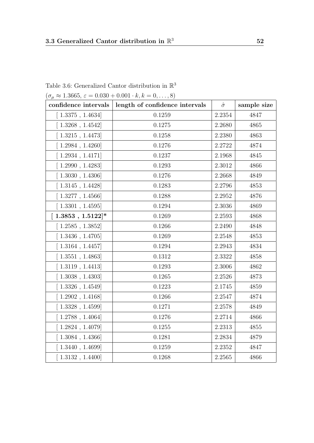| $(\sigma_{\mu} \approx 1.3665, \varepsilon = 0.030 + 0.001 \cdot k, k = 0, \dots, 8)$ |                                |                |             |  |
|---------------------------------------------------------------------------------------|--------------------------------|----------------|-------------|--|
| confidence intervals                                                                  | length of confidence intervals | $\hat{\sigma}$ | sample size |  |
| [1.3375, 1.4634]                                                                      | 0.1259                         | 2.2354         | 4847        |  |
| [1.3268, 1.4542]                                                                      | 0.1275                         | 2.2680         | 4865        |  |
| [1.3215, 1.4473]                                                                      | 0.1258                         | 2.2380         | 4863        |  |
| $1.2984$ , $1.4260$                                                                   | 0.1276                         | 2.2722         | 4874        |  |
| [1.2934, 1.4171]                                                                      | 0.1237                         | 2.1968         | 4845        |  |
| [1.2990, 1.4283]                                                                      | 0.1293                         | 2.3012         | 4866        |  |
| [1.3030, 1.4306]                                                                      | 0.1276                         | 2.2668         | 4849        |  |
| [1.3145, 1.4428]                                                                      | 0.1283                         | 2.2796         | 4853        |  |
| [1.3277, 1.4566]                                                                      | 0.1288                         | 2.2952         | 4876        |  |
| [1.3301, 1.4595]                                                                      | 0.1294                         | 2.3036         | 4869        |  |
| $[1.3853, 1.5122]$ *                                                                  | 0.1269                         | 2.2593         | 4868        |  |
| [1.2585, 1.3852]                                                                      | 0.1266                         | 2.2490         | 4848        |  |
| [1.3436, 1.4705]                                                                      | 0.1269                         | 2.2548         | 4853        |  |
| $[1.3164$ , $1.4457]$                                                                 | 0.1294                         | 2.2943         | 4834        |  |
| [1.3551, 1.4863]                                                                      | 0.1312                         | 2.3322         | 4858        |  |
| [1.3119, 1.4413]                                                                      | 0.1293                         | 2.3006         | 4862        |  |
| [1.3038, 1.4303]                                                                      | 0.1265                         | 2.2526         | 4873        |  |
| [1.3326, 1.4549]                                                                      | 0.1223                         | 2.1745         | 4859        |  |
| [1.2902, 1.4168]                                                                      | 0.1266                         | 2.2547         | 4874        |  |
| [1.3328, 1.4599]                                                                      | 0.1271                         | 2.2578         | 4849        |  |
| [1.2788, 1.4064]                                                                      | 0.1276                         | 2.2714         | 4866        |  |
| 1.2824, 1.4079                                                                        | 0.1255                         | 2.2313         | 4855        |  |
| [1.3084, 1.4366]                                                                      | 0.1281                         | 2.2834         | 4879        |  |
| [1.3440, 1.4699]                                                                      | 0.1259                         | 2.2352         | 4847        |  |
| [1.3132, 1.4400]                                                                      | 0.1268                         | 2.2565         | 4866        |  |

Table 3.6: Generalized Cantor distribution in  $\mathbb{R}^3$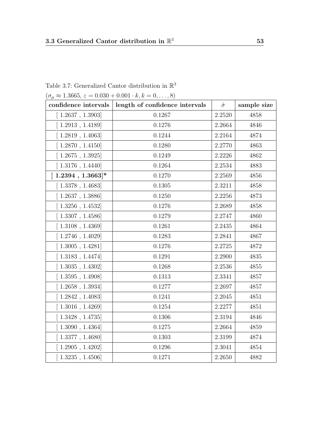| Table 3.7: Generalized Cantor distribution in $\mathbb{R}^3$ |  |
|--------------------------------------------------------------|--|
|--------------------------------------------------------------|--|

 $(\sigma_{\mu} \approx 1.3665, \varepsilon = 0.030 + 0.001 \cdot k, k = 0, \dots, 8)$ 

| confidence intervals                   | length of confidence intervals | $\hat{\sigma}$ | sample size |
|----------------------------------------|--------------------------------|----------------|-------------|
| [1.2637, 1.3903]                       | 0.1267                         | 2.2520         | 4858        |
| 1.2913, 1.4189                         | 0.1276                         | 2.2664         | 4846        |
| [1.2819, 1.4063]                       | 0.1244                         | 2.2164         | 4874        |
| 1.2870, 1.4150                         | 0.1280                         | 2.2770         | 4863        |
| $1.2675$ , $1.3925$ ]                  | 0.1249                         | 2.2226         | 4862        |
| 1.3176, 1.4440                         | 0.1264                         | 2.2534         | 4883        |
| $[1.2394, 1.3663]$ *                   | 0.1270                         | 2.2569         | 4856        |
| [1.3378, 1.4683]                       | 0.1305                         | 2.3211         | 4858        |
| 1.2637, 1.3886                         | 0.1250                         | 2.2256         | 4873        |
| [1.3256, 1.4532]                       | 0.1276                         | 2.2689         | 4858        |
| $\left[ 1.3307 \; , \; 1.4586 \right]$ | 0.1279                         | 2.2747         | 4860        |
| [1.3108, 1.4369]                       | 0.1261                         | 2.2435         | 4864        |
| $1.2746$ , $1.4029$                    | 0.1283                         | 2.2841         | 4867        |
| [1.3005, 1.4281]                       | 0.1276                         | 2.2725         | 4872        |
| 1.3183, 1.4474                         | 0.1291                         | 2.2900         | 4835        |
| 1.3035, 1.4302                         | 0.1268                         | 2.2536         | 4855        |
| 1.3595, 1.4908                         | 0.1313                         | 2.3341         | 4857        |
| 1.2658, 1.3934                         | 0.1277                         | 2.2697         | 4857        |
| $1.2842$ , $1.4083$                    | 0.1241                         | 2.2045         | 4851        |
| $1.3016$ , $1.4269$ ]                  | 0.1254                         | 2.2277         | 4851        |
| [1.3428, 1.4735]                       | 0.1306                         | 2.3194         | 4846        |
| 1.3090, 1.4364                         | 0.1275                         | 2.2664         | 4859        |
| [1.3377, 1.4680]                       | 0.1303                         | 2.3199         | 4874        |
| $1.2905$ , $1.4202$                    | 0.1296                         | 2.3041         | 4854        |
| [1.3235, 1.4506]                       | 0.1271                         | 2.2650         | 4882        |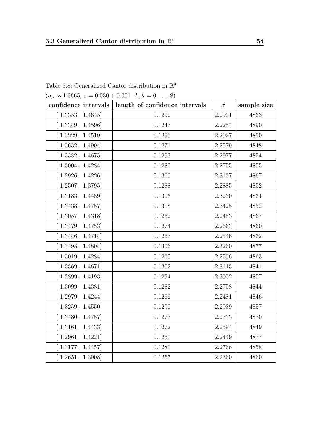| $(\sigma_{\mu} \approx 1.3665, \varepsilon = 0.030 + 0.001 \cdot k, k = 0, \dots, 8)$ |                                |                |             |  |
|---------------------------------------------------------------------------------------|--------------------------------|----------------|-------------|--|
| confidence intervals                                                                  | length of confidence intervals | $\hat{\sigma}$ | sample size |  |
| [1.3353, 1.4645]                                                                      | 0.1292                         | 2.2991         | 4863        |  |
| [1.3349, 1.4596]                                                                      | $0.1247\,$                     | 2.2254         | 4890        |  |
| [1.3229, 1.4519]                                                                      | 0.1290                         | 2.2927         | 4850        |  |
| 1.3632, 1.4904                                                                        | 0.1271                         | 2.2579         | 4848        |  |
| [1.3382, 1.4675]                                                                      | 0.1293                         | 2.2977         | 4854        |  |
| [1.3004, 1.4284]                                                                      | 0.1280                         | 2.2755         | 4855        |  |
| [1.2926, 1.4226]                                                                      | 0.1300                         | 2.3137         | 4867        |  |
| [1.2507, 1.3795]                                                                      | 0.1288                         | 2.2885         | 4852        |  |
| [1.3183, 1.4489]                                                                      | 0.1306                         | 2.3230         | 4864        |  |
| [1.3438, 1.4757]                                                                      | 0.1318                         | 2.3425         | 4852        |  |
| [1.3057, 1.4318]                                                                      | 0.1262                         | 2.2453         | 4867        |  |
| [1.3479, 1.4753]                                                                      | 0.1274                         | 2.2663         | 4860        |  |
| [1.3446, 1.4714]                                                                      | 0.1267                         | 2.2546         | 4862        |  |
| $[\ 1.3498$ , $1.4804]$                                                               | 0.1306                         | 2.3260         | 4877        |  |
| [1.3019, 1.4284]                                                                      | 0.1265                         | 2.2506         | 4863        |  |
| [1.3369, 1.4671]                                                                      | 0.1302                         | 2.3113         | 4841        |  |
| [1.2899, 1.4193]                                                                      | 0.1294                         | 2.3002         | 4857        |  |
| [1.3099, 1.4381]                                                                      | 0.1282                         | 2.2758         | 4844        |  |
| [1.2979, 1.4244]                                                                      | 0.1266                         | 2.2481         | 4846        |  |
| [1.3259, 1.4550]                                                                      | 0.1290                         | 2.2939         | 4857        |  |
| [1.3480, 1.4757]                                                                      | 0.1277                         | 2.2733         | 4870        |  |
| [1.3161, 1.4433]                                                                      | 0.1272                         | 2.2594         | 4849        |  |
| [1.2961, 1.4221]                                                                      | 0.1260                         | 2.2449         | 4877        |  |
| [1.3177, 1.4457]                                                                      | 0.1280                         | 2.2766         | 4858        |  |
| [1.2651, 1.3908]                                                                      | 0.1257                         | 2.2360         | 4860        |  |

<span id="page-53-0"></span>Table 3.8: Generalized Cantor distribution in  $\mathbb{R}^3$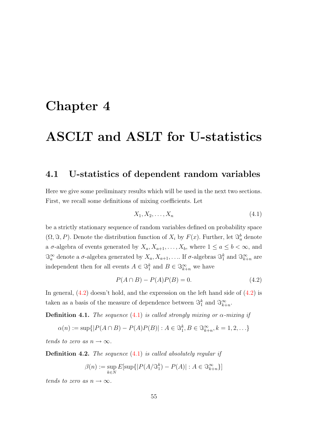## <span id="page-54-0"></span>Chapter 4

## ASCLT and ASLT for U-statistics

#### <span id="page-54-1"></span>4.1 U-statistics of dependent random variables

Here we give some preliminary results which will be used in the next two sections. First, we recall some definitions of mixing coefficients. Let

<span id="page-54-3"></span><span id="page-54-2"></span>
$$
X_1, X_2, \dots, X_n \tag{4.1}
$$

be a strictly stationary sequence of random variables defined on probability space  $(\Omega, \Im, P)$ . Denote the distribution function of  $X_i$  by  $F(x)$ . Further, let  $\Im_a^b$  denote a  $\sigma$ -algebra of events generated by  $X_a, X_{a+1}, \ldots, X_b$ , where  $1 \le a \le b < \infty$ , and  $\Im_a^{\infty}$  denote a  $\sigma$ -algebra generated by  $X_a, X_{a+1}, \ldots$  If  $\sigma$ -algebras  $\Im_1^k$  and  $\Im_{k+n}^{\infty}$  are independent then for all events  $A \in \mathcal{S}_1^k$  and  $B \in \mathcal{S}_{k+n}^{\infty}$  we have

$$
P(A \cap B) - P(A)P(B) = 0.\tag{4.2}
$$

In general,  $(4.2)$  doesn't hold, and the expression on the left hand side of  $(4.2)$  is taken as a basis of the measure of dependence between  $\mathcal{S}_1^k$  and  $\mathcal{S}_{k+n}^{\infty}$ .

**Definition 4.1.** The sequence [\(4.1\)](#page-54-3) is called strongly mixing or  $\alpha$ -mixing if

$$
\alpha(n) := \sup\{|P(A \cap B) - P(A)P(B)| : A \in \mathcal{S}_1^k, B \in \mathcal{S}_{k+n}^{\infty}, k = 1, 2, \ldots\}
$$

tends to zero as  $n \to \infty$ .

**Definition 4.2.** The sequence  $(4.1)$  is called absolutely regular if

$$
\beta(n) := \sup_{k \in \mathbb{N}} E[\sup\{|P(A/\mathfrak{S}_1^k) - P(A)| : A \in \mathfrak{S}_{k+n}^{\infty}\}]
$$

tends to zero as  $n \to \infty$ .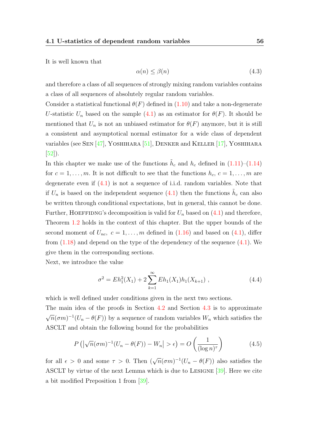It is well known that

<span id="page-55-2"></span>
$$
\alpha(n) \le \beta(n) \tag{4.3}
$$

and therefore a class of all sequences of strongly mixing random variables contains a class of all sequences of absolutely regular random variables.

Consider a statistical functional  $\theta(F)$  defined in [\(1.10\)](#page-20-0) and take a non-degenerate U-statistic  $U_n$  based on the sample [\(4.1\)](#page-54-3) as an estimator for  $\theta(F)$ . It should be mentioned that  $U_n$  is not an unbiased estimator for  $\theta(F)$  anymore, but it is still a consistent and asymptotical normal estimator for a wide class of dependent variables (see Sen [\[47\]](#page-69-4), Yoshihara [\[51\]](#page-69-5), Denker and Keller [\[17\]](#page-66-3), Yoshihara [\[52\]](#page-69-6)).

In this chapter we make use of the functions  $\tilde{h}_c$  and  $h_c$  defined in  $(1.11)$ – $(1.14)$ for  $c = 1, \ldots, m$ . It is not difficult to see that the functions  $h_c, c = 1, \ldots, m$  are degenerate even if  $(4.1)$  is not a sequence of i.i.d. random variables. Note that if  $U_n$  is based on the independent sequence [\(4.1\)](#page-54-3) then the functions  $\tilde{h}_c$  can also be written through conditional expectations, but in general, this cannot be done. Further, HOEFFIDNG's decomposition is valid for  $U_n$  based on  $(4.1)$  and therefore, Theorem [1.2](#page-21-3) holds in the context of this chapter. But the upper bounds of the second moment of  $U_{nc}$ ,  $c = 1, \ldots, m$  defined in  $(1.16)$  and based on  $(4.1)$ , differ from  $(1.18)$  and depend on the type of the dependency of the sequence  $(4.1)$ . We give them in the corresponding sections.

Next, we introduce the value

<span id="page-55-1"></span>
$$
\sigma^2 = Eh_1^2(X_1) + 2\sum_{k=1}^{\infty} Eh_1(X_1)h_1(X_{k+1}), \qquad (4.4)
$$

which is well defined under conditions given in the next two sections.

The main idea of the proofs in Section [4.2](#page-56-0) and Section [4.3](#page-58-0) is to approximate √  $\overline{n}(\sigma m)^{-1}(U_n - \theta(F))$  by a sequence of random variables  $W_n$  which satisfies the ASCLT and obtain the following bound for the probabilities

<span id="page-55-0"></span>
$$
P\left(\left|\sqrt{n}(\sigma m)^{-1}(U_n - \theta(F)) - W_n\right| > \epsilon\right) = O\left(\frac{1}{(\log n)^\tau}\right) \tag{4.5}
$$

<span id="page-55-3"></span>for all  $\epsilon > 0$  and some  $\tau > 0$ . Then  $(\sqrt{n}(\sigma m)^{-1}(U_n - \theta(F))$  also satisfies the ASCLT by virtue of the next Lemma which is due to Lesigne [\[39\]](#page-68-11). Here we cite a bit modified Preposition 1 from [\[39\]](#page-68-11).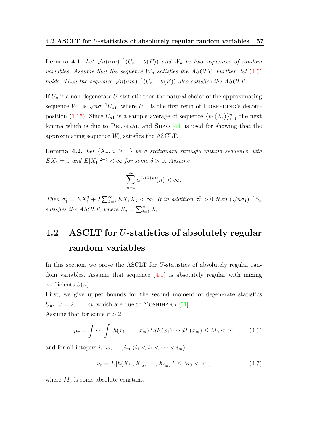**Lemma 4.1.** Let  $\sqrt{n}(\sigma m)^{-1}(U_n - \theta(F))$  and  $W_n$  be two sequences of random variables. Assume that the sequence  $W_n$  satisfies the ASCLT. Further, let [\(4.5\)](#page-55-0) holds. Then the sequence  $\sqrt{n}(\sigma m)^{-1}(U_n - \theta(F))$  also satisfies the ASCLT.

If  $U_n$  is a non-degenerate U-statistic then the natural choice of the approximating sequence  $W_n$  is  $\sqrt{n}\sigma^{-1}U_{n1}$ , where  $U_{n1}$  is the first term of HOEFFDING's decom-position [\(1.15\)](#page-21-0). Since  $U_{n_1}$  is a sample average of sequence  $\{h_1(X_i)\}_{i=1}^n$  the next lemma which is due to PELIGRAD and SHAO  $[44]$  is used for showing that the approximating sequence  $W_n$  satisfies the ASCLT.

<span id="page-56-3"></span>**Lemma 4.2.** Let  $\{X_n, n \geq 1\}$  be a stationary strongly mixing sequence with  $EX_1 = 0$  and  $E|X_1|^{2+\delta} < \infty$  for some  $\delta > 0$ . Assume

$$
\sum_{n=1}^{\infty} \alpha^{\delta/(2+\delta)}(n) < \infty.
$$

Then  $\sigma_1^2 = EX_1^2 + 2 \sum_{k=2}^{\infty} EX_1X_k < \infty$ . If in addition  $\sigma_1^2 > 0$  then ( √  $(\overline{n}\sigma_1)^{-1}S_n$ satisfies the ASCLT, where  $S_n = \sum_{i=1}^n X_i$ .

## <span id="page-56-0"></span>4.2 ASCLT for U-statistics of absolutely regular random variables

In this section, we prove the ASCLT for U-statistics of absolutely regular random variables. Assume that sequence [\(4.1\)](#page-54-3) is absolutely regular with mixing coefficients  $\beta(n)$ .

First, we give upper bounds for the second moment of degenerate statistics  $U_{nc}, c = 2, \ldots, m$ , which are due to YOSHIHARA [\[51\]](#page-69-5). Assume that for some  $r > 2$ 

<span id="page-56-1"></span>
$$
\mu_r = \int \cdots \int |h(x_1,\ldots,x_m)|^r dF(x_1)\cdots dF(x_m) \le M_0 < \infty \tag{4.6}
$$

and for all integers  $i_1, i_2, \ldots, i_m$   $(i_1 < i_2 < \cdots < i_m)$ 

<span id="page-56-2"></span>
$$
\nu_r = E|h(X_{i_1}, X_{i_2}, \dots, X_{i_m})|^r \le M_0 < \infty \tag{4.7}
$$

<span id="page-56-4"></span>where  $M_0$  is some absolute constant.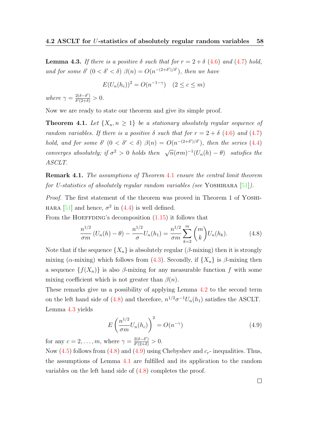**Lemma 4.3.** If there is a positive  $\delta$  such that for  $r = 2 + \delta$  [\(4.6\)](#page-56-1) and [\(4.7\)](#page-56-2) hold, and for some  $\delta'$   $(0 < \delta' < \delta)$   $\beta(n) = O(n^{-(2+\delta')/\delta'})$ , then we have

$$
E(U_n(h_c))^2 = O(n^{-1-\gamma}) \quad (2 \le c \le m)
$$

where  $\gamma = \frac{2(\delta - \delta')}{\delta'(2 + \delta)}$  $\frac{2(\delta-\delta')}{\delta'(2+\delta)} > 0.$ 

<span id="page-57-0"></span>Now we are ready to state our theorem and give its simple proof.

**Theorem 4.1.** Let  $\{X_n, n \geq 1\}$  be a stationary absolutely regular sequence of random variables. If there is a positive  $\delta$  such that for  $r = 2 + \delta (4.6)$  $r = 2 + \delta (4.6)$  and  $(4.7)$ hold, and for some  $\delta'$   $(0 < \delta' < \delta)$   $\beta(n) = O(n^{-(2+\delta')/\delta'})$ , then the series [\(4.4\)](#page-55-1) converges absolutely; if  $\sigma^2 > 0$  holds then  $\sqrt{n}(\sigma m)^{-1}(U_n(h) - \theta)$  satisfies the ASCLT.

Remark 4.1. The assumptions of Theorem [4.1](#page-57-0) ensure the central limit theorem for U-statistics of absolutely regular random variables (see YOSHIHARA  $[51]$ ).

Proof. The first statement of the theorem was proved in Theorem 1 of YOSHI-HARA [\[51\]](#page-69-5) and hence,  $\sigma^2$  in [\(4.4\)](#page-55-1) is well defined.

From the HOEFFDING's decomposition  $(1.15)$  it follows that

<span id="page-57-1"></span>
$$
\frac{n^{1/2}}{\sigma m} \left( U_n(h) - \theta \right) - \frac{n^{1/2}}{\sigma} U_n(h_1) = \frac{n^{1/2}}{\sigma m} \sum_{k=2}^m \binom{m}{k} U_n(h_k). \tag{4.8}
$$

Note that if the sequence  $\{X_n\}$  is absolutely regular ( $\beta$ -mixing) then it is strongly mixing ( $\alpha$ -mixing) which follows from [\(4.3\)](#page-55-2). Secondly, if  $\{X_n\}$  is  $\beta$ -mixing then a sequence  $\{f(X_n)\}\$ is also  $\beta$ -mixing for any measurable function f with some mixing coefficient which is not greater than  $\beta(n)$ .

These remarks give us a possibility of applying Lemma [4.2](#page-56-3) to the second term on the left hand side of [\(4.8\)](#page-57-1) and therefore,  $n^{1/2}\sigma^{-1}U_n(h_1)$  satisfies the ASCLT. Lemma [4.3](#page-56-4) yields

<span id="page-57-2"></span>
$$
E\left(\frac{n^{1/2}}{\sigma m}U_n(h_c)\right)^2 = O(n^{-\gamma})\tag{4.9}
$$

for any  $c = 2, \ldots, m$ , where  $\gamma = \frac{2(\delta - \delta')}{\delta'(2 + \delta)}$  $\frac{2(\delta-\delta')}{\delta'(2+\delta)} > 0.$ 

Now  $(4.5)$  follows from  $(4.8)$  and  $(4.9)$  using Chebyshev and  $c_r$ - inequalities. Thus, the assumptions of Lemma [4.1](#page-55-3) are fulfilled and its application to the random variables on the left hand side of [\(4.8\)](#page-57-1) completes the proof.

 $\Box$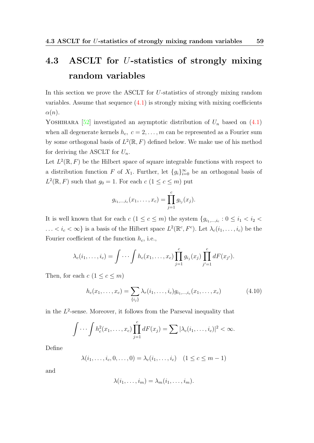## <span id="page-58-0"></span>4.3 ASCLT for U-statistics of strongly mixing random variables

In this section we prove the ASCLT for U-statistics of strongly mixing random variables. Assume that sequence  $(4.1)$  is strongly mixing with mixing coefficients  $\alpha(n)$ .

YOSHIHARA [\[52\]](#page-69-6) investigated an asymptotic distribution of  $U_n$  based on [\(4.1\)](#page-54-3) when all degenerate kernels  $h_c, c = 2, \ldots, m$  can be represented as a Fourier sum by some orthogonal basis of  $L^2(\mathbb{R}, F)$  defined below. We make use of his method for deriving the ASCLT for  $U_n$ .

Let  $L^2(\mathbb{R}, F)$  be the Hilbert space of square integrable functions with respect to a distribution function F of  $X_1$ . Further, let  $\{g_i\}_{i=0}^{\infty}$  be an orthogonal basis of  $L^2(\mathbb{R}, F)$  such that  $g_0 = 1$ . For each  $c$   $(1 \leq c \leq m)$  put

$$
g_{i_1,\dots,i_c}(x_1,\dots,x_c) = \prod_{j=1}^c g_{i_j}(x_j).
$$

It is well known that for each  $c$   $(1 \leq c \leq m)$  the system  $\{g_{i_1,...,i_c} : 0 \leq i_1 < i_2 < \cdots$  $\ldots < i_c < \infty$  is a basis of the Hilbert space  $L^2(\mathbb{R}^c, F^c)$ . Let  $\lambda_c(i_1, \ldots, i_c)$  be the Fourier coefficient of the function  $h_c$ , i.e.,

$$
\lambda_c(i_1,\ldots,i_c) = \int \cdots \int h_c(x_1,\ldots,x_c) \prod_{j=1}^c g_{i_j}(x_j) \prod_{j'=1}^c dF(x_{j'}).
$$

Then, for each  $c$   $(1 \leq c \leq m)$ 

<span id="page-58-1"></span>
$$
h_c(x_1, \ldots, x_c) = \sum_{\{i_j\}} \lambda_r(i_1, \ldots, i_c) g_{i_1, \ldots, i_c}(x_1, \ldots, x_c)
$$
(4.10)

in the  $L^2$ -sense. Moreover, it follows from the Parseval inequality that

$$
\int \cdots \int h_c^2(x_1,\ldots,x_c) \prod_{j=1}^c dF(x_j) = \sum |\lambda_c(i_1,\ldots,i_c)|^2 < \infty.
$$

Define

$$
\lambda(i_1,\ldots,i_c,0,\ldots,0)=\lambda_c(i_1,\ldots,i_c)\quad(1\leq c\leq m-1)
$$

and

$$
\lambda(i_1,\ldots,i_m)=\lambda_m(i_1,\ldots,i_m).
$$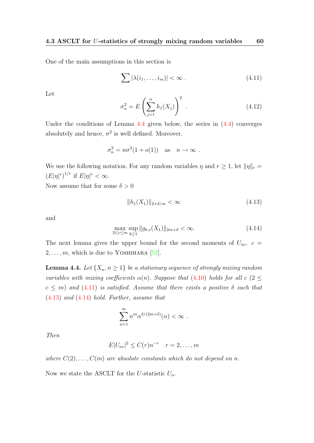One of the main assumptions in this section is

<span id="page-59-1"></span>
$$
\sum |\lambda(i_1,\ldots,i_m)| < \infty \; . \tag{4.11}
$$

Let

$$
\sigma_n^2 = E\left(\sum_{j=1}^n h_1(X_j)\right)^2.
$$
 (4.12)

Under the conditions of Lemma [4.4](#page-59-0) given below, the series in [\(4.4\)](#page-55-1) converges absolutely and hence,  $\sigma^2$  is well defined. Moreover,

$$
\sigma_n^2 = n\sigma^2(1 + o(1)) \quad \text{as} \quad n \to \infty \ .
$$

We use the following notation. For any random variables  $\eta$  and  $r \geq 1$ , let  $\|\eta\|_r =$  $(E|\eta|^r)^{1/r}$  if  $E|\eta|^r < \infty$ .

Now assume that for some  $\delta > 0$ 

<span id="page-59-2"></span>
$$
||h_1(X_1)||_{2+\delta/m} < \infty \tag{4.13}
$$

<span id="page-59-3"></span>and

$$
\max_{2 \le c \le m} \sup_{k \ge 1} \|g_{k,c}(X_1)\|_{2m+\delta} < \infty. \tag{4.14}
$$

The next lemma gives the upper bound for the second moments of  $U_{nc}$ ,  $c =$  $2, \ldots, m$ , which is due to YOSHIHARA [\[52\]](#page-69-6).

<span id="page-59-0"></span>**Lemma 4.4.** Let  $\{X_n, n \geq 1\}$  be a stationary sequence of strongly mixing random variables with mixing coefficients  $\alpha(n)$ . Suppose that [\(4.10\)](#page-58-1) holds for all c (2  $\leq$  $c \leq m$ ) and [\(4.11\)](#page-59-1) is satisfied. Assume that there exists a positive  $\delta$  such that [\(4.13\)](#page-59-2) and [\(4.14\)](#page-59-3) hold. Further, assume that

$$
\sum_{n=1}^{\infty} n^m \alpha^{\delta/(2m+\delta)}(n) < \infty \; .
$$

Then

$$
E|U_{nc}|^2 \leq C(r)n^{-r} \quad r = 2, \dots, m
$$

where  $C(2), \ldots, C(m)$  are absolute constants which do not depend on n.

Now we state the ASCLT for the U-statistic  $U_n$ .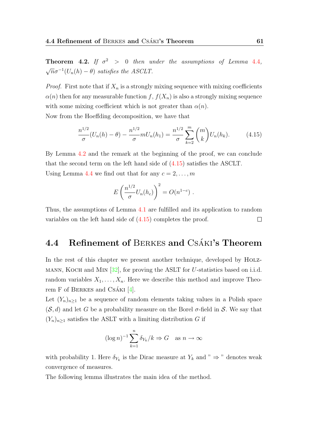**Theorem 4.2.** If  $\sigma^2 > 0$  then under the assumptions of Lemma [4.4](#page-59-0),  $\sqrt{n}\sigma^{-1}(U_n(h) - \theta)$  satisfies the ASCLT.

*Proof.* First note that if  $X_n$  is a strongly mixing sequence with mixing coefficients  $\alpha(n)$  then for any measurable function f,  $f(X_n)$  is also a strongly mixing sequence with some mixing coefficient which is not greater than  $\alpha(n)$ .

Now from the Hoeffding decomposition, we have that

$$
\frac{n^{1/2}}{\sigma}(U_n(h) - \theta) - \frac{n^{1/2}}{\sigma}mU_n(h_1) = \frac{n^{1/2}}{\sigma}\sum_{k=2}^m \binom{m}{k}U_n(h_k). \tag{4.15}
$$

By Lemma [4.2](#page-56-3) and the remark at the beginning of the proof, we can conclude that the second term on the left hand side of [\(4.15\)](#page-60-1) satisfies the ASCLT. Using Lemma [4.4](#page-59-0) we find out that for any  $c = 2, \ldots, m$ 

<span id="page-60-1"></span>
$$
E\left(\frac{n^{1/2}}{\sigma}U_n(h_c)\right)^2 = O(n^{1-c}) .
$$

Thus, the assumptions of Lemma [4.1](#page-55-3) are fulfilled and its application to random variables on the left hand side of [\(4.15\)](#page-60-1) completes the proof.  $\Box$ 

### <span id="page-60-0"></span>4.4 Refinement of BERKES and CSÁKI's Theorem

In the rest of this chapter we present another technique, developed by HOLZ-MANN, KOCH and MIN  $[32]$ , for proving the ASLT for U-statistics based on i.i.d. random variables  $X_1, \ldots, X_n$ . Here we describe this method and improve Theorem F of BERKES and CSÁKI  $[4]$ .

Let  $(Y_n)_{n\geq 1}$  be a sequence of random elements taking values in a Polish space  $(\mathcal{S}, d)$  and let G be a probability measure on the Borel  $\sigma$ -field in S. We say that  $(Y_n)_{n\geq 1}$  satisfies the ASLT with a limiting distribution G if

$$
(\log n)^{-1} \sum_{k=1}^{n} \delta_{Y_k} / k \Rightarrow G \quad \text{as } n \to \infty
$$

with probability 1. Here  $\delta_{Y_k}$  is the Dirac measure at  $Y_k$  and "  $\Rightarrow$  " denotes weak convergence of measures.

<span id="page-60-2"></span>The following lemma illustrates the main idea of the method.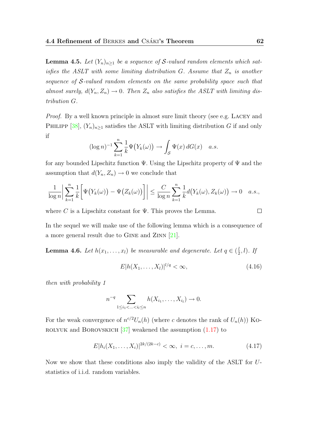**Lemma 4.5.** Let  $(Y_n)_{n\geq 1}$  be a sequence of S-valued random elements which satisfies the ASLT with some limiting distribution  $G$ . Assume that  $Z_n$  is another sequence of S-valued random elements on the same probability space such that almost surely,  $d(Y_n, Z_n) \to 0$ . Then  $Z_n$  also satisfies the ASLT with limiting distribution G.

Proof. By a well known principle in almost sure limit theory (see e.g. LACEY and PHILIPP [\[38\]](#page-68-6),  $(Y_n)_{n\geq 1}$  satisfies the ASLT with limiting distribution G if and only if

$$
(\log n)^{-1} \sum_{k=1}^n \frac{1}{k} \Psi(Y_k(\omega)) \to \int_{\mathcal{S}} \Psi(x) dG(x) \quad a.s.
$$

for any bounded Lipschitz function  $\Psi$ . Using the Lipschitz property of  $\Psi$  and the assumption that  $d(Y_n, Z_n) \to 0$  we conclude that

$$
\frac{1}{\log n} \left| \sum_{k=1}^n \frac{1}{k} \left[ \Psi(Y_k(\omega)) - \Psi(Z_k(\omega)) \right] \right| \leq \frac{C}{\log n} \sum_{k=1}^n \frac{1}{k} d(Y_k(\omega), Z_k(\omega)) \to 0 \quad a.s.,
$$

where C is a Lipschitz constant for  $\Psi$ . This proves the Lemma.

In the sequel we will make use of the following lemma which is a consequence of a more general result due to Gine and Zinn [\[21\]](#page-67-11).

<span id="page-61-1"></span>**Lemma 4.6.** Let  $h(x_1, \ldots, x_l)$  be measurable and degenerate. Let  $q \in (\frac{l}{2})$  $\frac{l}{2}, l$ ). If

$$
E|h(X_1, ..., X_l)|^{l/q} < \infty,
$$
\n(4.16)

then with probability 1

$$
n^{-q} \sum_{1 \leq i_1 < \ldots < i_l \leq n} h(X_{i_1}, \ldots, X_{i_l}) \to 0.
$$

For the weak convergence of  $n^{c/2}U_n(h)$  (where c denotes the rank of  $U_n(h)$ ) Ko-ROLYUK and BOROVSKICH  $[37]$  weakened the assumption  $(1.17)$  to

$$
E|h_i(X_1,\ldots,X_i)|^{2k/(2k-c)} < \infty, \ i = c,\ldots,m. \tag{4.17}
$$

Now we show that these conditions also imply the validity of the ASLT for Ustatistics of i.i.d. random variables.

<span id="page-61-0"></span> $\Box$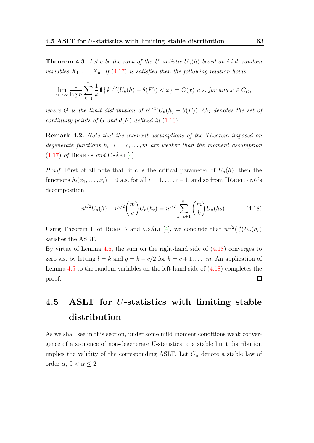**Theorem 4.3.** Let c be the rank of the U-statistic  $U_n(h)$  based on i.i.d. random variables  $X_1, \ldots, X_n$ . If [\(4.17\)](#page-61-0) is satisfied then the following relation holds

$$
\lim_{n\to\infty}\frac{1}{\log n}\sum_{k=1}^n\frac{1}{k}\mathbb{1}\left\{k^{r/2}(U_k(h)-\theta(F))
$$

where G is the limit distribution of  $n^{r/2}(U_n(h) - \theta(F))$ ,  $C_G$  denotes the set of continuity points of G and  $\theta(F)$  defined in [\(1.10\)](#page-20-0).

Remark 4.2. Note that the moment assumptions of the Theorem imposed on degenerate functions  $h_i$ ,  $i = c, \ldots, m$  are weaker than the moment assumption  $(1.17)$  of BERKES and CSÁKI [\[4\]](#page-65-6).

*Proof.* First of all note that, if c is the critical parameter of  $U_n(h)$ , then the functions  $h_i(x_1, \ldots, x_i) = 0$  a.s. for all  $i = 1, \ldots, c-1$ , and so from HOEFFDING's decomposition

<span id="page-62-1"></span>
$$
n^{c/2}U_n(h) - n^{c/2} \binom{m}{c} U_n(h_c) = n^{c/2} \sum_{k=c+1}^m \binom{m}{k} U_n(h_k).
$$
 (4.18)

Using Theorem F of BERKES and CSÁKI [\[4\]](#page-65-6), we conclude that  $n^{c/2} \binom{m}{c} U_n(h_c)$ satisfies the ASLT.

By virtue of Lemma  $4.6$ , the sum on the right-hand side of  $(4.18)$  converges to zero a.s. by letting  $l = k$  and  $q = k - c/2$  for  $k = c + 1, \ldots, m$ . An application of Lemma [4.5](#page-60-2) to the random variables on the left hand side of [\(4.18\)](#page-62-1) completes the  $\Box$ proof.

## <span id="page-62-0"></span>4.5 ASLT for U-statistics with limiting stable distribution

<span id="page-62-2"></span>As we shall see in this section, under some mild moment conditions weak convergence of a sequence of non-degenerate U-statistics to a stable limit distribution implies the validity of the corresponding ASLT. Let  $G_{\alpha}$  denote a stable law of order  $\alpha$ ,  $0 < \alpha \leq 2$ .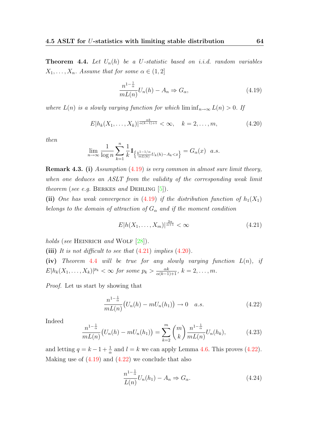**Theorem 4.4.** Let  $U_n(h)$  be a U-statistic based on i.i.d. random variables  $X_1, \ldots, X_n$ . Assume that for some  $\alpha \in (1, 2]$ 

<span id="page-63-3"></span><span id="page-63-1"></span>
$$
\frac{n^{1-\frac{1}{\alpha}}}{mL(n)}U_n(h) - A_n \Rightarrow G_\alpha,
$$
\n(4.19)

where  $L(n)$  is a slowly varying function for which  $\liminf_{n\to\infty} L(n) > 0$ . If

$$
E|h_k(X_1,\ldots,X_k)|^{\frac{\alpha k}{\alpha(k-1)+1}} < \infty, \quad k=2,\ldots,m,
$$
\n(4.20)

then

$$
\lim_{n \to \infty} \frac{1}{\log n} \sum_{k=1}^n \frac{1}{k} 1_{\left\{ \frac{k^{1-1/\alpha}}{mL(k)} U_k(h) - A_k < x \right\}} = G_\alpha(x) \quad a.s.
$$

Remark 4.3. (i) Assumption [\(4.19\)](#page-63-1) is very common in almost sure limit theory, when one deduces an ASLT from the validity of the corresponding weak limit theorem (see e.g. BERKES and DEHLING  $[5]$ ).

(ii) One has weak convergence in [\(4.19\)](#page-63-1) if the distribution function of  $h_1(X_1)$ belongs to the domain of attraction of  $G_{\alpha}$  and if the moment condition

<span id="page-63-2"></span>
$$
E|h(X_1,\ldots,X_m)|^{\frac{2\alpha}{\alpha+1}} < \infty \tag{4.21}
$$

holds (see HEINRICH and WOLF  $[28]$ ).

(iii) It is not difficult to see that  $(4.21)$  implies  $(4.20)$ .

(iv) Theorem [4.4](#page-62-2) will be true for any slowly varying function  $L(n)$ , if  $E|h_k(X_1,\ldots,X_k)|^{p_k} < \infty$  for some  $p_k > \frac{\alpha k}{\alpha(k-1)+1}$ ,  $k=2,\ldots,m$ .

Proof. Let us start by showing that

<span id="page-63-4"></span>
$$
\frac{n^{1-\frac{1}{\alpha}}}{mL(n)}(U_n(h) - mU_n(h_1)) \to 0 \quad a.s.
$$
\n(4.22)

Indeed

<span id="page-63-5"></span>
$$
\frac{n^{1-\frac{1}{\alpha}}}{mL(n)}\big(U_n(h) - mU_n(h_1)\big) = \sum_{k=2}^m \binom{m}{k} \frac{n^{1-\frac{1}{\alpha}}}{mL(n)} U_n(h_k),\tag{4.23}
$$

and letting  $q = k - 1 + \frac{1}{\alpha}$  and  $l = k$  we can apply Lemma [4.6.](#page-61-1) This proves [\(4.22\)](#page-63-4). Making use of  $(4.19)$  and  $(4.22)$  we conclude that also

<span id="page-63-0"></span>
$$
\frac{n^{1-\frac{1}{\alpha}}}{L(n)}U_n(h_1) - A_n \Rightarrow G_{\alpha}.
$$
\n(4.24)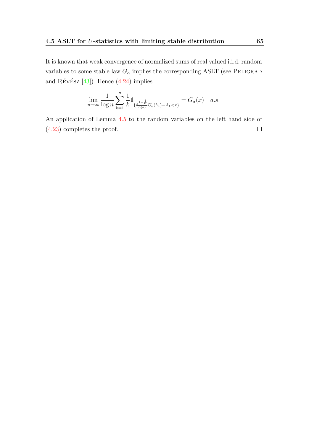It is known that weak convergence of normalized sums of real valued i.i.d. random variables to some stable law  $G_{\alpha}$  implies the corresponding ASLT (see PELIGRAD and RÉVÉSZ  $[43]$ . Hence  $(4.24)$  implies

$$
\lim_{n \to \infty} \frac{1}{\log n} \sum_{k=1}^{n} \frac{1}{k} 1_{\{\frac{k^{1-\frac{1}{\alpha}}}{L(k)}U_k(h_1) - A_k < x\}} = G_{\alpha}(x) \quad a.s.
$$

An application of Lemma [4.5](#page-60-2) to the random variables on the left hand side of [\(4.23\)](#page-63-5) completes the proof. $\Box$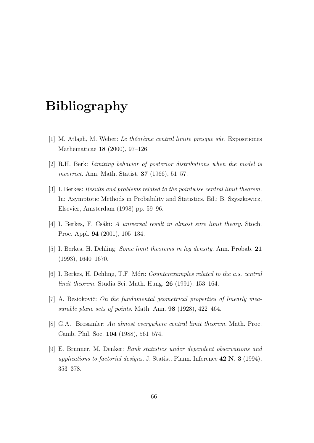## Bibliography

- <span id="page-65-5"></span>[1] M. Atlagh, M. Weber: Le théorème central limite presque sûr. Expositiones Mathematicae 18 (2000), 97–126.
- <span id="page-65-8"></span>[2] R.H. Berk: Limiting behavior of posterior distributions when the model is incorrect. Ann. Math. Statist. 37 (1966), 51–57.
- <span id="page-65-4"></span>[3] I. Berkes: Results and problems related to the pointwise central limit theorem. In: Asymptotic Methods in Probability and Statistics. Ed.: B. Szyszkowicz, Elsevier, Amsterdam (1998) pp. 59–96.
- <span id="page-65-6"></span>[4] I. Berkes, F. Csáki: A universal result in almost sure limit theory. Stoch. Proc. Appl. 94 (2001), 105–134.
- <span id="page-65-2"></span>[5] I. Berkes, H. Dehling: Some limit theorems in log density. Ann. Probab. 21 (1993), 1640–1670.
- <span id="page-65-3"></span>[6] I. Berkes, H. Dehling, T.F. Móri: *Counterexamples related to the a.s. central limit theorem.* Studia Sci. Math. Hung. **26** (1991), 153–164.
- <span id="page-65-0"></span>[7] A. Besiokovič: On the fundamental geometrical properties of linearly measurable plane sets of points. Math. Ann. 98 (1928), 422–464.
- <span id="page-65-1"></span>[8] G.A. Brosamler: An almost everywhere central limit theorem. Math. Proc. Camb. Phil. Soc. 104 (1988), 561–574.
- <span id="page-65-7"></span>[9] E. Brunner, M. Denker: Rank statistics under dependent observations and applications to factorial designs. J. Statist. Plann. Inference  $42 \text{ N. } 3 \ (1994)$ , 353–378.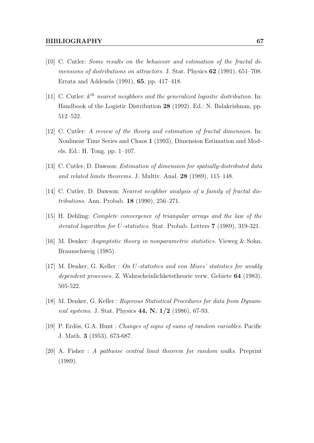- <span id="page-66-2"></span>[10] C. Cutler: Some results on the behaivoir and estimation of the fractal dimensions of distributions on attractors. J. Stat. Physics **62** (1991), 651–708. Errata and Addenda (1991), 65, pp. 417–418.
- <span id="page-66-8"></span>[11] C. Cutler:  $k^{th}$  nearest neighbors and the generalized logisitic distribution. In: Handbook of the Logistic Distribution 28 (1992). Ed.: N. Balakrishnan, pp. 512–522.
- <span id="page-66-7"></span>[12] C. Cutler: A review of the theory and estimation of fractal dimension. In: Nonlinear Time Series and Chaos 1 (1993), Dimension Estimation and Models. Ed.: H. Tong, pp. 1–107.
- <span id="page-66-0"></span>[13] C. Cutler, D. Dawson: Estimation of dimension for spatially-distributed data and related limits theorems. J. Multiv. Anal. 28 (1989), 115–148.
- <span id="page-66-1"></span>[14] C. Cutler, D. Dawson: Nearest neighbor analysis of a family of fractal distributions. Ann. Probab. 18 (1990), 256–271.
- <span id="page-66-10"></span>[15] H. Dehling: Complete convergence of triangular arrays and the law of the iterated logarithm for U-statistics. Stat. Probab. Letters 7 (1989), 319-321.
- <span id="page-66-9"></span>[16] M. Denker: Asymptotic theory in nonparametric statistics. Vieweg & Sohn, Braunschweig (1985).
- <span id="page-66-3"></span>[17] M. Denker, G. Keller : On U-statistics and von Mises' statistics for weakly dependent processes. Z. Wahrscheinlichketstheorie verw. Gebiete 64 (1983), 505-522.
- <span id="page-66-4"></span>[18] M. Denker, G. Keller : Rigorous Statistical Procedures for data from Dynam*ical systems.* J. Stat. Physics  $44$ , N.  $1/2$  (1986), 67-93.
- <span id="page-66-5"></span>[19] P. Erdös, G.A. Hunt : *Changes of signs of sums of random variables*. Pacific J. Math. 3 (1953), 673-687.
- <span id="page-66-6"></span>[20] A. Fisher : A pathwise central limit theorem for random walks. Preprint (1989).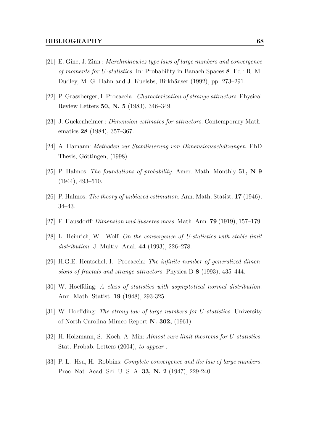- <span id="page-67-11"></span>[21] E. Gine, J. Zinn : Marchinkiewicz type laws of large numbers and convergence of moments for U-statistics. In: Probability in Banach Spaces 8. Ed.: R. M. Dudley, M. G. Hahn and J. Kuelsbs, Birkhäuser (1992), pp. 273–291.
- <span id="page-67-2"></span>[22] P. Grassberger, I. Procaccia : Characterization of strange attractors. Physical Review Letters 50, N. 5 (1983), 346–349.
- <span id="page-67-3"></span>[23] J. Guckenheimer : Dimension estimates for attractors. Contemporary Mathematics 28 (1984), 357–367.
- <span id="page-67-4"></span>[24] A. Hamann: Methoden zur Stabilisierung von Dimensionsschätzungen. PhD Thesis, Göttingen, (1998).
- <span id="page-67-6"></span>[25] P. Halmos: The foundations of probability. Amer. Math. Monthly 51, N 9 (1944), 493–510.
- <span id="page-67-8"></span>[26] P. Halmos: The theory of unbiased estimation. Ann. Math. Statist. 17 (1946), 34–43.
- <span id="page-67-0"></span>[27] F. Hausdorff: *Dimension und äusseres mass.* Math. Ann. **79** (1919), 157–179.
- <span id="page-67-12"></span>[28] L. Heinrich, W. Wolf: On the convergence of U-statistics with stable limit distribution. J. Multiv. Anal. 44 (1993), 226–278.
- <span id="page-67-1"></span>[29] H.G.E. Hentschel, I. Procaccia: The infinite number of generalized dimensions of fractals and strange attractors. Physica D 8 (1993), 435–444.
- <span id="page-67-7"></span>[30] W. Hoeffding: A class of statistics with asymptotical normal distribution. Ann. Math. Statist. 19 (1948), 293-325.
- <span id="page-67-9"></span>[31] W. Hoeffding: The strong law of large numbers for U-statistics. University of North Carolina Mimeo Report N. 302, (1961).
- <span id="page-67-5"></span>[32] H. Holzmann, S. Koch, A. Min: Almost sure limit theorems for U-statistics. Stat. Probab. Letters (2004), to appear .
- <span id="page-67-10"></span>[33] P. L. Hsu, H. Robbins: Complete convergence and the law of large numbers. Proc. Nat. Acad. Sci. U. S. A. 33, N. 2 (1947), 229-240.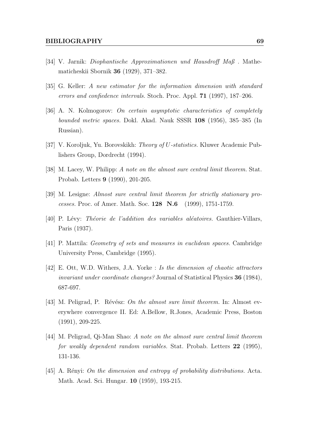- <span id="page-68-1"></span>[34] V. Jarnik: Diophantische Approximationen und Hausdroff Maß . Mathematicheskii Sbornik 36 (1929), 371–382.
- <span id="page-68-4"></span>[35] G. Keller: A new estimator for the information dimension with standard errors and confiedence intervals. Stoch. Proc. Appl. 71 (1997), 187–206.
- <span id="page-68-2"></span>[36] A. N. Kolmogorov: On certain asymptotic characteristics of completely bounded metric spaces. Dokl. Akad. Nauk SSSR 108 (1956), 385–385 (In Russian).
- <span id="page-68-10"></span>[37] V. Koroljuk, Yu. Borovskikh: Theory of U-statistics. Kluwer Academic Publishers Group, Dordrecht (1994).
- <span id="page-68-6"></span>[38] M. Lacey, W. Philipp: A note on the almost sure central limit theorem. Stat. Probab. Letters 9 (1990), 201-205.
- <span id="page-68-11"></span>[39] M. Lesigne: Almost sure central limit theorem for strictly stationary processes. Proc. of Amer. Math. Soc. 128 N.6 (1999), 1751-1759.
- <span id="page-68-5"></span>[40] P. Lévy: Théorie de l'addition des variables aléatoires. Gauthier-Villars, Paris (1937).
- <span id="page-68-0"></span>[41] P. Mattila: Geometry of sets and measures in euclidean spaces. Cambridge University Press, Cambridge (1995).
- <span id="page-68-9"></span>[42] E. Ott, W.D. Withers, J.A. Yorke : Is the dimension of chaotic attractors invariant under coordinate changes? Journal of Statistical Physics 36 (1984), 687-697.
- <span id="page-68-8"></span>[43] M. Peligrad, P. Révész: On the almost sure limit theorem. In: Almost everywhere convergence II. Ed: A.Bellow, R.Jones, Academic Press, Boston (1991), 209-225.
- <span id="page-68-7"></span>[44] M. Peligrad, Qi-Man Shao: A note on the almost sure central limit theorem for weakly dependent random variables. Stat. Probab. Letters 22 (1995), 131-136.
- <span id="page-68-3"></span>[45] A. Rényi: On the dimension and entropy of probability distributions. Acta. Math. Acad. Sci. Hungar. 10 (1959), 193-215.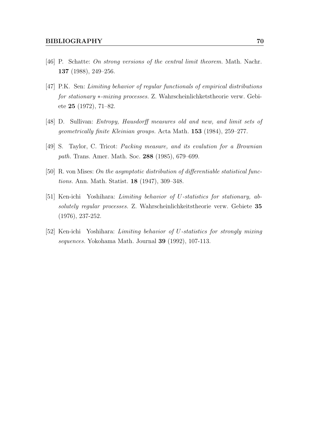- <span id="page-69-2"></span>[46] P. Schatte: On strong versions of the central limit theorem. Math. Nachr. 137 (1988), 249–256.
- <span id="page-69-4"></span>[47] P.K. Sen: Limiting behavior of regular functionals of empirical distributions for stationary \*-mixing processes. Z. Wahrscheinlichketstheorie verw. Gebiete 25 (1972), 71–82.
- <span id="page-69-1"></span>[48] D. Sullivan: Entropy, Hausdorff measures old and new, and limit sets of geometrically finite Kleinian groups. Acta Math. 153 (1984), 259–277.
- <span id="page-69-0"></span>[49] S. Taylor, C. Tricot: Packing measure, and its evalution for a Brownian path. Trans. Amer. Math. Soc. 288 (1985), 679–699.
- <span id="page-69-3"></span>[50] R. von Mises: On the asymptotic distribution of differentiable statistical functions. Ann. Math. Statist. 18 (1947), 309–348.
- <span id="page-69-5"></span>[51] Ken-ichi Yoshihara: Limiting behavior of U-statistics for stationary, absolutely regular processes. Z. Wahrscheinlichkeitstheorie verw. Gebiete 35 (1976), 237-252.
- <span id="page-69-6"></span>[52] Ken-ichi Yoshihara: Limiting behavior of U-statistics for strongly mixing sequences. Yokohama Math. Journal 39 (1992), 107-113.